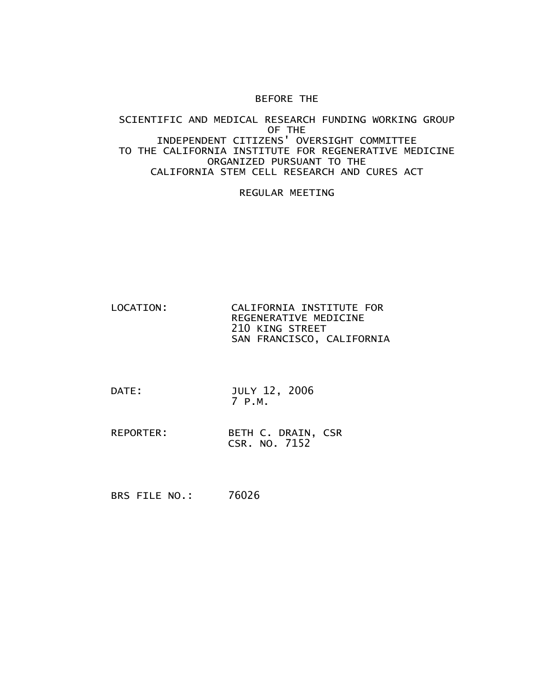## BEFORE THE

## SCIENTIFIC AND MEDICAL RESEARCH FUNDING WORKING GROUP OF THE INDEPENDENT CITIZENS' OVERSIGHT COMMITTEE TO THE CALIFORNIA INSTITUTE FOR REGENERATIVE MEDICINE ORGANIZED PURSUANT TO THE CALIFORNIA STEM CELL RESEARCH AND CURES ACT

## REGULAR MEETING

- LOCATION: CALIFORNIA INSTITUTE FOR REGENERATIVE MEDICINE 210 KING STREET SAN FRANCISCO, CALIFORNIA
- DATE: JULY 12, 2006 7 P.M.
- REPORTER: BETH C. DRAIN, CSR CSR. NO. 7152

BRS FILE NO.: 76026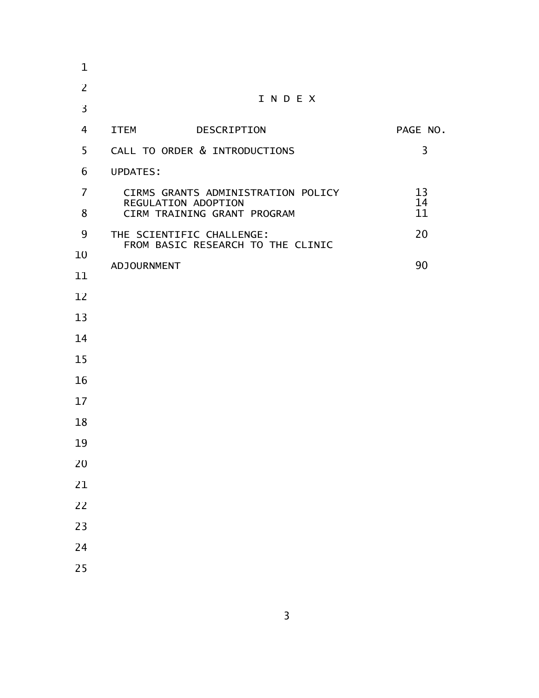| 1              |                                                                |             |          |  |
|----------------|----------------------------------------------------------------|-------------|----------|--|
| $\overline{2}$ | INDEX                                                          |             |          |  |
| 3              |                                                                |             |          |  |
| 4              | <b>ITEM</b>                                                    | DESCRIPTION | PAGE NO. |  |
| 5              | CALL TO ORDER & INTRODUCTIONS                                  |             | 3        |  |
| 6              | <b>UPDATES:</b>                                                |             |          |  |
| 7              | CIRMS GRANTS ADMINISTRATION POLICY<br>REGULATION ADOPTION      | 13<br>14    |          |  |
| 8              | CIRM TRAINING GRANT PROGRAM                                    |             | 11       |  |
| 9              | THE SCIENTIFIC CHALLENGE:<br>FROM BASIC RESEARCH TO THE CLINIC |             | 20       |  |
| 10             | ADJOURNMENT                                                    |             | 90       |  |
| 11             |                                                                |             |          |  |
| 12<br>13       |                                                                |             |          |  |
| 14             |                                                                |             |          |  |
| 15             |                                                                |             |          |  |
| 16             |                                                                |             |          |  |
| 17             |                                                                |             |          |  |
| 18             |                                                                |             |          |  |
| 19             |                                                                |             |          |  |
| 20             |                                                                |             |          |  |
| 21             |                                                                |             |          |  |
| 22             |                                                                |             |          |  |
| 23             |                                                                |             |          |  |
| 24             |                                                                |             |          |  |
| 25             |                                                                |             |          |  |
|                |                                                                |             |          |  |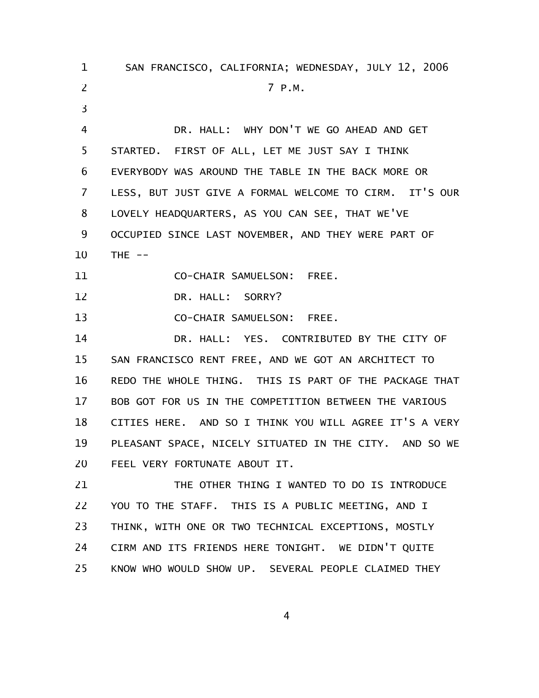SAN FRANCISCO, CALIFORNIA; WEDNESDAY, JULY 12, 2006 7 P.M. DR. HALL: WHY DON'T WE GO AHEAD AND GET STARTED. FIRST OF ALL, LET ME JUST SAY I THINK EVERYBODY WAS AROUND THE TABLE IN THE BACK MORE OR LESS, BUT JUST GIVE A FORMAL WELCOME TO CIRM. IT'S OUR LOVELY HEADQUARTERS, AS YOU CAN SEE, THAT WE'VE OCCUPIED SINCE LAST NOVEMBER, AND THEY WERE PART OF THE  $--$ CO-CHAIR SAMUELSON: FREE. DR. HALL: SORRY? CO-CHAIR SAMUELSON: FREE. DR. HALL: YES. CONTRIBUTED BY THE CITY OF SAN FRANCISCO RENT FREE, AND WE GOT AN ARCHITECT TO REDO THE WHOLE THING. THIS IS PART OF THE PACKAGE THAT BOB GOT FOR US IN THE COMPETITION BETWEEN THE VARIOUS CITIES HERE. AND SO I THINK YOU WILL AGREE IT'S A VERY PLEASANT SPACE, NICELY SITUATED IN THE CITY. AND SO WE FEEL VERY FORTUNATE ABOUT IT. THE OTHER THING I WANTED TO DO IS INTRODUCE YOU TO THE STAFF. THIS IS A PUBLIC MEETING, AND I THINK, WITH ONE OR TWO TECHNICAL EXCEPTIONS, MOSTLY CIRM AND ITS FRIENDS HERE TONIGHT. WE DIDN'T QUITE 1 2 3 4 5 6 7 8 9 10 11 12 13 14 15 16 17 18 19 20 21 22 23 24

4

KNOW WHO WOULD SHOW UP. SEVERAL PEOPLE CLAIMED THEY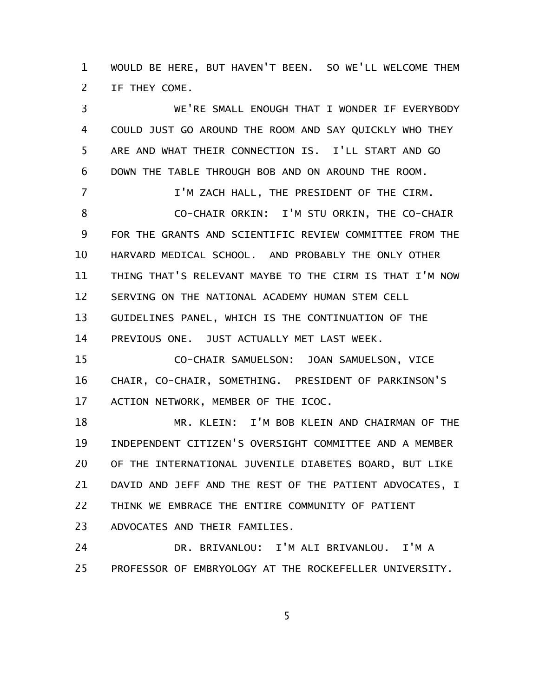WOULD BE HERE, BUT HAVEN'T BEEN. SO WE'LL WELCOME THEM IF THEY COME. 1 2

WE'RE SMALL ENOUGH THAT I WONDER IF EVERYBODY COULD JUST GO AROUND THE ROOM AND SAY QUICKLY WHO THEY ARE AND WHAT THEIR CONNECTION IS. I'LL START AND GO DOWN THE TABLE THROUGH BOB AND ON AROUND THE ROOM. I'M ZACH HALL, THE PRESIDENT OF THE CIRM. CO-CHAIR ORKIN: I'M STU ORKIN, THE CO-CHAIR FOR THE GRANTS AND SCIENTIFIC REVIEW COMMITTEE FROM THE HARVARD MEDICAL SCHOOL. AND PROBABLY THE ONLY OTHER THING THAT'S RELEVANT MAYBE TO THE CIRM IS THAT I'M NOW SERVING ON THE NATIONAL ACADEMY HUMAN STEM CELL GUIDELINES PANEL, WHICH IS THE CONTINUATION OF THE PREVIOUS ONE. JUST ACTUALLY MET LAST WEEK. CO-CHAIR SAMUELSON: JOAN SAMUELSON, VICE CHAIR, CO-CHAIR, SOMETHING. PRESIDENT OF PARKINSON'S ACTION NETWORK, MEMBER OF THE ICOC. MR. KLEIN: I'M BOB KLEIN AND CHAIRMAN OF THE INDEPENDENT CITIZEN'S OVERSIGHT COMMITTEE AND A MEMBER OF THE INTERNATIONAL JUVENILE DIABETES BOARD, BUT LIKE DAVID AND JEFF AND THE REST OF THE PATIENT ADVOCATES, I THINK WE EMBRACE THE ENTIRE COMMUNITY OF PATIENT 3 4 5 6 7 8 9 10 11 12 13 14 15 16 17 18 19 20 21 22

ADVOCATES AND THEIR FAMILIES. 23

DR. BRIVANLOU: I'M ALI BRIVANLOU. I'M A PROFESSOR OF EMBRYOLOGY AT THE ROCKEFELLER UNIVERSITY. 24 25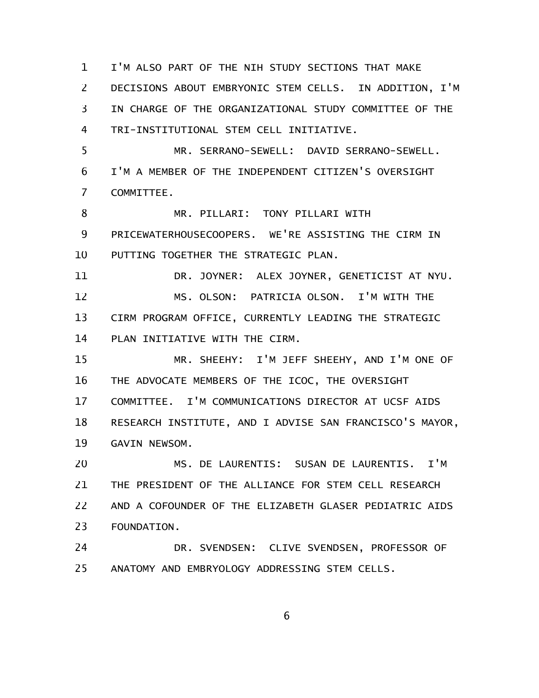I'M ALSO PART OF THE NIH STUDY SECTIONS THAT MAKE DECISIONS ABOUT EMBRYONIC STEM CELLS. IN ADDITION, I'M IN CHARGE OF THE ORGANIZATIONAL STUDY COMMITTEE OF THE TRI-INSTITUTIONAL STEM CELL INITIATIVE. MR. SERRANO-SEWELL: DAVID SERRANO-SEWELL. I'M A MEMBER OF THE INDEPENDENT CITIZEN'S OVERSIGHT COMMITTEE. MR. PILLARI: TONY PILLARI WITH PRICEWATERHOUSECOOPERS. WE'RE ASSISTING THE CIRM IN PUTTING TOGETHER THE STRATEGIC PLAN. DR. JOYNER: ALEX JOYNER, GENETICIST AT NYU. MS. OLSON: PATRICIA OLSON. I'M WITH THE CIRM PROGRAM OFFICE, CURRENTLY LEADING THE STRATEGIC PLAN INITIATIVE WITH THE CIRM. MR. SHEEHY: I'M JEFF SHEEHY, AND I'M ONE OF THE ADVOCATE MEMBERS OF THE ICOC, THE OVERSIGHT COMMITTEE. I'M COMMUNICATIONS DIRECTOR AT UCSF AIDS RESEARCH INSTITUTE, AND I ADVISE SAN FRANCISCO'S MAYOR, GAVIN NEWSOM. MS. DE LAURENTIS: SUSAN DE LAURENTIS. I'M THE PRESIDENT OF THE ALLIANCE FOR STEM CELL RESEARCH AND A COFOUNDER OF THE ELIZABETH GLASER PEDIATRIC AIDS FOUNDATION. DR. SVENDSEN: CLIVE SVENDSEN, PROFESSOR OF ANATOMY AND EMBRYOLOGY ADDRESSING STEM CELLS. 1 2 3 4 5 6 7 8 9 10 11 12 13 14 15 16 17 18 19 20 21 22 23 24 25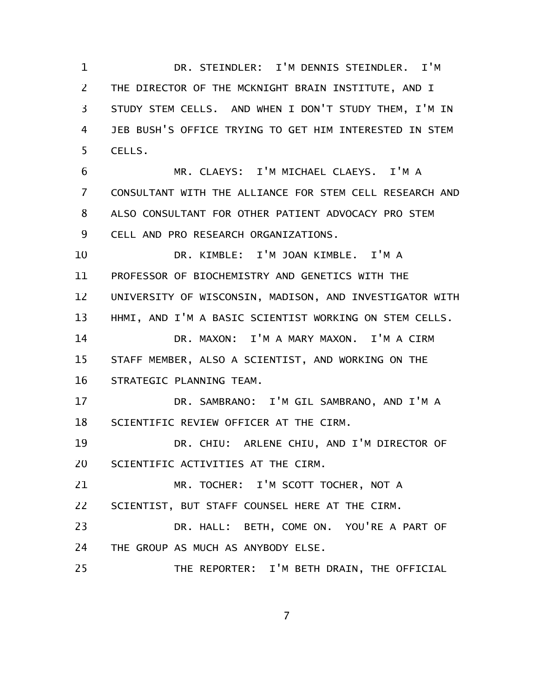DR. STEINDLER: I'M DENNIS STEINDLER. I'M THE DIRECTOR OF THE MCKNIGHT BRAIN INSTITUTE, AND I STUDY STEM CELLS. AND WHEN I DON'T STUDY THEM, I'M IN JEB BUSH'S OFFICE TRYING TO GET HIM INTERESTED IN STEM CELLS. MR. CLAEYS: I'M MICHAEL CLAEYS. I'M A CONSULTANT WITH THE ALLIANCE FOR STEM CELL RESEARCH AND ALSO CONSULTANT FOR OTHER PATIENT ADVOCACY PRO STEM CELL AND PRO RESEARCH ORGANIZATIONS. DR. KIMBLE: I'M JOAN KIMBLE. I'M A PROFESSOR OF BIOCHEMISTRY AND GENETICS WITH THE UNIVERSITY OF WISCONSIN, MADISON, AND INVESTIGATOR WITH HHMI, AND I'M A BASIC SCIENTIST WORKING ON STEM CELLS. DR. MAXON: I'M A MARY MAXON. I'M A CIRM STAFF MEMBER, ALSO A SCIENTIST, AND WORKING ON THE STRATEGIC PLANNING TEAM. DR. SAMBRANO: I'M GIL SAMBRANO, AND I'M A SCIENTIFIC REVIEW OFFICER AT THE CIRM. DR. CHIU: ARLENE CHIU, AND I'M DIRECTOR OF SCIENTIFIC ACTIVITIES AT THE CIRM. MR. TOCHER: I'M SCOTT TOCHER, NOT A SCIENTIST, BUT STAFF COUNSEL HERE AT THE CIRM. DR. HALL: BETH, COME ON. YOU'RE A PART OF THE GROUP AS MUCH AS ANYBODY ELSE. THE REPORTER: I'M BETH DRAIN, THE OFFICIAL 1 2 3 4 5 6 7 8 9 10 11 12 13 14 15 16 17 18 19 20 21 22 23 24 25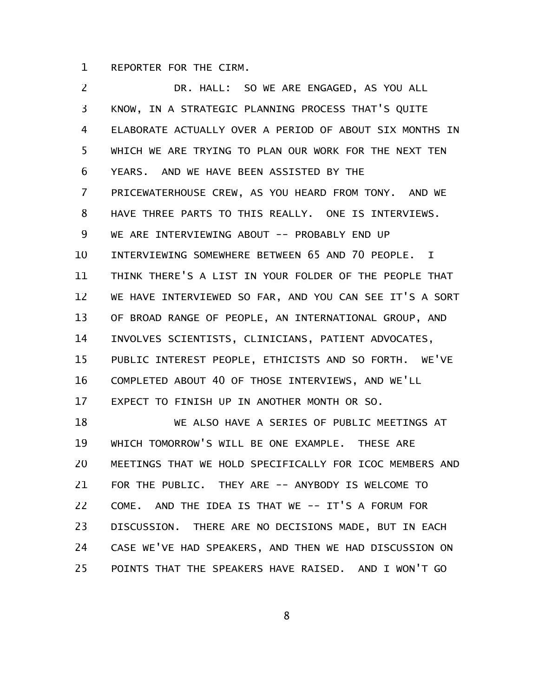REPORTER FOR THE CIRM. 1

DR. HALL: SO WE ARE ENGAGED, AS YOU ALL KNOW, IN A STRATEGIC PLANNING PROCESS THAT'S QUITE ELABORATE ACTUALLY OVER A PERIOD OF ABOUT SIX MONTHS IN WHICH WE ARE TRYING TO PLAN OUR WORK FOR THE NEXT TEN YEARS. AND WE HAVE BEEN ASSISTED BY THE PRICEWATERHOUSE CREW, AS YOU HEARD FROM TONY. AND WE HAVE THREE PARTS TO THIS REALLY. ONE IS INTERVIEWS. WE ARE INTERVIEWING ABOUT -- PROBABLY END UP INTERVIEWING SOMEWHERE BETWEEN 65 AND 70 PEOPLE. I THINK THERE'S A LIST IN YOUR FOLDER OF THE PEOPLE THAT WE HAVE INTERVIEWED SO FAR, AND YOU CAN SEE IT'S A SORT OF BROAD RANGE OF PEOPLE, AN INTERNATIONAL GROUP, AND INVOLVES SCIENTISTS, CLINICIANS, PATIENT ADVOCATES, PUBLIC INTEREST PEOPLE, ETHICISTS AND SO FORTH. WE'VE COMPLETED ABOUT 40 OF THOSE INTERVIEWS, AND WE'LL EXPECT TO FINISH UP IN ANOTHER MONTH OR SO. WE ALSO HAVE A SERIES OF PUBLIC MEETINGS AT WHICH TOMORROW'S WILL BE ONE EXAMPLE. THESE ARE MEETINGS THAT WE HOLD SPECIFICALLY FOR ICOC MEMBERS AND FOR THE PUBLIC. THEY ARE -- ANYBODY IS WELCOME TO COME. AND THE IDEA IS THAT WE -- IT'S A FORUM FOR DISCUSSION. THERE ARE NO DECISIONS MADE, BUT IN EACH CASE WE'VE HAD SPEAKERS, AND THEN WE HAD DISCUSSION ON POINTS THAT THE SPEAKERS HAVE RAISED. AND I WON'T GO 2 3 4 5 6 7 8 9 10 11 12 13 14 15 16 17 18 19 20 21 22 23 24 25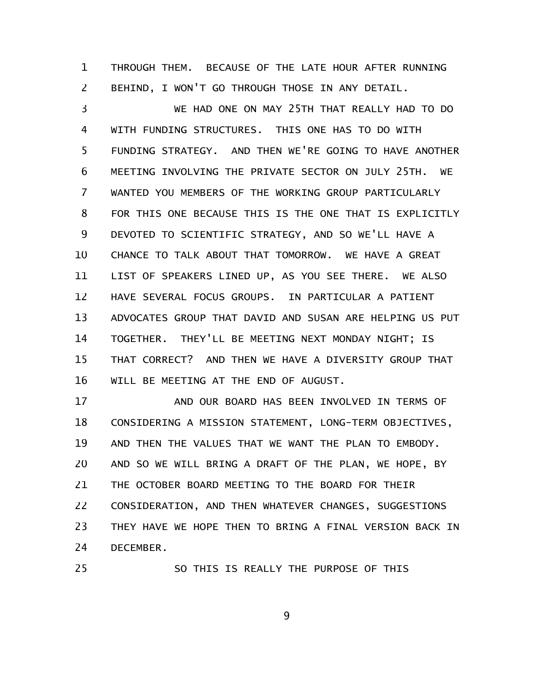THROUGH THEM. BECAUSE OF THE LATE HOUR AFTER RUNNING BEHIND, I WON'T GO THROUGH THOSE IN ANY DETAIL. 1 2

WE HAD ONE ON MAY 25TH THAT REALLY HAD TO DO WITH FUNDING STRUCTURES. THIS ONE HAS TO DO WITH FUNDING STRATEGY. AND THEN WE'RE GOING TO HAVE ANOTHER MEETING INVOLVING THE PRIVATE SECTOR ON JULY 25TH. WE WANTED YOU MEMBERS OF THE WORKING GROUP PARTICULARLY FOR THIS ONE BECAUSE THIS IS THE ONE THAT IS EXPLICITLY DEVOTED TO SCIENTIFIC STRATEGY, AND SO WE'LL HAVE A CHANCE TO TALK ABOUT THAT TOMORROW. WE HAVE A GREAT LIST OF SPEAKERS LINED UP, AS YOU SEE THERE. WE ALSO HAVE SEVERAL FOCUS GROUPS. IN PARTICULAR A PATIENT ADVOCATES GROUP THAT DAVID AND SUSAN ARE HELPING US PUT TOGETHER. THEY'LL BE MEETING NEXT MONDAY NIGHT; IS THAT CORRECT? AND THEN WE HAVE A DIVERSITY GROUP THAT WILL BE MEETING AT THE END OF AUGUST. 3 4 5 6 7 8 9 10 11 12 13 14 15 16

AND OUR BOARD HAS BEEN INVOLVED IN TERMS OF CONSIDERING A MISSION STATEMENT, LONG-TERM OBJECTIVES, AND THEN THE VALUES THAT WE WANT THE PLAN TO EMBODY. AND SO WE WILL BRING A DRAFT OF THE PLAN, WE HOPE, BY THE OCTOBER BOARD MEETING TO THE BOARD FOR THEIR CONSIDERATION, AND THEN WHATEVER CHANGES, SUGGESTIONS THEY HAVE WE HOPE THEN TO BRING A FINAL VERSION BACK IN DECEMBER. 17 18 19 20 21 22 23 24

25

SO THIS IS REALLY THE PURPOSE OF THIS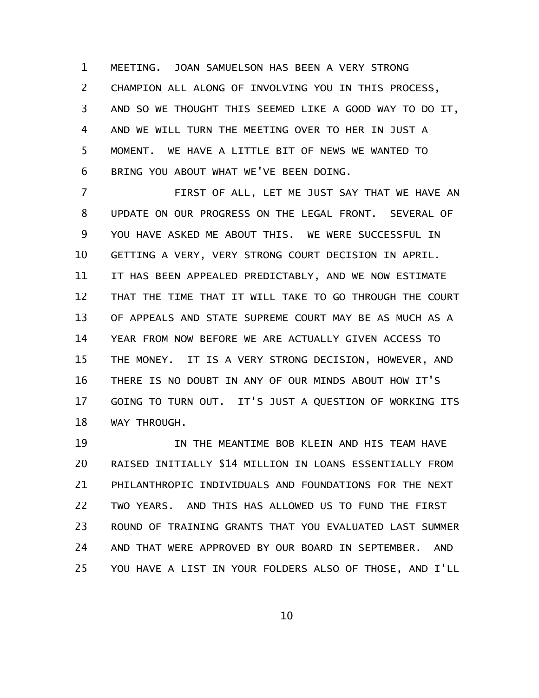MEETING. JOAN SAMUELSON HAS BEEN A VERY STRONG CHAMPION ALL ALONG OF INVOLVING YOU IN THIS PROCESS, AND SO WE THOUGHT THIS SEEMED LIKE A GOOD WAY TO DO IT, AND WE WILL TURN THE MEETING OVER TO HER IN JUST A MOMENT. WE HAVE A LITTLE BIT OF NEWS WE WANTED TO BRING YOU ABOUT WHAT WE'VE BEEN DOING. 1 2 3 4 5 6

FIRST OF ALL, LET ME JUST SAY THAT WE HAVE AN UPDATE ON OUR PROGRESS ON THE LEGAL FRONT. SEVERAL OF YOU HAVE ASKED ME ABOUT THIS. WE WERE SUCCESSFUL IN GETTING A VERY, VERY STRONG COURT DECISION IN APRIL. IT HAS BEEN APPEALED PREDICTABLY, AND WE NOW ESTIMATE THAT THE TIME THAT IT WILL TAKE TO GO THROUGH THE COURT OF APPEALS AND STATE SUPREME COURT MAY BE AS MUCH AS A YEAR FROM NOW BEFORE WE ARE ACTUALLY GIVEN ACCESS TO THE MONEY. IT IS A VERY STRONG DECISION, HOWEVER, AND THERE IS NO DOUBT IN ANY OF OUR MINDS ABOUT HOW IT'S GOING TO TURN OUT. IT'S JUST A QUESTION OF WORKING ITS WAY THROUGH. 7 8 9 10 11 12 13 14 15 16 17 18

IN THE MEANTIME BOB KLEIN AND HIS TEAM HAVE RAISED INITIALLY \$14 MILLION IN LOANS ESSENTIALLY FROM PHILANTHROPIC INDIVIDUALS AND FOUNDATIONS FOR THE NEXT TWO YEARS. AND THIS HAS ALLOWED US TO FUND THE FIRST ROUND OF TRAINING GRANTS THAT YOU EVALUATED LAST SUMMER AND THAT WERE APPROVED BY OUR BOARD IN SEPTEMBER. AND YOU HAVE A LIST IN YOUR FOLDERS ALSO OF THOSE, AND I'LL 19 20 21 22 23 24 25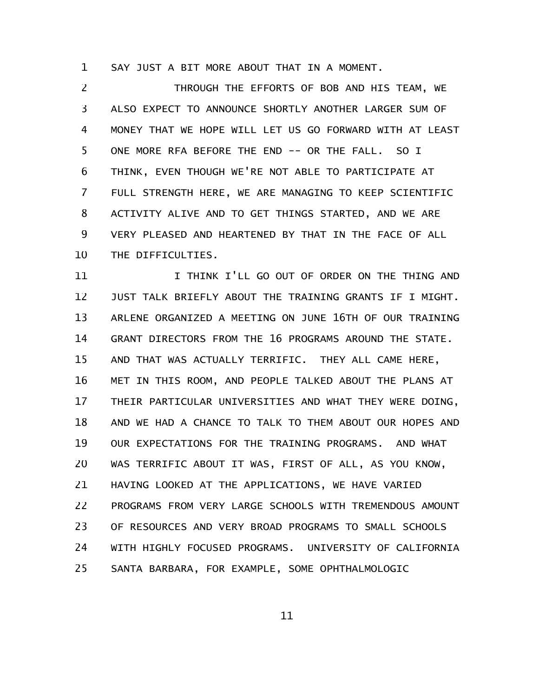SAY JUST A BIT MORE ABOUT THAT IN A MOMENT. 1

THROUGH THE EFFORTS OF BOB AND HIS TEAM, WE ALSO EXPECT TO ANNOUNCE SHORTLY ANOTHER LARGER SUM OF MONEY THAT WE HOPE WILL LET US GO FORWARD WITH AT LEAST ONE MORE RFA BEFORE THE END -- OR THE FALL. SO I THINK, EVEN THOUGH WE'RE NOT ABLE TO PARTICIPATE AT FULL STRENGTH HERE, WE ARE MANAGING TO KEEP SCIENTIFIC ACTIVITY ALIVE AND TO GET THINGS STARTED, AND WE ARE VERY PLEASED AND HEARTENED BY THAT IN THE FACE OF ALL THE DIFFICULTIES. 2 3 4 5 6 7 8 9 10

I THINK I'LL GO OUT OF ORDER ON THE THING AND JUST TALK BRIEFLY ABOUT THE TRAINING GRANTS IF I MIGHT. ARLENE ORGANIZED A MEETING ON JUNE 16TH OF OUR TRAINING GRANT DIRECTORS FROM THE 16 PROGRAMS AROUND THE STATE. AND THAT WAS ACTUALLY TERRIFIC. THEY ALL CAME HERE, MET IN THIS ROOM, AND PEOPLE TALKED ABOUT THE PLANS AT THEIR PARTICULAR UNIVERSITIES AND WHAT THEY WERE DOING, AND WE HAD A CHANCE TO TALK TO THEM ABOUT OUR HOPES AND OUR EXPECTATIONS FOR THE TRAINING PROGRAMS. AND WHAT WAS TERRIFIC ABOUT IT WAS, FIRST OF ALL, AS YOU KNOW, HAVING LOOKED AT THE APPLICATIONS, WE HAVE VARIED PROGRAMS FROM VERY LARGE SCHOOLS WITH TREMENDOUS AMOUNT OF RESOURCES AND VERY BROAD PROGRAMS TO SMALL SCHOOLS WITH HIGHLY FOCUSED PROGRAMS. UNIVERSITY OF CALIFORNIA SANTA BARBARA, FOR EXAMPLE, SOME OPHTHALMOLOGIC 11 12 13 14 15 16 17 18 19 20 21 22 23 24 25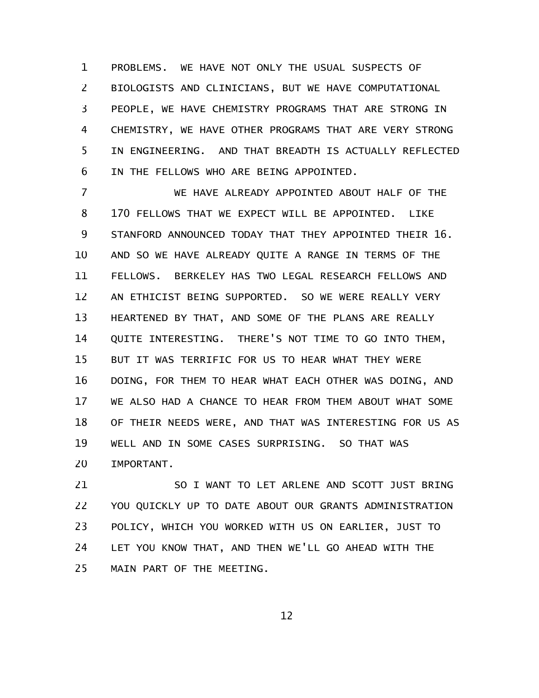PROBLEMS. WE HAVE NOT ONLY THE USUAL SUSPECTS OF BIOLOGISTS AND CLINICIANS, BUT WE HAVE COMPUTATIONAL PEOPLE, WE HAVE CHEMISTRY PROGRAMS THAT ARE STRONG IN CHEMISTRY, WE HAVE OTHER PROGRAMS THAT ARE VERY STRONG IN ENGINEERING. AND THAT BREADTH IS ACTUALLY REFLECTED IN THE FELLOWS WHO ARE BEING APPOINTED. 1 2 3 4 5 6

WE HAVE ALREADY APPOINTED ABOUT HALF OF THE 170 FELLOWS THAT WE EXPECT WILL BE APPOINTED. LIKE STANFORD ANNOUNCED TODAY THAT THEY APPOINTED THEIR 16. AND SO WE HAVE ALREADY QUITE A RANGE IN TERMS OF THE FELLOWS. BERKELEY HAS TWO LEGAL RESEARCH FELLOWS AND AN ETHICIST BEING SUPPORTED. SO WE WERE REALLY VERY HEARTENED BY THAT, AND SOME OF THE PLANS ARE REALLY QUITE INTERESTING. THERE'S NOT TIME TO GO INTO THEM, BUT IT WAS TERRIFIC FOR US TO HEAR WHAT THEY WERE DOING, FOR THEM TO HEAR WHAT EACH OTHER WAS DOING, AND WE ALSO HAD A CHANCE TO HEAR FROM THEM ABOUT WHAT SOME OF THEIR NEEDS WERE, AND THAT WAS INTERESTING FOR US AS WELL AND IN SOME CASES SURPRISING. SO THAT WAS IMPORTANT. 7 8 9 10 11 12 13 14 15 16 17 18 19 20

SO I WANT TO LET ARLENE AND SCOTT JUST BRING YOU QUICKLY UP TO DATE ABOUT OUR GRANTS ADMINISTRATION POLICY, WHICH YOU WORKED WITH US ON EARLIER, JUST TO LET YOU KNOW THAT, AND THEN WE'LL GO AHEAD WITH THE MAIN PART OF THE MEETING. 21 22 23 24 25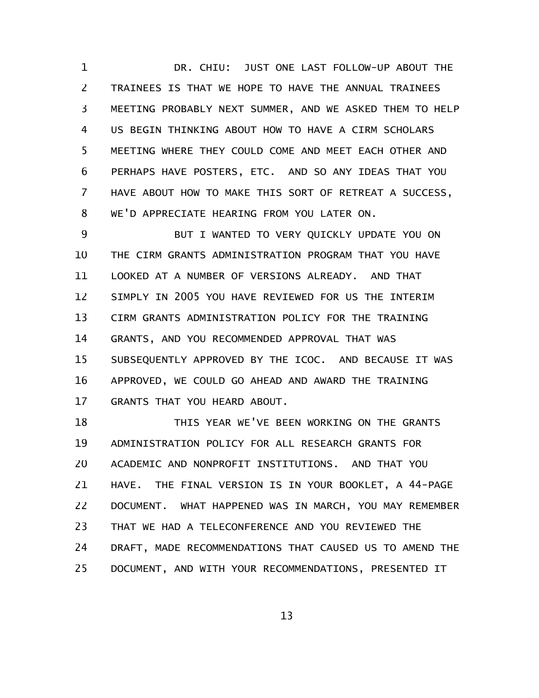DR. CHIU: JUST ONE LAST FOLLOW-UP ABOUT THE TRAINEES IS THAT WE HOPE TO HAVE THE ANNUAL TRAINEES MEETING PROBABLY NEXT SUMMER, AND WE ASKED THEM TO HELP US BEGIN THINKING ABOUT HOW TO HAVE A CIRM SCHOLARS MEETING WHERE THEY COULD COME AND MEET EACH OTHER AND PERHAPS HAVE POSTERS, ETC. AND SO ANY IDEAS THAT YOU HAVE ABOUT HOW TO MAKE THIS SORT OF RETREAT A SUCCESS, WE'D APPRECIATE HEARING FROM YOU LATER ON. 1 2 3 4 5 6 7 8

BUT I WANTED TO VERY QUICKLY UPDATE YOU ON THE CIRM GRANTS ADMINISTRATION PROGRAM THAT YOU HAVE LOOKED AT A NUMBER OF VERSIONS ALREADY. AND THAT SIMPLY IN 2005 YOU HAVE REVIEWED FOR US THE INTERIM CIRM GRANTS ADMINISTRATION POLICY FOR THE TRAINING GRANTS, AND YOU RECOMMENDED APPROVAL THAT WAS SUBSEQUENTLY APPROVED BY THE ICOC. AND BECAUSE IT WAS APPROVED, WE COULD GO AHEAD AND AWARD THE TRAINING GRANTS THAT YOU HEARD ABOUT. 9 10 11 12 13 14 15 16 17

THIS YEAR WE'VE BEEN WORKING ON THE GRANTS ADMINISTRATION POLICY FOR ALL RESEARCH GRANTS FOR ACADEMIC AND NONPROFIT INSTITUTIONS. AND THAT YOU HAVE. THE FINAL VERSION IS IN YOUR BOOKLET, A 44-PAGE DOCUMENT. WHAT HAPPENED WAS IN MARCH, YOU MAY REMEMBER THAT WE HAD A TELECONFERENCE AND YOU REVIEWED THE DRAFT, MADE RECOMMENDATIONS THAT CAUSED US TO AMEND THE DOCUMENT, AND WITH YOUR RECOMMENDATIONS, PRESENTED IT 18 19 20 21 22 23 24 25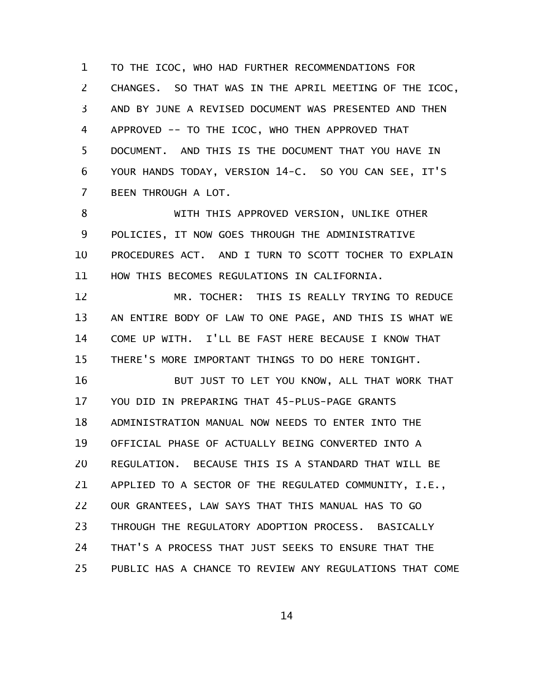TO THE ICOC, WHO HAD FURTHER RECOMMENDATIONS FOR CHANGES. SO THAT WAS IN THE APRIL MEETING OF THE ICOC, AND BY JUNE A REVISED DOCUMENT WAS PRESENTED AND THEN APPROVED -- TO THE ICOC, WHO THEN APPROVED THAT DOCUMENT. AND THIS IS THE DOCUMENT THAT YOU HAVE IN YOUR HANDS TODAY, VERSION 14-C. SO YOU CAN SEE, IT'S BEEN THROUGH A LOT. 1 2 3 4 5 6 7

WITH THIS APPROVED VERSION, UNLIKE OTHER POLICIES, IT NOW GOES THROUGH THE ADMINISTRATIVE PROCEDURES ACT. AND I TURN TO SCOTT TOCHER TO EXPLAIN HOW THIS BECOMES REGULATIONS IN CALIFORNIA. 8 9 10 11

MR. TOCHER: THIS IS REALLY TRYING TO REDUCE AN ENTIRE BODY OF LAW TO ONE PAGE, AND THIS IS WHAT WE COME UP WITH. I'LL BE FAST HERE BECAUSE I KNOW THAT THERE'S MORE IMPORTANT THINGS TO DO HERE TONIGHT. 12 13 14 15

BUT JUST TO LET YOU KNOW, ALL THAT WORK THAT YOU DID IN PREPARING THAT 45-PLUS-PAGE GRANTS ADMINISTRATION MANUAL NOW NEEDS TO ENTER INTO THE OFFICIAL PHASE OF ACTUALLY BEING CONVERTED INTO A REGULATION. BECAUSE THIS IS A STANDARD THAT WILL BE APPLIED TO A SECTOR OF THE REGULATED COMMUNITY, I.E., OUR GRANTEES, LAW SAYS THAT THIS MANUAL HAS TO GO THROUGH THE REGULATORY ADOPTION PROCESS. BASICALLY THAT'S A PROCESS THAT JUST SEEKS TO ENSURE THAT THE PUBLIC HAS A CHANCE TO REVIEW ANY REGULATIONS THAT COME 16 17 18 19 20 21 22 23 24 25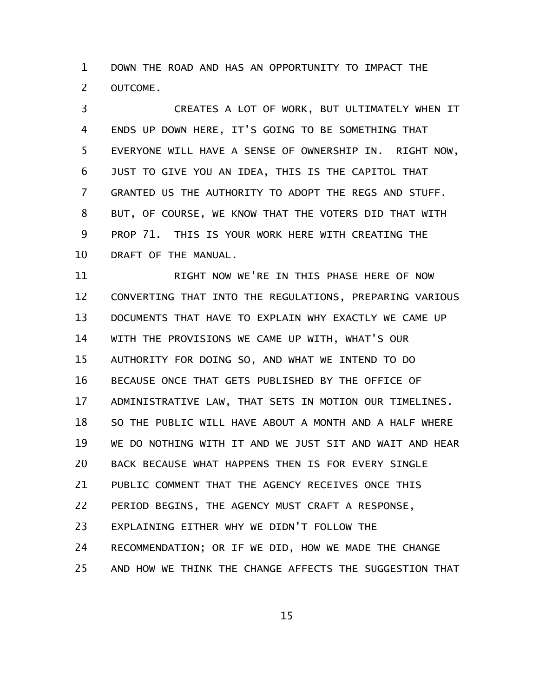DOWN THE ROAD AND HAS AN OPPORTUNITY TO IMPACT THE OUTCOME. 1 2

CREATES A LOT OF WORK, BUT ULTIMATELY WHEN IT ENDS UP DOWN HERE, IT'S GOING TO BE SOMETHING THAT EVERYONE WILL HAVE A SENSE OF OWNERSHIP IN. RIGHT NOW, JUST TO GIVE YOU AN IDEA, THIS IS THE CAPITOL THAT GRANTED US THE AUTHORITY TO ADOPT THE REGS AND STUFF. BUT, OF COURSE, WE KNOW THAT THE VOTERS DID THAT WITH PROP 71. THIS IS YOUR WORK HERE WITH CREATING THE DRAFT OF THE MANUAL. 3 4 5 6 7 8 9 10

RIGHT NOW WE'RE IN THIS PHASE HERE OF NOW CONVERTING THAT INTO THE REGULATIONS, PREPARING VARIOUS DOCUMENTS THAT HAVE TO EXPLAIN WHY EXACTLY WE CAME UP WITH THE PROVISIONS WE CAME UP WITH, WHAT'S OUR AUTHORITY FOR DOING SO, AND WHAT WE INTEND TO DO BECAUSE ONCE THAT GETS PUBLISHED BY THE OFFICE OF ADMINISTRATIVE LAW, THAT SETS IN MOTION OUR TIMELINES. SO THE PUBLIC WILL HAVE ABOUT A MONTH AND A HALF WHERE WE DO NOTHING WITH IT AND WE JUST SIT AND WAIT AND HEAR BACK BECAUSE WHAT HAPPENS THEN IS FOR EVERY SINGLE PUBLIC COMMENT THAT THE AGENCY RECEIVES ONCE THIS PERIOD BEGINS, THE AGENCY MUST CRAFT A RESPONSE, EXPLAINING EITHER WHY WE DIDN'T FOLLOW THE RECOMMENDATION; OR IF WE DID, HOW WE MADE THE CHANGE AND HOW WE THINK THE CHANGE AFFECTS THE SUGGESTION THAT 11 12 13 14 15 16 17 18 19 20 21 22 23 24 25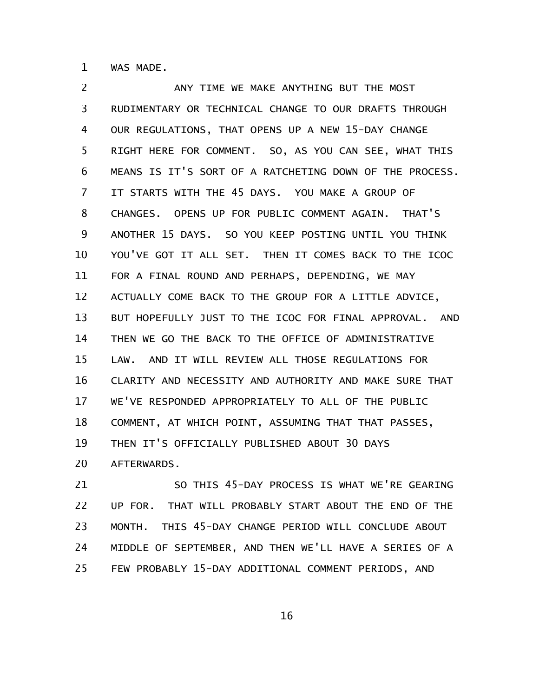WAS MADE. 1

ANY TIME WE MAKE ANYTHING BUT THE MOST RUDIMENTARY OR TECHNICAL CHANGE TO OUR DRAFTS THROUGH OUR REGULATIONS, THAT OPENS UP A NEW 15-DAY CHANGE RIGHT HERE FOR COMMENT. SO, AS YOU CAN SEE, WHAT THIS MEANS IS IT'S SORT OF A RATCHETING DOWN OF THE PROCESS. IT STARTS WITH THE 45 DAYS. YOU MAKE A GROUP OF CHANGES. OPENS UP FOR PUBLIC COMMENT AGAIN. THAT'S ANOTHER 15 DAYS. SO YOU KEEP POSTING UNTIL YOU THINK YOU'VE GOT IT ALL SET. THEN IT COMES BACK TO THE ICOC FOR A FINAL ROUND AND PERHAPS, DEPENDING, WE MAY ACTUALLY COME BACK TO THE GROUP FOR A LITTLE ADVICE, BUT HOPEFULLY JUST TO THE ICOC FOR FINAL APPROVAL. AND THEN WE GO THE BACK TO THE OFFICE OF ADMINISTRATIVE LAW. AND IT WILL REVIEW ALL THOSE REGULATIONS FOR CLARITY AND NECESSITY AND AUTHORITY AND MAKE SURE THAT WE'VE RESPONDED APPROPRIATELY TO ALL OF THE PUBLIC COMMENT, AT WHICH POINT, ASSUMING THAT THAT PASSES, THEN IT'S OFFICIALLY PUBLISHED ABOUT 30 DAYS AFTERWARDS. 2 3 4 5 6 7 8 9 10 11 12 13 14 15 16 17 18 19 20

SO THIS 45-DAY PROCESS IS WHAT WE'RE GEARING UP FOR. THAT WILL PROBABLY START ABOUT THE END OF THE MONTH. THIS 45-DAY CHANGE PERIOD WILL CONCLUDE ABOUT MIDDLE OF SEPTEMBER, AND THEN WE'LL HAVE A SERIES OF A FEW PROBABLY 15-DAY ADDITIONAL COMMENT PERIODS, AND 21 22 23 24 25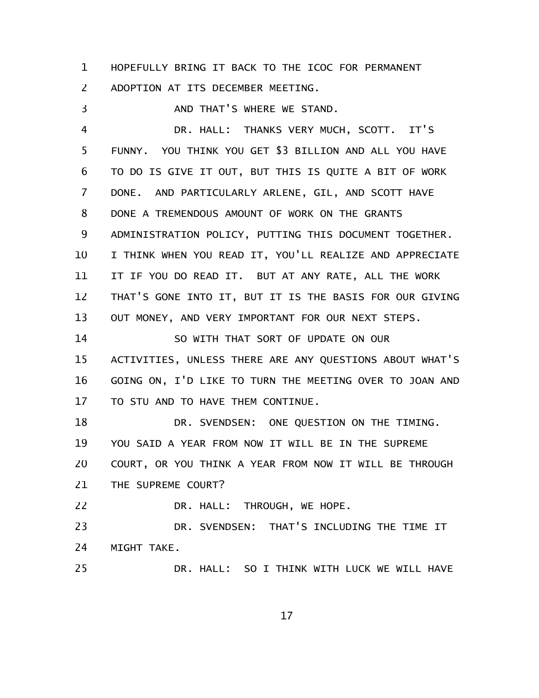HOPEFULLY BRING IT BACK TO THE ICOC FOR PERMANENT ADOPTION AT ITS DECEMBER MEETING. 1 2

AND THAT'S WHERE WE STAND. DR. HALL: THANKS VERY MUCH, SCOTT. IT'S FUNNY. YOU THINK YOU GET \$3 BILLION AND ALL YOU HAVE TO DO IS GIVE IT OUT, BUT THIS IS QUITE A BIT OF WORK DONE. AND PARTICULARLY ARLENE, GIL, AND SCOTT HAVE DONE A TREMENDOUS AMOUNT OF WORK ON THE GRANTS ADMINISTRATION POLICY, PUTTING THIS DOCUMENT TOGETHER. I THINK WHEN YOU READ IT, YOU'LL REALIZE AND APPRECIATE IT IF YOU DO READ IT. BUT AT ANY RATE, ALL THE WORK THAT'S GONE INTO IT, BUT IT IS THE BASIS FOR OUR GIVING OUT MONEY, AND VERY IMPORTANT FOR OUR NEXT STEPS. SO WITH THAT SORT OF UPDATE ON OUR ACTIVITIES, UNLESS THERE ARE ANY QUESTIONS ABOUT WHAT'S 3 4 5 6 7 8 9 10 11 12 13 14 15

GOING ON, I'D LIKE TO TURN THE MEETING OVER TO JOAN AND TO STU AND TO HAVE THEM CONTINUE. 16 17

DR. SVENDSEN: ONE QUESTION ON THE TIMING. YOU SAID A YEAR FROM NOW IT WILL BE IN THE SUPREME COURT, OR YOU THINK A YEAR FROM NOW IT WILL BE THROUGH THE SUPREME COURT? 18 19 20 21

DR. HALL: THROUGH, WE HOPE. 22

DR. SVENDSEN: THAT'S INCLUDING THE TIME IT MIGHT TAKE. 23 24

DR. HALL: SO I THINK WITH LUCK WE WILL HAVE 25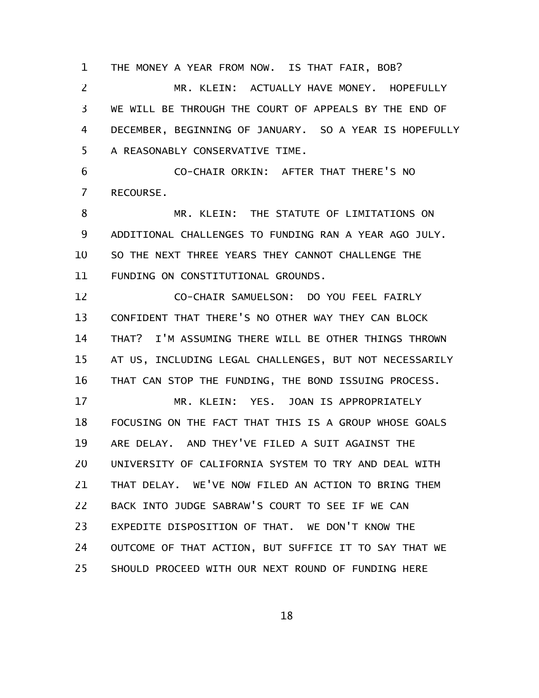THE MONEY A YEAR FROM NOW. IS THAT FAIR, BOB? MR. KLEIN: ACTUALLY HAVE MONEY. HOPEFULLY WE WILL BE THROUGH THE COURT OF APPEALS BY THE END OF DECEMBER, BEGINNING OF JANUARY. SO A YEAR IS HOPEFULLY A REASONABLY CONSERVATIVE TIME. 1 2 3 4 5

CO-CHAIR ORKIN: AFTER THAT THERE'S NO RECOURSE. 6 7

MR. KLEIN: THE STATUTE OF LIMITATIONS ON ADDITIONAL CHALLENGES TO FUNDING RAN A YEAR AGO JULY. SO THE NEXT THREE YEARS THEY CANNOT CHALLENGE THE FUNDING ON CONSTITUTIONAL GROUNDS. 8 9 10 11

CO-CHAIR SAMUELSON: DO YOU FEEL FAIRLY CONFIDENT THAT THERE'S NO OTHER WAY THEY CAN BLOCK THAT? I'M ASSUMING THERE WILL BE OTHER THINGS THROWN AT US, INCLUDING LEGAL CHALLENGES, BUT NOT NECESSARILY THAT CAN STOP THE FUNDING, THE BOND ISSUING PROCESS. 12 13 14 15 16

MR. KLEIN: YES. JOAN IS APPROPRIATELY FOCUSING ON THE FACT THAT THIS IS A GROUP WHOSE GOALS ARE DELAY. AND THEY'VE FILED A SUIT AGAINST THE UNIVERSITY OF CALIFORNIA SYSTEM TO TRY AND DEAL WITH THAT DELAY. WE'VE NOW FILED AN ACTION TO BRING THEM BACK INTO JUDGE SABRAW'S COURT TO SEE IF WE CAN EXPEDITE DISPOSITION OF THAT. WE DON'T KNOW THE OUTCOME OF THAT ACTION, BUT SUFFICE IT TO SAY THAT WE SHOULD PROCEED WITH OUR NEXT ROUND OF FUNDING HERE 17 18 19 20 21 22 23 24 25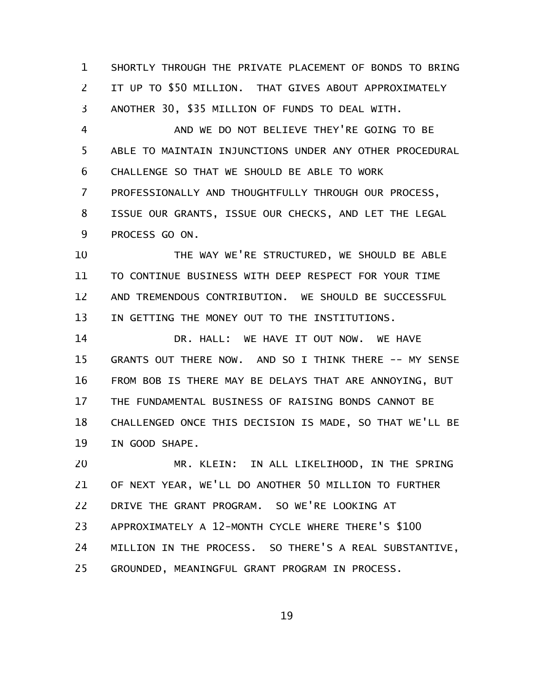SHORTLY THROUGH THE PRIVATE PLACEMENT OF BONDS TO BRING IT UP TO \$50 MILLION. THAT GIVES ABOUT APPROXIMATELY ANOTHER 30, \$35 MILLION OF FUNDS TO DEAL WITH. 1 2 3

AND WE DO NOT BELIEVE THEY'RE GOING TO BE ABLE TO MAINTAIN INJUNCTIONS UNDER ANY OTHER PROCEDURAL CHALLENGE SO THAT WE SHOULD BE ABLE TO WORK PROFESSIONALLY AND THOUGHTFULLY THROUGH OUR PROCESS, ISSUE OUR GRANTS, ISSUE OUR CHECKS, AND LET THE LEGAL PROCESS GO ON. 4 5 6 7 8 9

THE WAY WE'RE STRUCTURED, WE SHOULD BE ABLE TO CONTINUE BUSINESS WITH DEEP RESPECT FOR YOUR TIME AND TREMENDOUS CONTRIBUTION. WE SHOULD BE SUCCESSFUL IN GETTING THE MONEY OUT TO THE INSTITUTIONS. 10 11 12 13

DR. HALL: WE HAVE IT OUT NOW. WE HAVE GRANTS OUT THERE NOW. AND SO I THINK THERE -- MY SENSE FROM BOB IS THERE MAY BE DELAYS THAT ARE ANNOYING, BUT THE FUNDAMENTAL BUSINESS OF RAISING BONDS CANNOT BE CHALLENGED ONCE THIS DECISION IS MADE, SO THAT WE'LL BE IN GOOD SHAPE. 14 15 16 17 18 19

MR. KLEIN: IN ALL LIKELIHOOD, IN THE SPRING OF NEXT YEAR, WE'LL DO ANOTHER 50 MILLION TO FURTHER DRIVE THE GRANT PROGRAM. SO WE'RE LOOKING AT APPROXIMATELY A 12-MONTH CYCLE WHERE THERE'S \$100 MILLION IN THE PROCESS. SO THERE'S A REAL SUBSTANTIVE, GROUNDED, MEANINGFUL GRANT PROGRAM IN PROCESS. 20 21 22 23 24 25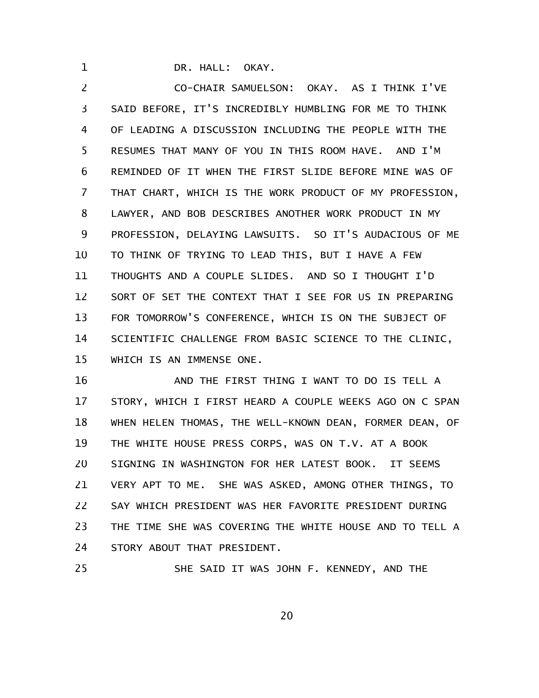DR. HALL: OKAY.

1

CO-CHAIR SAMUELSON: OKAY. AS I THINK I'VE SAID BEFORE, IT'S INCREDIBLY HUMBLING FOR ME TO THINK OF LEADING A DISCUSSION INCLUDING THE PEOPLE WITH THE RESUMES THAT MANY OF YOU IN THIS ROOM HAVE. AND I'M REMINDED OF IT WHEN THE FIRST SLIDE BEFORE MINE WAS OF THAT CHART, WHICH IS THE WORK PRODUCT OF MY PROFESSION, LAWYER, AND BOB DESCRIBES ANOTHER WORK PRODUCT IN MY PROFESSION, DELAYING LAWSUITS. SO IT'S AUDACIOUS OF ME TO THINK OF TRYING TO LEAD THIS, BUT I HAVE A FEW THOUGHTS AND A COUPLE SLIDES. AND SO I THOUGHT I'D SORT OF SET THE CONTEXT THAT I SEE FOR US IN PREPARING FOR TOMORROW'S CONFERENCE, WHICH IS ON THE SUBJECT OF SCIENTIFIC CHALLENGE FROM BASIC SCIENCE TO THE CLINIC, WHICH IS AN IMMENSE ONE. 2 3 4 5 6 7 8 9 10 11 12 13 14 15

AND THE FIRST THING I WANT TO DO IS TELL A STORY, WHICH I FIRST HEARD A COUPLE WEEKS AGO ON C SPAN WHEN HELEN THOMAS, THE WELL-KNOWN DEAN, FORMER DEAN, OF THE WHITE HOUSE PRESS CORPS, WAS ON T.V. AT A BOOK SIGNING IN WASHINGTON FOR HER LATEST BOOK. IT SEEMS VERY APT TO ME. SHE WAS ASKED, AMONG OTHER THINGS, TO SAY WHICH PRESIDENT WAS HER FAVORITE PRESIDENT DURING THE TIME SHE WAS COVERING THE WHITE HOUSE AND TO TELL A STORY ABOUT THAT PRESIDENT. 16 17 18 19 20 21 22 23 24

SHE SAID IT WAS JOHN F. KENNEDY, AND THE 25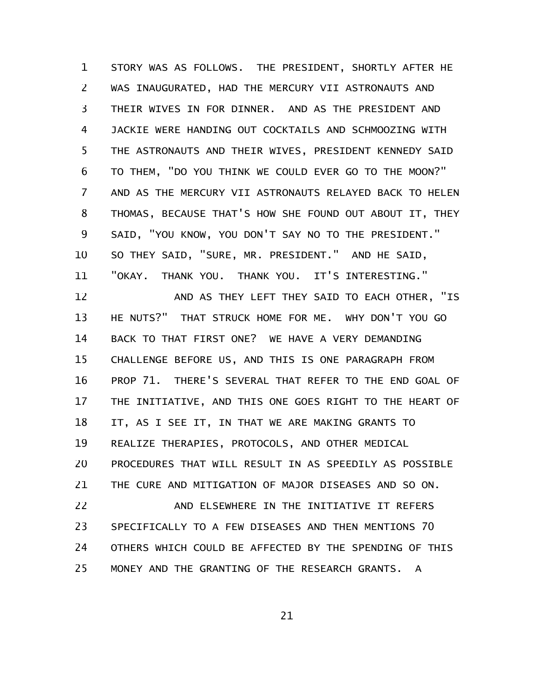STORY WAS AS FOLLOWS. THE PRESIDENT, SHORTLY AFTER HE WAS INAUGURATED, HAD THE MERCURY VII ASTRONAUTS AND THEIR WIVES IN FOR DINNER. AND AS THE PRESIDENT AND JACKIE WERE HANDING OUT COCKTAILS AND SCHMOOZING WITH THE ASTRONAUTS AND THEIR WIVES, PRESIDENT KENNEDY SAID TO THEM, "DO YOU THINK WE COULD EVER GO TO THE MOON?" AND AS THE MERCURY VII ASTRONAUTS RELAYED BACK TO HELEN THOMAS, BECAUSE THAT'S HOW SHE FOUND OUT ABOUT IT, THEY SAID, "YOU KNOW, YOU DON'T SAY NO TO THE PRESIDENT." SO THEY SAID, "SURE, MR. PRESIDENT." AND HE SAID, "OKAY. THANK YOU. THANK YOU. IT'S INTERESTING." 1 2 3 4 5 6 7 8 9 10 11

AND AS THEY LEFT THEY SAID TO EACH OTHER, "IS HE NUTS?" THAT STRUCK HOME FOR ME. WHY DON'T YOU GO BACK TO THAT FIRST ONE? WE HAVE A VERY DEMANDING CHALLENGE BEFORE US, AND THIS IS ONE PARAGRAPH FROM PROP 71. THERE'S SEVERAL THAT REFER TO THE END GOAL OF THE INITIATIVE, AND THIS ONE GOES RIGHT TO THE HEART OF IT, AS I SEE IT, IN THAT WE ARE MAKING GRANTS TO REALIZE THERAPIES, PROTOCOLS, AND OTHER MEDICAL PROCEDURES THAT WILL RESULT IN AS SPEEDILY AS POSSIBLE THE CURE AND MITIGATION OF MAJOR DISEASES AND SO ON. AND ELSEWHERE IN THE INITIATIVE IT REFERS SPECIFICALLY TO A FEW DISEASES AND THEN MENTIONS 70 OTHERS WHICH COULD BE AFFECTED BY THE SPENDING OF THIS 12 13 14 15 16 17 18 19 20 21 22 23 24

MONEY AND THE GRANTING OF THE RESEARCH GRANTS. A 25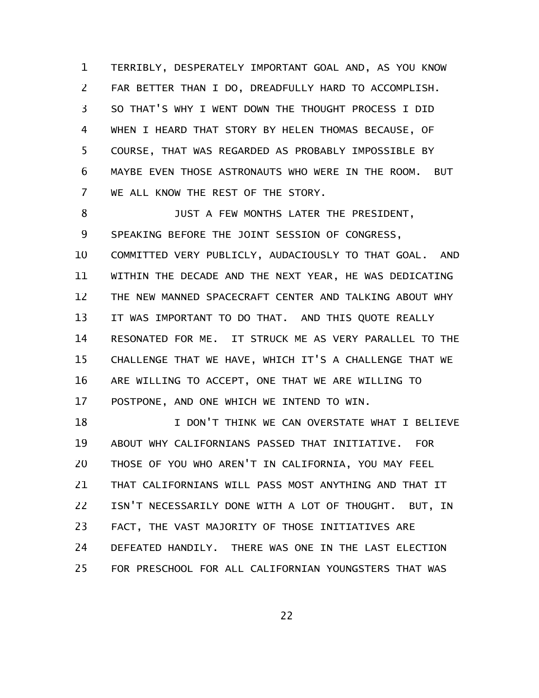TERRIBLY, DESPERATELY IMPORTANT GOAL AND, AS YOU KNOW FAR BETTER THAN I DO, DREADFULLY HARD TO ACCOMPLISH. SO THAT'S WHY I WENT DOWN THE THOUGHT PROCESS I DID WHEN I HEARD THAT STORY BY HELEN THOMAS BECAUSE, OF COURSE, THAT WAS REGARDED AS PROBABLY IMPOSSIBLE BY MAYBE EVEN THOSE ASTRONAUTS WHO WERE IN THE ROOM. BUT WE ALL KNOW THE REST OF THE STORY. 1 2 3 4 5 6 7

JUST A FEW MONTHS LATER THE PRESIDENT, SPEAKING BEFORE THE JOINT SESSION OF CONGRESS, COMMITTED VERY PUBLICLY, AUDACIOUSLY TO THAT GOAL. AND WITHIN THE DECADE AND THE NEXT YEAR, HE WAS DEDICATING THE NEW MANNED SPACECRAFT CENTER AND TALKING ABOUT WHY IT WAS IMPORTANT TO DO THAT. AND THIS QUOTE REALLY RESONATED FOR ME. IT STRUCK ME AS VERY PARALLEL TO THE CHALLENGE THAT WE HAVE, WHICH IT'S A CHALLENGE THAT WE ARE WILLING TO ACCEPT, ONE THAT WE ARE WILLING TO POSTPONE, AND ONE WHICH WE INTEND TO WIN. 8 9 10 11 12 13 14 15 16 17

I DON'T THINK WE CAN OVERSTATE WHAT I BELIEVE ABOUT WHY CALIFORNIANS PASSED THAT INITIATIVE. FOR THOSE OF YOU WHO AREN'T IN CALIFORNIA, YOU MAY FEEL THAT CALIFORNIANS WILL PASS MOST ANYTHING AND THAT IT ISN'T NECESSARILY DONE WITH A LOT OF THOUGHT. BUT, IN FACT, THE VAST MAJORITY OF THOSE INITIATIVES ARE DEFEATED HANDILY. THERE WAS ONE IN THE LAST ELECTION FOR PRESCHOOL FOR ALL CALIFORNIAN YOUNGSTERS THAT WAS 18 19 20 21 22 23 24 25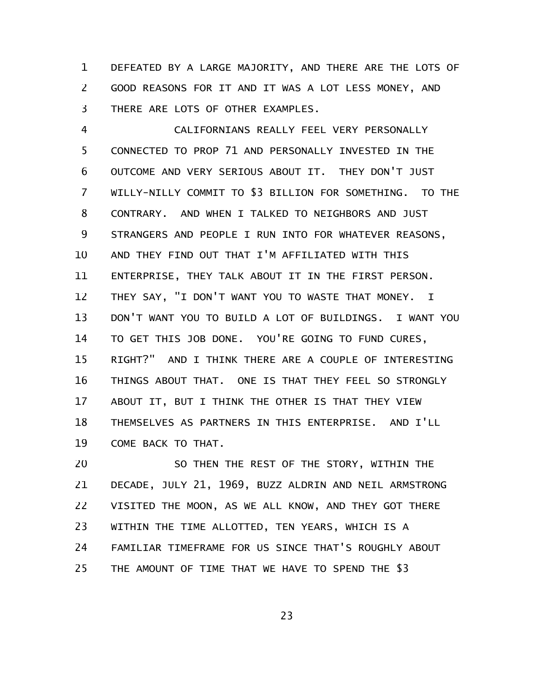DEFEATED BY A LARGE MAJORITY, AND THERE ARE THE LOTS OF GOOD REASONS FOR IT AND IT WAS A LOT LESS MONEY, AND THERE ARE LOTS OF OTHER EXAMPLES. 1 2 3

CALIFORNIANS REALLY FEEL VERY PERSONALLY CONNECTED TO PROP 71 AND PERSONALLY INVESTED IN THE OUTCOME AND VERY SERIOUS ABOUT IT. THEY DON'T JUST WILLY-NILLY COMMIT TO \$3 BILLION FOR SOMETHING. TO THE CONTRARY. AND WHEN I TALKED TO NEIGHBORS AND JUST STRANGERS AND PEOPLE I RUN INTO FOR WHATEVER REASONS, AND THEY FIND OUT THAT I'M AFFILIATED WITH THIS ENTERPRISE, THEY TALK ABOUT IT IN THE FIRST PERSON. THEY SAY, "I DON'T WANT YOU TO WASTE THAT MONEY. I DON'T WANT YOU TO BUILD A LOT OF BUILDINGS. I WANT YOU TO GET THIS JOB DONE. YOU'RE GOING TO FUND CURES, RIGHT?" AND I THINK THERE ARE A COUPLE OF INTERESTING THINGS ABOUT THAT. ONE IS THAT THEY FEEL SO STRONGLY ABOUT IT, BUT I THINK THE OTHER IS THAT THEY VIEW THEMSELVES AS PARTNERS IN THIS ENTERPRISE. AND I'LL COME BACK TO THAT. 4 5 6 7 8 9 10 11 12 13 14 15 16 17 18 19

SO THEN THE REST OF THE STORY, WITHIN THE DECADE, JULY 21, 1969, BUZZ ALDRIN AND NEIL ARMSTRONG VISITED THE MOON, AS WE ALL KNOW, AND THEY GOT THERE WITHIN THE TIME ALLOTTED, TEN YEARS, WHICH IS A FAMILIAR TIMEFRAME FOR US SINCE THAT'S ROUGHLY ABOUT THE AMOUNT OF TIME THAT WE HAVE TO SPEND THE \$3 20 21 22 23 24 25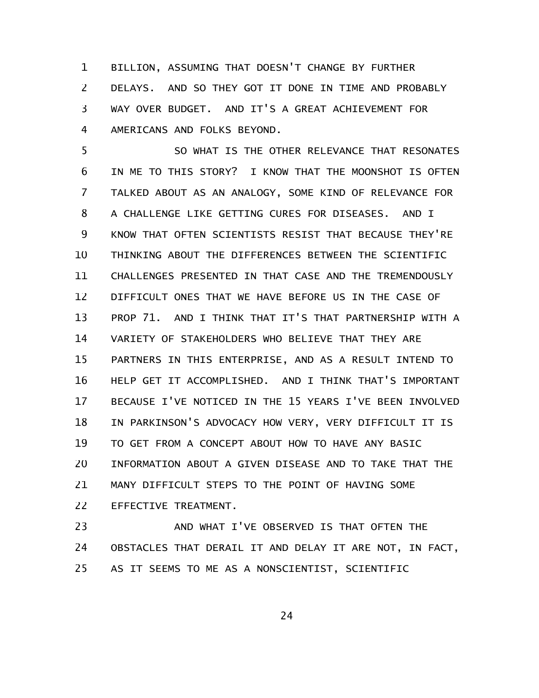BILLION, ASSUMING THAT DOESN'T CHANGE BY FURTHER DELAYS. AND SO THEY GOT IT DONE IN TIME AND PROBABLY WAY OVER BUDGET. AND IT'S A GREAT ACHIEVEMENT FOR AMERICANS AND FOLKS BEYOND. 1 2 3 4

SO WHAT IS THE OTHER RELEVANCE THAT RESONATES IN ME TO THIS STORY? I KNOW THAT THE MOONSHOT IS OFTEN TALKED ABOUT AS AN ANALOGY, SOME KIND OF RELEVANCE FOR A CHALLENGE LIKE GETTING CURES FOR DISEASES. AND I KNOW THAT OFTEN SCIENTISTS RESIST THAT BECAUSE THEY'RE THINKING ABOUT THE DIFFERENCES BETWEEN THE SCIENTIFIC CHALLENGES PRESENTED IN THAT CASE AND THE TREMENDOUSLY DIFFICULT ONES THAT WE HAVE BEFORE US IN THE CASE OF PROP 71. AND I THINK THAT IT'S THAT PARTNERSHIP WITH A VARIETY OF STAKEHOLDERS WHO BELIEVE THAT THEY ARE PARTNERS IN THIS ENTERPRISE, AND AS A RESULT INTEND TO HELP GET IT ACCOMPLISHED. AND I THINK THAT'S IMPORTANT BECAUSE I'VE NOTICED IN THE 15 YEARS I'VE BEEN INVOLVED IN PARKINSON'S ADVOCACY HOW VERY, VERY DIFFICULT IT IS TO GET FROM A CONCEPT ABOUT HOW TO HAVE ANY BASIC INFORMATION ABOUT A GIVEN DISEASE AND TO TAKE THAT THE MANY DIFFICULT STEPS TO THE POINT OF HAVING SOME EFFECTIVE TREATMENT. 5 6 7 8 9 10 11 12 13 14 15 16 17 18 19 20 21 22

AND WHAT I'VE OBSERVED IS THAT OFTEN THE OBSTACLES THAT DERAIL IT AND DELAY IT ARE NOT, IN FACT, AS IT SEEMS TO ME AS A NONSCIENTIST, SCIENTIFIC 23 24 25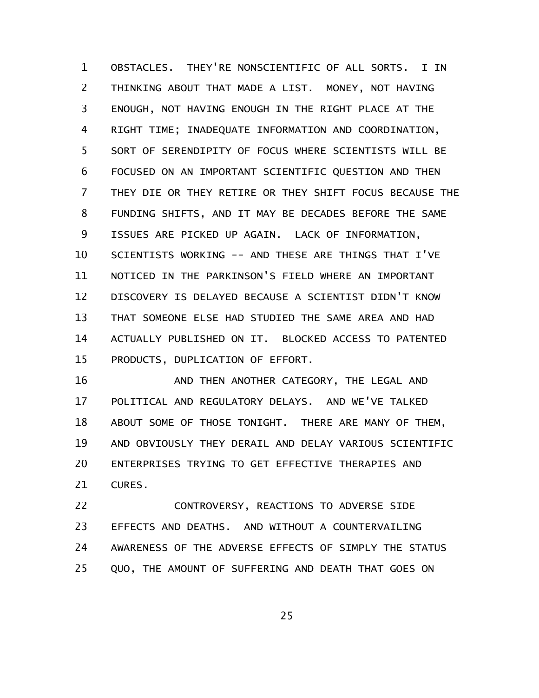OBSTACLES. THEY'RE NONSCIENTIFIC OF ALL SORTS. I IN THINKING ABOUT THAT MADE A LIST. MONEY, NOT HAVING ENOUGH, NOT HAVING ENOUGH IN THE RIGHT PLACE AT THE RIGHT TIME; INADEQUATE INFORMATION AND COORDINATION, SORT OF SERENDIPITY OF FOCUS WHERE SCIENTISTS WILL BE FOCUSED ON AN IMPORTANT SCIENTIFIC QUESTION AND THEN THEY DIE OR THEY RETIRE OR THEY SHIFT FOCUS BECAUSE THE FUNDING SHIFTS, AND IT MAY BE DECADES BEFORE THE SAME ISSUES ARE PICKED UP AGAIN. LACK OF INFORMATION, SCIENTISTS WORKING -- AND THESE ARE THINGS THAT I'VE NOTICED IN THE PARKINSON'S FIELD WHERE AN IMPORTANT DISCOVERY IS DELAYED BECAUSE A SCIENTIST DIDN'T KNOW THAT SOMEONE ELSE HAD STUDIED THE SAME AREA AND HAD ACTUALLY PUBLISHED ON IT. BLOCKED ACCESS TO PATENTED PRODUCTS, DUPLICATION OF EFFORT. 1 2 3 4 5 6 7 8 9 10 11 12 13 14 15

AND THEN ANOTHER CATEGORY, THE LEGAL AND POLITICAL AND REGULATORY DELAYS. AND WE'VE TALKED ABOUT SOME OF THOSE TONIGHT. THERE ARE MANY OF THEM, AND OBVIOUSLY THEY DERAIL AND DELAY VARIOUS SCIENTIFIC ENTERPRISES TRYING TO GET EFFECTIVE THERAPIES AND CURES. 16 17 18 19 20 21

CONTROVERSY, REACTIONS TO ADVERSE SIDE EFFECTS AND DEATHS. AND WITHOUT A COUNTERVAILING AWARENESS OF THE ADVERSE EFFECTS OF SIMPLY THE STATUS QUO, THE AMOUNT OF SUFFERING AND DEATH THAT GOES ON 22 23 24 25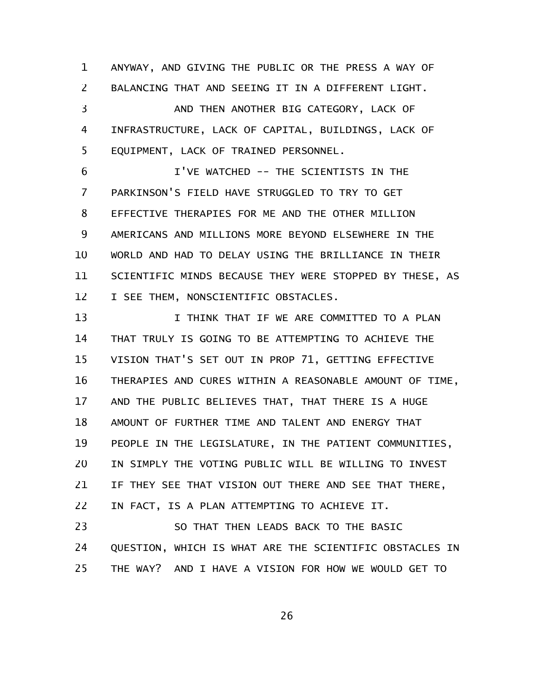ANYWAY, AND GIVING THE PUBLIC OR THE PRESS A WAY OF BALANCING THAT AND SEEING IT IN A DIFFERENT LIGHT. AND THEN ANOTHER BIG CATEGORY, LACK OF 1 2 3

INFRASTRUCTURE, LACK OF CAPITAL, BUILDINGS, LACK OF EQUIPMENT, LACK OF TRAINED PERSONNEL. 4 5

I'VE WATCHED -- THE SCIENTISTS IN THE PARKINSON'S FIELD HAVE STRUGGLED TO TRY TO GET EFFECTIVE THERAPIES FOR ME AND THE OTHER MILLION AMERICANS AND MILLIONS MORE BEYOND ELSEWHERE IN THE WORLD AND HAD TO DELAY USING THE BRILLIANCE IN THEIR SCIENTIFIC MINDS BECAUSE THEY WERE STOPPED BY THESE, AS I SEE THEM, NONSCIENTIFIC OBSTACLES. 6 7 8 9 10 11 12

I THINK THAT IF WE ARE COMMITTED TO A PLAN THAT TRULY IS GOING TO BE ATTEMPTING TO ACHIEVE THE VISION THAT'S SET OUT IN PROP 71, GETTING EFFECTIVE THERAPIES AND CURES WITHIN A REASONABLE AMOUNT OF TIME, AND THE PUBLIC BELIEVES THAT, THAT THERE IS A HUGE AMOUNT OF FURTHER TIME AND TALENT AND ENERGY THAT PEOPLE IN THE LEGISLATURE, IN THE PATIENT COMMUNITIES, IN SIMPLY THE VOTING PUBLIC WILL BE WILLING TO INVEST IF THEY SEE THAT VISION OUT THERE AND SEE THAT THERE, IN FACT, IS A PLAN ATTEMPTING TO ACHIEVE IT. 13 14 15 16 17 18 19 20 21 22

SO THAT THEN LEADS BACK TO THE BASIC QUESTION, WHICH IS WHAT ARE THE SCIENTIFIC OBSTACLES IN THE WAY? AND I HAVE A VISION FOR HOW WE WOULD GET TO 23 24 25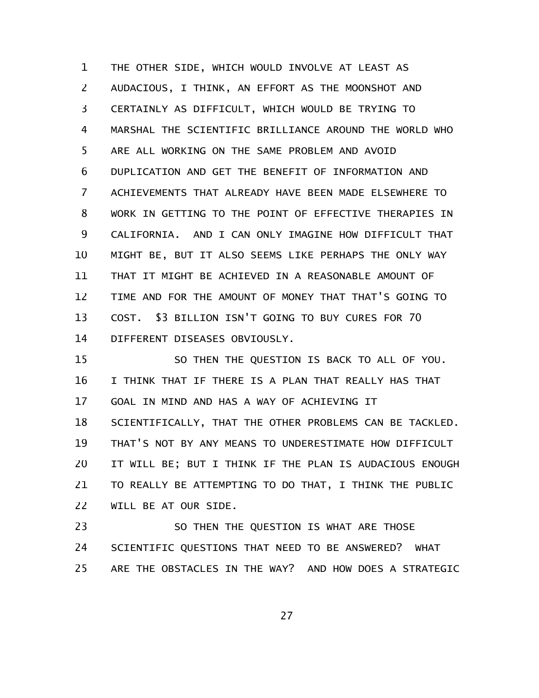THE OTHER SIDE, WHICH WOULD INVOLVE AT LEAST AS AUDACIOUS, I THINK, AN EFFORT AS THE MOONSHOT AND CERTAINLY AS DIFFICULT, WHICH WOULD BE TRYING TO MARSHAL THE SCIENTIFIC BRILLIANCE AROUND THE WORLD WHO ARE ALL WORKING ON THE SAME PROBLEM AND AVOID DUPLICATION AND GET THE BENEFIT OF INFORMATION AND ACHIEVEMENTS THAT ALREADY HAVE BEEN MADE ELSEWHERE TO WORK IN GETTING TO THE POINT OF EFFECTIVE THERAPIES IN CALIFORNIA. AND I CAN ONLY IMAGINE HOW DIFFICULT THAT MIGHT BE, BUT IT ALSO SEEMS LIKE PERHAPS THE ONLY WAY THAT IT MIGHT BE ACHIEVED IN A REASONABLE AMOUNT OF TIME AND FOR THE AMOUNT OF MONEY THAT THAT'S GOING TO COST. \$3 BILLION ISN'T GOING TO BUY CURES FOR 70 DIFFERENT DISEASES OBVIOUSLY. 1 2 3 4 5 6 7 8 9 10 11 12 13 14

SO THEN THE QUESTION IS BACK TO ALL OF YOU. I THINK THAT IF THERE IS A PLAN THAT REALLY HAS THAT GOAL IN MIND AND HAS A WAY OF ACHIEVING IT SCIENTIFICALLY, THAT THE OTHER PROBLEMS CAN BE TACKLED. THAT'S NOT BY ANY MEANS TO UNDERESTIMATE HOW DIFFICULT IT WILL BE; BUT I THINK IF THE PLAN IS AUDACIOUS ENOUGH TO REALLY BE ATTEMPTING TO DO THAT, I THINK THE PUBLIC WILL BE AT OUR SIDE. 15 16 17 18 19 20 21 22

SO THEN THE QUESTION IS WHAT ARE THOSE SCIENTIFIC QUESTIONS THAT NEED TO BE ANSWERED? WHAT ARE THE OBSTACLES IN THE WAY? AND HOW DOES A STRATEGIC 23 24 25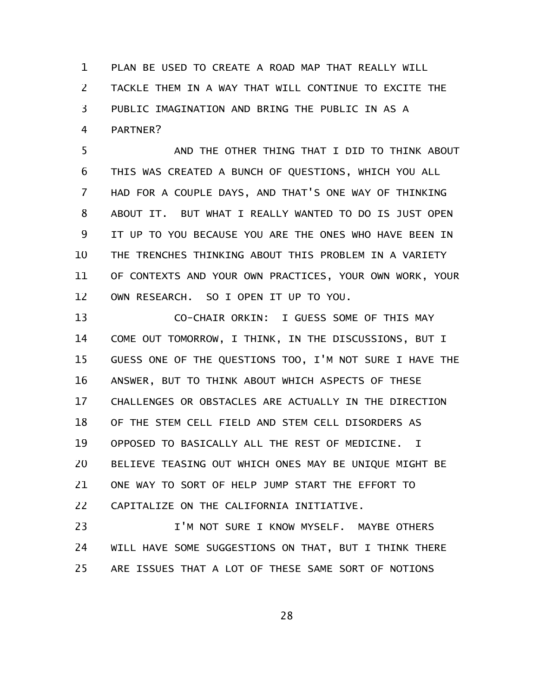PLAN BE USED TO CREATE A ROAD MAP THAT REALLY WILL TACKLE THEM IN A WAY THAT WILL CONTINUE TO EXCITE THE PUBLIC IMAGINATION AND BRING THE PUBLIC IN AS A PARTNER? 1 2 3 4

AND THE OTHER THING THAT I DID TO THINK ABOUT THIS WAS CREATED A BUNCH OF QUESTIONS, WHICH YOU ALL HAD FOR A COUPLE DAYS, AND THAT'S ONE WAY OF THINKING ABOUT IT. BUT WHAT I REALLY WANTED TO DO IS JUST OPEN IT UP TO YOU BECAUSE YOU ARE THE ONES WHO HAVE BEEN IN THE TRENCHES THINKING ABOUT THIS PROBLEM IN A VARIETY OF CONTEXTS AND YOUR OWN PRACTICES, YOUR OWN WORK, YOUR OWN RESEARCH. SO I OPEN IT UP TO YOU. 5 6 7 8 9 10 11 12

CO-CHAIR ORKIN: I GUESS SOME OF THIS MAY COME OUT TOMORROW, I THINK, IN THE DISCUSSIONS, BUT I GUESS ONE OF THE QUESTIONS TOO, I'M NOT SURE I HAVE THE ANSWER, BUT TO THINK ABOUT WHICH ASPECTS OF THESE CHALLENGES OR OBSTACLES ARE ACTUALLY IN THE DIRECTION OF THE STEM CELL FIELD AND STEM CELL DISORDERS AS OPPOSED TO BASICALLY ALL THE REST OF MEDICINE. I BELIEVE TEASING OUT WHICH ONES MAY BE UNIQUE MIGHT BE ONE WAY TO SORT OF HELP JUMP START THE EFFORT TO CAPITALIZE ON THE CALIFORNIA INITIATIVE. 13 14 15 16 17 18 19 20 21 22

I'M NOT SURE I KNOW MYSELF. MAYBE OTHERS WILL HAVE SOME SUGGESTIONS ON THAT, BUT I THINK THERE ARE ISSUES THAT A LOT OF THESE SAME SORT OF NOTIONS 23 24 25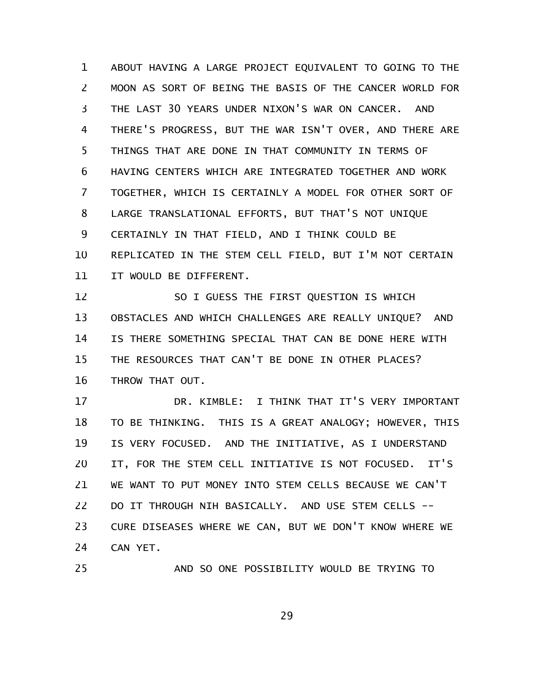ABOUT HAVING A LARGE PROJECT EQUIVALENT TO GOING TO THE MOON AS SORT OF BEING THE BASIS OF THE CANCER WORLD FOR THE LAST 30 YEARS UNDER NIXON'S WAR ON CANCER. AND THERE'S PROGRESS, BUT THE WAR ISN'T OVER, AND THERE ARE THINGS THAT ARE DONE IN THAT COMMUNITY IN TERMS OF HAVING CENTERS WHICH ARE INTEGRATED TOGETHER AND WORK TOGETHER, WHICH IS CERTAINLY A MODEL FOR OTHER SORT OF LARGE TRANSLATIONAL EFFORTS, BUT THAT'S NOT UNIQUE CERTAINLY IN THAT FIELD, AND I THINK COULD BE REPLICATED IN THE STEM CELL FIELD, BUT I'M NOT CERTAIN IT WOULD BE DIFFERENT. 1 2 3 4 5 6 7 8 9 10 11

SO I GUESS THE FIRST QUESTION IS WHICH OBSTACLES AND WHICH CHALLENGES ARE REALLY UNIQUE? AND IS THERE SOMETHING SPECIAL THAT CAN BE DONE HERE WITH THE RESOURCES THAT CAN'T BE DONE IN OTHER PLACES? THROW THAT OUT. 12 13 14 15 16

DR. KIMBLE: I THINK THAT IT'S VERY IMPORTANT TO BE THINKING. THIS IS A GREAT ANALOGY; HOWEVER, THIS IS VERY FOCUSED. AND THE INITIATIVE, AS I UNDERSTAND IT, FOR THE STEM CELL INITIATIVE IS NOT FOCUSED. IT'S WE WANT TO PUT MONEY INTO STEM CELLS BECAUSE WE CAN'T DO IT THROUGH NIH BASICALLY. AND USE STEM CELLS -- CURE DISEASES WHERE WE CAN, BUT WE DON'T KNOW WHERE WE CAN YET. 17 18 19 20 21 22 23 24

25

AND SO ONE POSSIBILITY WOULD BE TRYING TO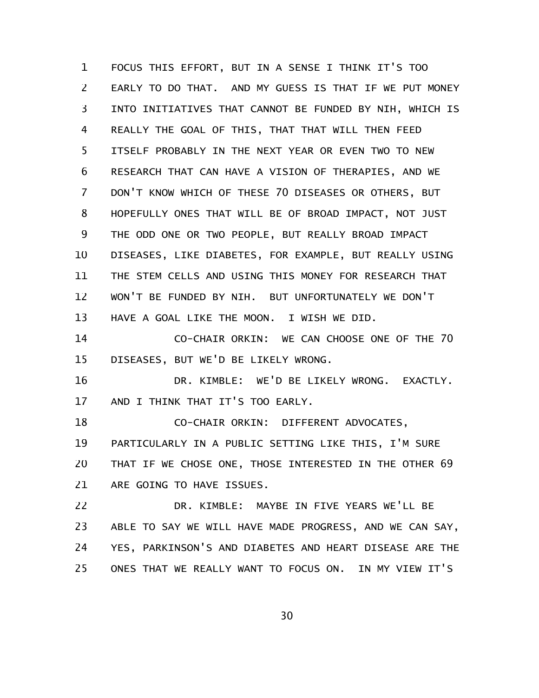FOCUS THIS EFFORT, BUT IN A SENSE I THINK IT'S TOO EARLY TO DO THAT. AND MY GUESS IS THAT IF WE PUT MONEY INTO INITIATIVES THAT CANNOT BE FUNDED BY NIH, WHICH IS REALLY THE GOAL OF THIS, THAT THAT WILL THEN FEED ITSELF PROBABLY IN THE NEXT YEAR OR EVEN TWO TO NEW RESEARCH THAT CAN HAVE A VISION OF THERAPIES, AND WE DON'T KNOW WHICH OF THESE 70 DISEASES OR OTHERS, BUT HOPEFULLY ONES THAT WILL BE OF BROAD IMPACT, NOT JUST THE ODD ONE OR TWO PEOPLE, BUT REALLY BROAD IMPACT DISEASES, LIKE DIABETES, FOR EXAMPLE, BUT REALLY USING THE STEM CELLS AND USING THIS MONEY FOR RESEARCH THAT WON'T BE FUNDED BY NIH. BUT UNFORTUNATELY WE DON'T HAVE A GOAL LIKE THE MOON. I WISH WE DID. 1 2 3 4 5 6 7 8 9 10 11 12 13

CO-CHAIR ORKIN: WE CAN CHOOSE ONE OF THE 70 DISEASES, BUT WE'D BE LIKELY WRONG. 14 15

DR. KIMBLE: WE'D BE LIKELY WRONG. EXACTLY. AND I THINK THAT IT'S TOO EARLY. 16 17

CO-CHAIR ORKIN: DIFFERENT ADVOCATES, PARTICULARLY IN A PUBLIC SETTING LIKE THIS, I'M SURE THAT IF WE CHOSE ONE, THOSE INTERESTED IN THE OTHER 69 ARE GOING TO HAVE ISSUES. 18 19 20 21

DR. KIMBLE: MAYBE IN FIVE YEARS WE'LL BE ABLE TO SAY WE WILL HAVE MADE PROGRESS, AND WE CAN SAY, YES, PARKINSON'S AND DIABETES AND HEART DISEASE ARE THE ONES THAT WE REALLY WANT TO FOCUS ON. IN MY VIEW IT'S 22 23 24 25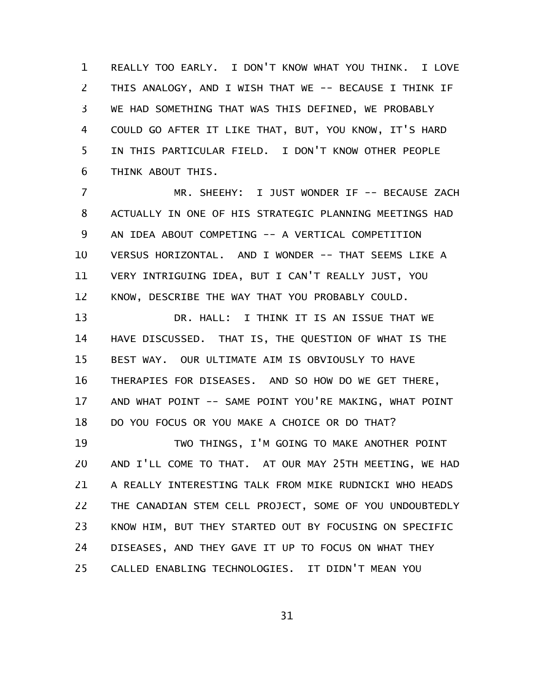REALLY TOO EARLY. I DON'T KNOW WHAT YOU THINK. I LOVE THIS ANALOGY, AND I WISH THAT WE -- BECAUSE I THINK IF WE HAD SOMETHING THAT WAS THIS DEFINED, WE PROBABLY COULD GO AFTER IT LIKE THAT, BUT, YOU KNOW, IT'S HARD IN THIS PARTICULAR FIELD. I DON'T KNOW OTHER PEOPLE THINK ABOUT THIS. 1 2 3 4 5 6

MR. SHEEHY: I JUST WONDER IF -- BECAUSE ZACH ACTUALLY IN ONE OF HIS STRATEGIC PLANNING MEETINGS HAD AN IDEA ABOUT COMPETING -- A VERTICAL COMPETITION VERSUS HORIZONTAL. AND I WONDER -- THAT SEEMS LIKE A VERY INTRIGUING IDEA, BUT I CAN'T REALLY JUST, YOU KNOW, DESCRIBE THE WAY THAT YOU PROBABLY COULD. 7 8 9 10 11 12

DR. HALL: I THINK IT IS AN ISSUE THAT WE HAVE DISCUSSED. THAT IS, THE QUESTION OF WHAT IS THE BEST WAY. OUR ULTIMATE AIM IS OBVIOUSLY TO HAVE THERAPIES FOR DISEASES. AND SO HOW DO WE GET THERE, AND WHAT POINT -- SAME POINT YOU'RE MAKING, WHAT POINT DO YOU FOCUS OR YOU MAKE A CHOICE OR DO THAT? 13 14 15 16 17 18

TWO THINGS, I'M GOING TO MAKE ANOTHER POINT AND I'LL COME TO THAT. AT OUR MAY 25TH MEETING, WE HAD A REALLY INTERESTING TALK FROM MIKE RUDNICKI WHO HEADS THE CANADIAN STEM CELL PROJECT, SOME OF YOU UNDOUBTEDLY KNOW HIM, BUT THEY STARTED OUT BY FOCUSING ON SPECIFIC DISEASES, AND THEY GAVE IT UP TO FOCUS ON WHAT THEY CALLED ENABLING TECHNOLOGIES. IT DIDN'T MEAN YOU 19 20 21 22 23 24 25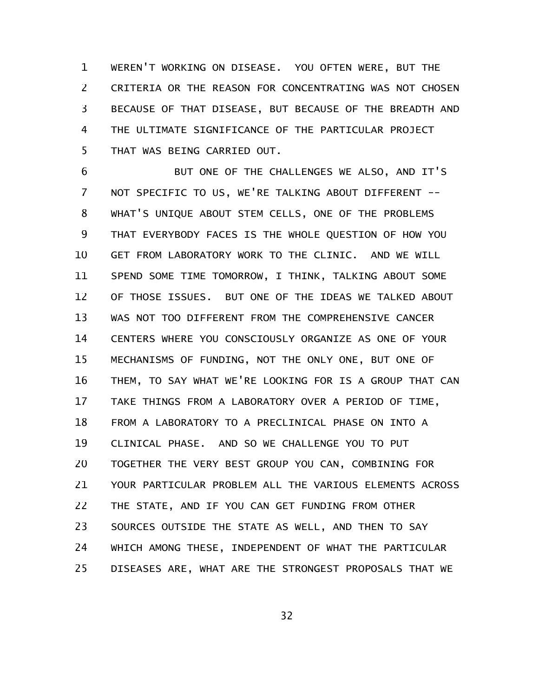WEREN'T WORKING ON DISEASE. YOU OFTEN WERE, BUT THE CRITERIA OR THE REASON FOR CONCENTRATING WAS NOT CHOSEN BECAUSE OF THAT DISEASE, BUT BECAUSE OF THE BREADTH AND THE ULTIMATE SIGNIFICANCE OF THE PARTICULAR PROJECT THAT WAS BEING CARRIED OUT. 1 2 3 4 5

BUT ONE OF THE CHALLENGES WE ALSO, AND IT'S NOT SPECIFIC TO US, WE'RE TALKING ABOUT DIFFERENT -- WHAT'S UNIQUE ABOUT STEM CELLS, ONE OF THE PROBLEMS THAT EVERYBODY FACES IS THE WHOLE QUESTION OF HOW YOU GET FROM LABORATORY WORK TO THE CLINIC. AND WE WILL SPEND SOME TIME TOMORROW, I THINK, TALKING ABOUT SOME OF THOSE ISSUES. BUT ONE OF THE IDEAS WE TALKED ABOUT WAS NOT TOO DIFFERENT FROM THE COMPREHENSIVE CANCER CENTERS WHERE YOU CONSCIOUSLY ORGANIZE AS ONE OF YOUR MECHANISMS OF FUNDING, NOT THE ONLY ONE, BUT ONE OF THEM, TO SAY WHAT WE'RE LOOKING FOR IS A GROUP THAT CAN TAKE THINGS FROM A LABORATORY OVER A PERIOD OF TIME, FROM A LABORATORY TO A PRECLINICAL PHASE ON INTO A CLINICAL PHASE. AND SO WE CHALLENGE YOU TO PUT TOGETHER THE VERY BEST GROUP YOU CAN, COMBINING FOR YOUR PARTICULAR PROBLEM ALL THE VARIOUS ELEMENTS ACROSS THE STATE, AND IF YOU CAN GET FUNDING FROM OTHER SOURCES OUTSIDE THE STATE AS WELL, AND THEN TO SAY WHICH AMONG THESE, INDEPENDENT OF WHAT THE PARTICULAR DISEASES ARE, WHAT ARE THE STRONGEST PROPOSALS THAT WE 6 7 8 9 10 11 12 13 14 15 16 17 18 19 20 21 22 23 24 25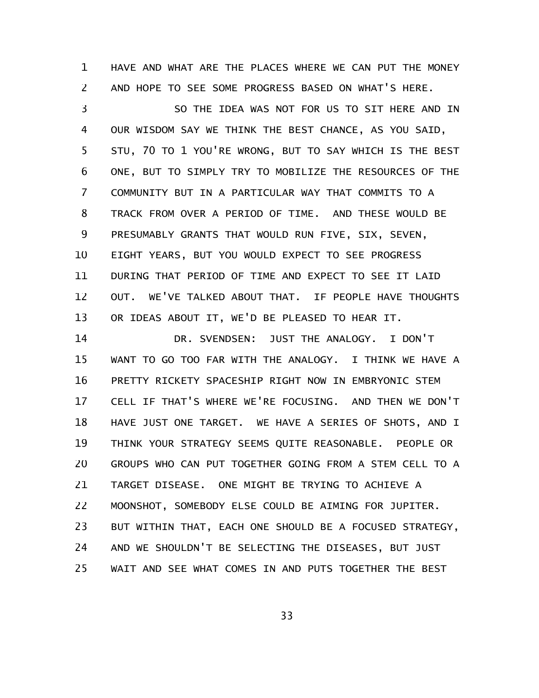HAVE AND WHAT ARE THE PLACES WHERE WE CAN PUT THE MONEY AND HOPE TO SEE SOME PROGRESS BASED ON WHAT'S HERE. 1 2

SO THE IDEA WAS NOT FOR US TO SIT HERE AND IN OUR WISDOM SAY WE THINK THE BEST CHANCE, AS YOU SAID, STU, 70 TO 1 YOU'RE WRONG, BUT TO SAY WHICH IS THE BEST ONE, BUT TO SIMPLY TRY TO MOBILIZE THE RESOURCES OF THE COMMUNITY BUT IN A PARTICULAR WAY THAT COMMITS TO A TRACK FROM OVER A PERIOD OF TIME. AND THESE WOULD BE PRESUMABLY GRANTS THAT WOULD RUN FIVE, SIX, SEVEN, EIGHT YEARS, BUT YOU WOULD EXPECT TO SEE PROGRESS DURING THAT PERIOD OF TIME AND EXPECT TO SEE IT LAID OUT. WE'VE TALKED ABOUT THAT. IF PEOPLE HAVE THOUGHTS OR IDEAS ABOUT IT, WE'D BE PLEASED TO HEAR IT. 3 4 5 6 7 8 9 10 11 12 13

DR. SVENDSEN: JUST THE ANALOGY. I DON'T WANT TO GO TOO FAR WITH THE ANALOGY. I THINK WE HAVE A PRETTY RICKETY SPACESHIP RIGHT NOW IN EMBRYONIC STEM CELL IF THAT'S WHERE WE'RE FOCUSING. AND THEN WE DON'T HAVE JUST ONE TARGET. WE HAVE A SERIES OF SHOTS, AND I THINK YOUR STRATEGY SEEMS QUITE REASONABLE. PEOPLE OR GROUPS WHO CAN PUT TOGETHER GOING FROM A STEM CELL TO A TARGET DISEASE. ONE MIGHT BE TRYING TO ACHIEVE A MOONSHOT, SOMEBODY ELSE COULD BE AIMING FOR JUPITER. BUT WITHIN THAT, EACH ONE SHOULD BE A FOCUSED STRATEGY, AND WE SHOULDN'T BE SELECTING THE DISEASES, BUT JUST WAIT AND SEE WHAT COMES IN AND PUTS TOGETHER THE BEST 14 15 16 17 18 19 20 21 22 23 24 25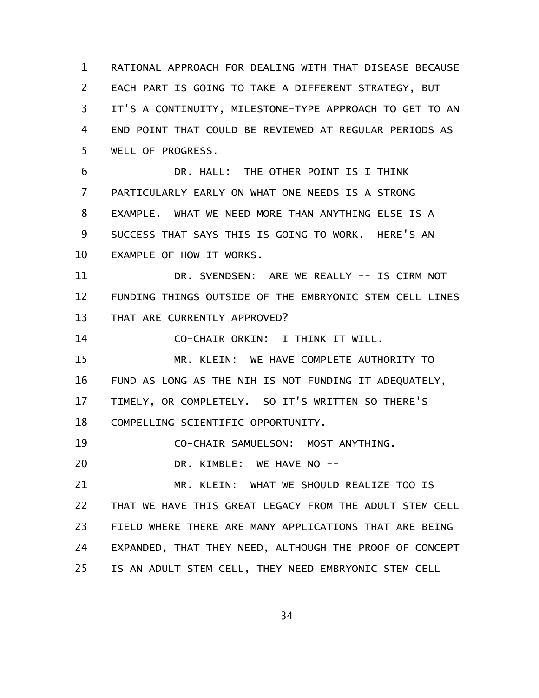RATIONAL APPROACH FOR DEALING WITH THAT DISEASE BECAUSE EACH PART IS GOING TO TAKE A DIFFERENT STRATEGY, BUT IT'S A CONTINUITY, MILESTONE-TYPE APPROACH TO GET TO AN END POINT THAT COULD BE REVIEWED AT REGULAR PERIODS AS WELL OF PROGRESS. 1 2 3 4 5

DR. HALL: THE OTHER POINT IS I THINK PARTICULARLY EARLY ON WHAT ONE NEEDS IS A STRONG EXAMPLE. WHAT WE NEED MORE THAN ANYTHING ELSE IS A SUCCESS THAT SAYS THIS IS GOING TO WORK. HERE'S AN EXAMPLE OF HOW IT WORKS. 6 7 8 9 10

DR. SVENDSEN: ARE WE REALLY -- IS CIRM NOT FUNDING THINGS OUTSIDE OF THE EMBRYONIC STEM CELL LINES THAT ARE CURRENTLY APPROVED? 11 12 13

CO-CHAIR ORKIN: I THINK IT WILL. 14

MR. KLEIN: WE HAVE COMPLETE AUTHORITY TO FUND AS LONG AS THE NIH IS NOT FUNDING IT ADEQUATELY, TIMELY, OR COMPLETELY. SO IT'S WRITTEN SO THERE'S COMPELLING SCIENTIFIC OPPORTUNITY. 15 16 17 18

CO-CHAIR SAMUELSON: MOST ANYTHING. 19

DR. KIMBLE: WE HAVE NO --20

MR. KLEIN: WHAT WE SHOULD REALIZE TOO IS THAT WE HAVE THIS GREAT LEGACY FROM THE ADULT STEM CELL FIELD WHERE THERE ARE MANY APPLICATIONS THAT ARE BEING EXPANDED, THAT THEY NEED, ALTHOUGH THE PROOF OF CONCEPT IS AN ADULT STEM CELL, THEY NEED EMBRYONIC STEM CELL 21 22 23 24 25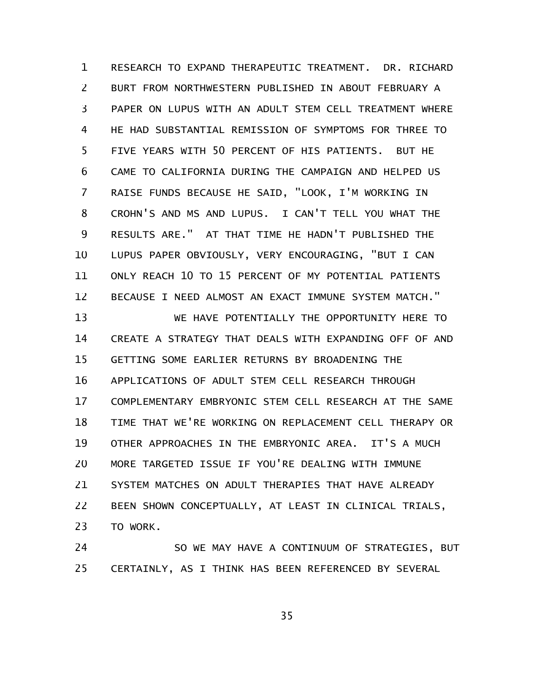RESEARCH TO EXPAND THERAPEUTIC TREATMENT. DR. RICHARD BURT FROM NORTHWESTERN PUBLISHED IN ABOUT FEBRUARY A PAPER ON LUPUS WITH AN ADULT STEM CELL TREATMENT WHERE HE HAD SUBSTANTIAL REMISSION OF SYMPTOMS FOR THREE TO FIVE YEARS WITH 50 PERCENT OF HIS PATIENTS. BUT HE CAME TO CALIFORNIA DURING THE CAMPAIGN AND HELPED US RAISE FUNDS BECAUSE HE SAID, "LOOK, I'M WORKING IN CROHN'S AND MS AND LUPUS. I CAN'T TELL YOU WHAT THE RESULTS ARE." AT THAT TIME HE HADN'T PUBLISHED THE LUPUS PAPER OBVIOUSLY, VERY ENCOURAGING, "BUT I CAN ONLY REACH 10 TO 15 PERCENT OF MY POTENTIAL PATIENTS BECAUSE I NEED ALMOST AN EXACT IMMUNE SYSTEM MATCH." 1 2 3 4 5 6 7 8 9 10 11 12

WE HAVE POTENTIALLY THE OPPORTUNITY HERE TO CREATE A STRATEGY THAT DEALS WITH EXPANDING OFF OF AND GETTING SOME EARLIER RETURNS BY BROADENING THE APPLICATIONS OF ADULT STEM CELL RESEARCH THROUGH COMPLEMENTARY EMBRYONIC STEM CELL RESEARCH AT THE SAME TIME THAT WE'RE WORKING ON REPLACEMENT CELL THERAPY OR OTHER APPROACHES IN THE EMBRYONIC AREA. IT'S A MUCH MORE TARGETED ISSUE IF YOU'RE DEALING WITH IMMUNE SYSTEM MATCHES ON ADULT THERAPIES THAT HAVE ALREADY BEEN SHOWN CONCEPTUALLY, AT LEAST IN CLINICAL TRIALS, TO WORK. 13 14 15 16 17 18 19 20 21 22 23

SO WE MAY HAVE A CONTINUUM OF STRATEGIES, BUT CERTAINLY, AS I THINK HAS BEEN REFERENCED BY SEVERAL 24 25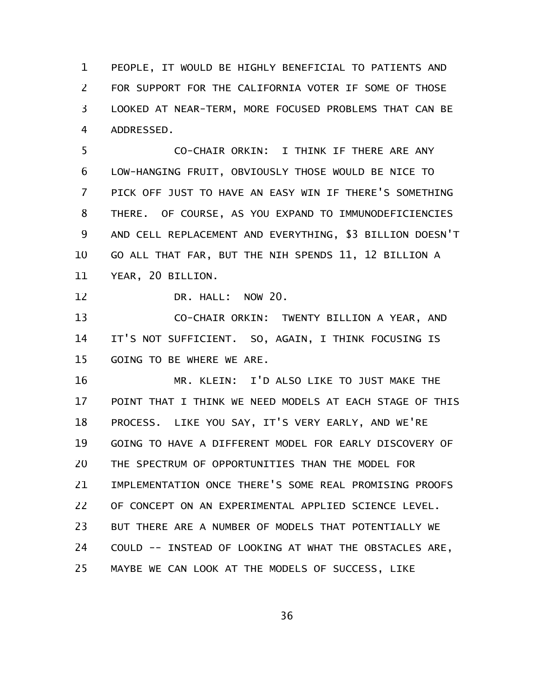PEOPLE, IT WOULD BE HIGHLY BENEFICIAL TO PATIENTS AND FOR SUPPORT FOR THE CALIFORNIA VOTER IF SOME OF THOSE LOOKED AT NEAR-TERM, MORE FOCUSED PROBLEMS THAT CAN BE ADDRESSED. 1 2 3 4

CO-CHAIR ORKIN: I THINK IF THERE ARE ANY LOW-HANGING FRUIT, OBVIOUSLY THOSE WOULD BE NICE TO PICK OFF JUST TO HAVE AN EASY WIN IF THERE'S SOMETHING THERE. OF COURSE, AS YOU EXPAND TO IMMUNODEFICIENCIES AND CELL REPLACEMENT AND EVERYTHING, \$3 BILLION DOESN'T GO ALL THAT FAR, BUT THE NIH SPENDS 11, 12 BILLION A YEAR, 20 BILLION. 5 6 7 8 9 10 11

DR. HALL: NOW 20. 12

CO-CHAIR ORKIN: TWENTY BILLION A YEAR, AND IT'S NOT SUFFICIENT. SO, AGAIN, I THINK FOCUSING IS GOING TO BE WHERE WE ARE. 13 14 15

MR. KLEIN: I'D ALSO LIKE TO JUST MAKE THE POINT THAT I THINK WE NEED MODELS AT EACH STAGE OF THIS PROCESS. LIKE YOU SAY, IT'S VERY EARLY, AND WE'RE GOING TO HAVE A DIFFERENT MODEL FOR EARLY DISCOVERY OF THE SPECTRUM OF OPPORTUNITIES THAN THE MODEL FOR IMPLEMENTATION ONCE THERE'S SOME REAL PROMISING PROOFS OF CONCEPT ON AN EXPERIMENTAL APPLIED SCIENCE LEVEL. BUT THERE ARE A NUMBER OF MODELS THAT POTENTIALLY WE COULD -- INSTEAD OF LOOKING AT WHAT THE OBSTACLES ARE, MAYBE WE CAN LOOK AT THE MODELS OF SUCCESS, LIKE 16 17 18 19 20 21 22 23 24 25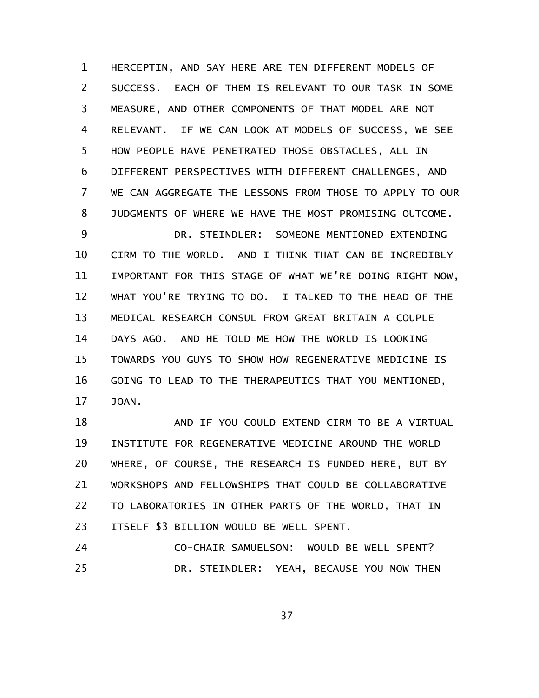HERCEPTIN, AND SAY HERE ARE TEN DIFFERENT MODELS OF SUCCESS. EACH OF THEM IS RELEVANT TO OUR TASK IN SOME MEASURE, AND OTHER COMPONENTS OF THAT MODEL ARE NOT RELEVANT. IF WE CAN LOOK AT MODELS OF SUCCESS, WE SEE HOW PEOPLE HAVE PENETRATED THOSE OBSTACLES, ALL IN DIFFERENT PERSPECTIVES WITH DIFFERENT CHALLENGES, AND WE CAN AGGREGATE THE LESSONS FROM THOSE TO APPLY TO OUR JUDGMENTS OF WHERE WE HAVE THE MOST PROMISING OUTCOME. DR. STEINDLER: SOMEONE MENTIONED EXTENDING CIRM TO THE WORLD. AND I THINK THAT CAN BE INCREDIBLY 1 2 3 4 5 6 7 8 9 10

IMPORTANT FOR THIS STAGE OF WHAT WE'RE DOING RIGHT NOW, WHAT YOU'RE TRYING TO DO. I TALKED TO THE HEAD OF THE MEDICAL RESEARCH CONSUL FROM GREAT BRITAIN A COUPLE DAYS AGO. AND HE TOLD ME HOW THE WORLD IS LOOKING TOWARDS YOU GUYS TO SHOW HOW REGENERATIVE MEDICINE IS GOING TO LEAD TO THE THERAPEUTICS THAT YOU MENTIONED, JOAN. 11 12 13 14 15 16 17

AND IF YOU COULD EXTEND CIRM TO BE A VIRTUAL INSTITUTE FOR REGENERATIVE MEDICINE AROUND THE WORLD WHERE, OF COURSE, THE RESEARCH IS FUNDED HERE, BUT BY WORKSHOPS AND FELLOWSHIPS THAT COULD BE COLLABORATIVE TO LABORATORIES IN OTHER PARTS OF THE WORLD, THAT IN ITSELF \$3 BILLION WOULD BE WELL SPENT. 18 19 20 21 22 23

CO-CHAIR SAMUELSON: WOULD BE WELL SPENT? DR. STEINDLER: YEAH, BECAUSE YOU NOW THEN 24 25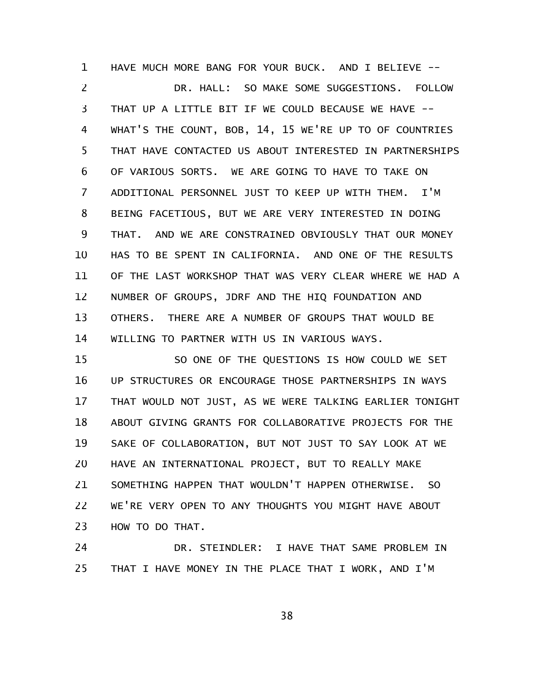HAVE MUCH MORE BANG FOR YOUR BUCK. AND I BELIEVE -- DR. HALL: SO MAKE SOME SUGGESTIONS. FOLLOW THAT UP A LITTLE BIT IF WE COULD BECAUSE WE HAVE -- WHAT'S THE COUNT, BOB, 14, 15 WE'RE UP TO OF COUNTRIES THAT HAVE CONTACTED US ABOUT INTERESTED IN PARTNERSHIPS OF VARIOUS SORTS. WE ARE GOING TO HAVE TO TAKE ON ADDITIONAL PERSONNEL JUST TO KEEP UP WITH THEM. I'M BEING FACETIOUS, BUT WE ARE VERY INTERESTED IN DOING THAT. AND WE ARE CONSTRAINED OBVIOUSLY THAT OUR MONEY HAS TO BE SPENT IN CALIFORNIA. AND ONE OF THE RESULTS OF THE LAST WORKSHOP THAT WAS VERY CLEAR WHERE WE HAD A NUMBER OF GROUPS, JDRF AND THE HIQ FOUNDATION AND OTHERS. THERE ARE A NUMBER OF GROUPS THAT WOULD BE WILLING TO PARTNER WITH US IN VARIOUS WAYS. 1 2 3 4 5 6 7 8 9 10 11 12 13 14

SO ONE OF THE QUESTIONS IS HOW COULD WE SET UP STRUCTURES OR ENCOURAGE THOSE PARTNERSHIPS IN WAYS THAT WOULD NOT JUST, AS WE WERE TALKING EARLIER TONIGHT ABOUT GIVING GRANTS FOR COLLABORATIVE PROJECTS FOR THE SAKE OF COLLABORATION, BUT NOT JUST TO SAY LOOK AT WE HAVE AN INTERNATIONAL PROJECT, BUT TO REALLY MAKE SOMETHING HAPPEN THAT WOULDN'T HAPPEN OTHERWISE. SO WE'RE VERY OPEN TO ANY THOUGHTS YOU MIGHT HAVE ABOUT HOW TO DO THAT. 15 16 17 18 19 20 21 22 23

DR. STEINDLER: I HAVE THAT SAME PROBLEM IN THAT I HAVE MONEY IN THE PLACE THAT I WORK, AND I'M 24 25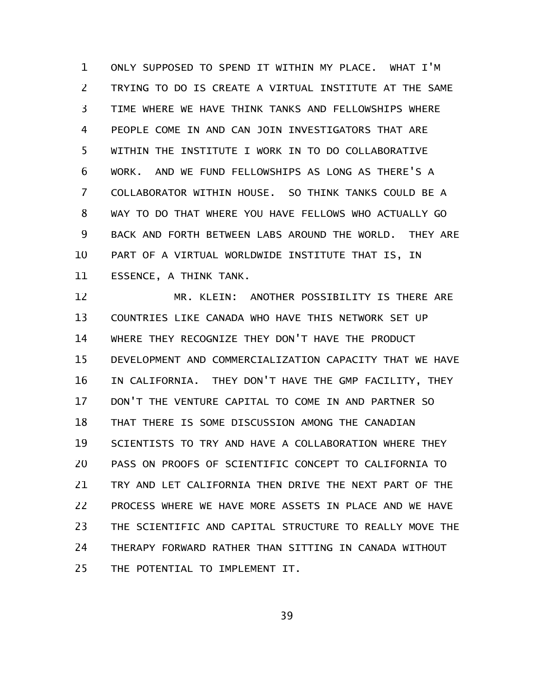ONLY SUPPOSED TO SPEND IT WITHIN MY PLACE. WHAT I'M TRYING TO DO IS CREATE A VIRTUAL INSTITUTE AT THE SAME TIME WHERE WE HAVE THINK TANKS AND FELLOWSHIPS WHERE PEOPLE COME IN AND CAN JOIN INVESTIGATORS THAT ARE WITHIN THE INSTITUTE I WORK IN TO DO COLLABORATIVE WORK. AND WE FUND FELLOWSHIPS AS LONG AS THERE'S A COLLABORATOR WITHIN HOUSE. SO THINK TANKS COULD BE A WAY TO DO THAT WHERE YOU HAVE FELLOWS WHO ACTUALLY GO BACK AND FORTH BETWEEN LABS AROUND THE WORLD. THEY ARE PART OF A VIRTUAL WORLDWIDE INSTITUTE THAT IS, IN ESSENCE, A THINK TANK. 1 2 3 4 5 6 7 8 9 10 11

MR. KLEIN: ANOTHER POSSIBILITY IS THERE ARE COUNTRIES LIKE CANADA WHO HAVE THIS NETWORK SET UP WHERE THEY RECOGNIZE THEY DON'T HAVE THE PRODUCT DEVELOPMENT AND COMMERCIALIZATION CAPACITY THAT WE HAVE IN CALIFORNIA. THEY DON'T HAVE THE GMP FACILITY, THEY DON'T THE VENTURE CAPITAL TO COME IN AND PARTNER SO THAT THERE IS SOME DISCUSSION AMONG THE CANADIAN SCIENTISTS TO TRY AND HAVE A COLLABORATION WHERE THEY PASS ON PROOFS OF SCIENTIFIC CONCEPT TO CALIFORNIA TO TRY AND LET CALIFORNIA THEN DRIVE THE NEXT PART OF THE PROCESS WHERE WE HAVE MORE ASSETS IN PLACE AND WE HAVE THE SCIENTIFIC AND CAPITAL STRUCTURE TO REALLY MOVE THE THERAPY FORWARD RATHER THAN SITTING IN CANADA WITHOUT THE POTENTIAL TO IMPLEMENT IT. 12 13 14 15 16 17 18 19 20 21 22 23 24 25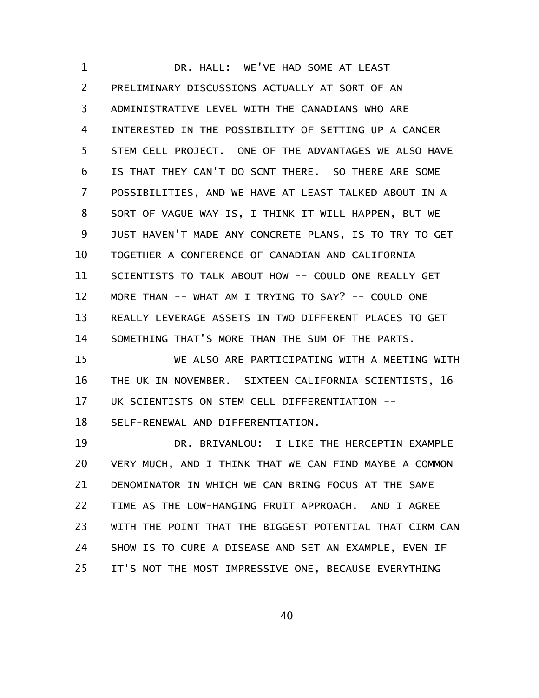DR. HALL: WE'VE HAD SOME AT LEAST PRELIMINARY DISCUSSIONS ACTUALLY AT SORT OF AN ADMINISTRATIVE LEVEL WITH THE CANADIANS WHO ARE INTERESTED IN THE POSSIBILITY OF SETTING UP A CANCER STEM CELL PROJECT. ONE OF THE ADVANTAGES WE ALSO HAVE IS THAT THEY CAN'T DO SCNT THERE. SO THERE ARE SOME POSSIBILITIES, AND WE HAVE AT LEAST TALKED ABOUT IN A SORT OF VAGUE WAY IS, I THINK IT WILL HAPPEN, BUT WE JUST HAVEN'T MADE ANY CONCRETE PLANS, IS TO TRY TO GET TOGETHER A CONFERENCE OF CANADIAN AND CALIFORNIA SCIENTISTS TO TALK ABOUT HOW -- COULD ONE REALLY GET MORE THAN -- WHAT AM I TRYING TO SAY? -- COULD ONE REALLY LEVERAGE ASSETS IN TWO DIFFERENT PLACES TO GET SOMETHING THAT'S MORE THAN THE SUM OF THE PARTS. 1 2 3 4 5 6 7 8 9 10 11 12 13 14

WE ALSO ARE PARTICIPATING WITH A MEETING WITH THE UK IN NOVEMBER. SIXTEEN CALIFORNIA SCIENTISTS, 16 UK SCIENTISTS ON STEM CELL DIFFERENTIATION -- 15 16 17

SELF-RENEWAL AND DIFFERENTIATION. 18

DR. BRIVANLOU: I LIKE THE HERCEPTIN EXAMPLE VERY MUCH, AND I THINK THAT WE CAN FIND MAYBE A COMMON DENOMINATOR IN WHICH WE CAN BRING FOCUS AT THE SAME TIME AS THE LOW-HANGING FRUIT APPROACH. AND I AGREE WITH THE POINT THAT THE BIGGEST POTENTIAL THAT CIRM CAN SHOW IS TO CURE A DISEASE AND SET AN EXAMPLE, EVEN IF IT'S NOT THE MOST IMPRESSIVE ONE, BECAUSE EVERYTHING 19 20 21 22 23 24 25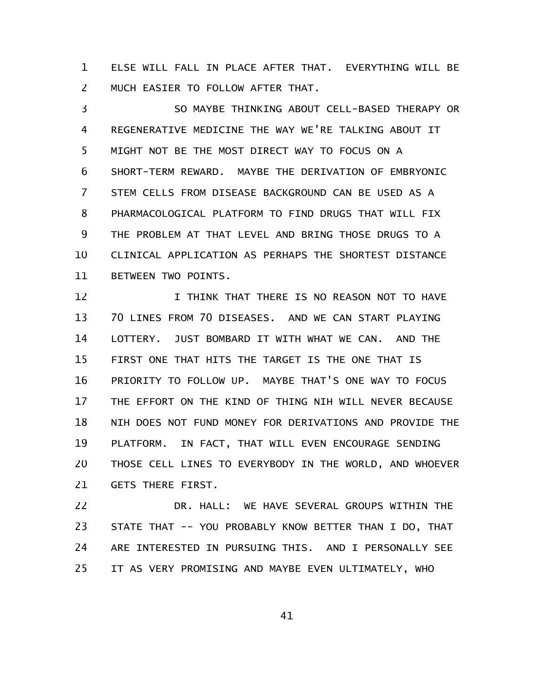ELSE WILL FALL IN PLACE AFTER THAT. EVERYTHING WILL BE MUCH EASIER TO FOLLOW AFTER THAT. 1 2

SO MAYBE THINKING ABOUT CELL-BASED THERAPY OR REGENERATIVE MEDICINE THE WAY WE'RE TALKING ABOUT IT MIGHT NOT BE THE MOST DIRECT WAY TO FOCUS ON A SHORT-TERM REWARD. MAYBE THE DERIVATION OF EMBRYONIC STEM CELLS FROM DISEASE BACKGROUND CAN BE USED AS A PHARMACOLOGICAL PLATFORM TO FIND DRUGS THAT WILL FIX THE PROBLEM AT THAT LEVEL AND BRING THOSE DRUGS TO A CLINICAL APPLICATION AS PERHAPS THE SHORTEST DISTANCE BETWEEN TWO POINTS. 3 4 5 6 7 8 9 10 11

I THINK THAT THERE IS NO REASON NOT TO HAVE 70 LINES FROM 70 DISEASES. AND WE CAN START PLAYING LOTTERY. JUST BOMBARD IT WITH WHAT WE CAN. AND THE FIRST ONE THAT HITS THE TARGET IS THE ONE THAT IS PRIORITY TO FOLLOW UP. MAYBE THAT'S ONE WAY TO FOCUS THE EFFORT ON THE KIND OF THING NIH WILL NEVER BECAUSE NIH DOES NOT FUND MONEY FOR DERIVATIONS AND PROVIDE THE PLATFORM. IN FACT, THAT WILL EVEN ENCOURAGE SENDING THOSE CELL LINES TO EVERYBODY IN THE WORLD, AND WHOEVER GETS THERE FIRST. 12 13 14 15 16 17 18 19 20 21

DR. HALL: WE HAVE SEVERAL GROUPS WITHIN THE STATE THAT -- YOU PROBABLY KNOW BETTER THAN I DO, THAT ARE INTERESTED IN PURSUING THIS. AND I PERSONALLY SEE IT AS VERY PROMISING AND MAYBE EVEN ULTIMATELY, WHO 22 23 24 25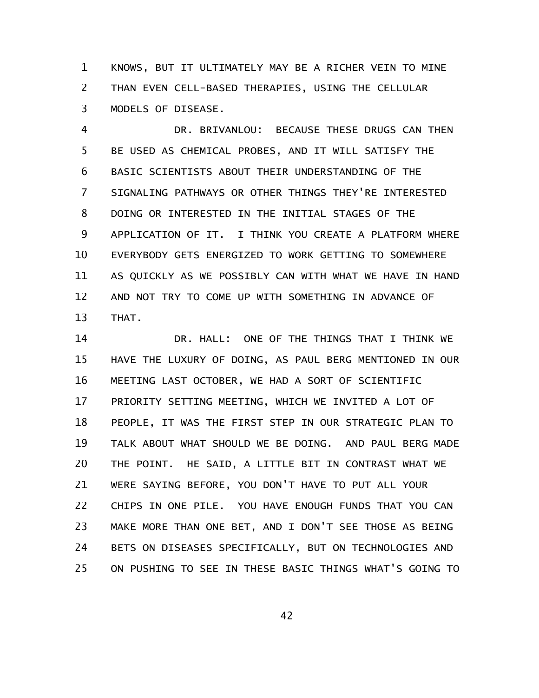KNOWS, BUT IT ULTIMATELY MAY BE A RICHER VEIN TO MINE THAN EVEN CELL-BASED THERAPIES, USING THE CELLULAR MODELS OF DISEASE. 1 2 3

DR. BRIVANLOU: BECAUSE THESE DRUGS CAN THEN BE USED AS CHEMICAL PROBES, AND IT WILL SATISFY THE BASIC SCIENTISTS ABOUT THEIR UNDERSTANDING OF THE SIGNALING PATHWAYS OR OTHER THINGS THEY'RE INTERESTED DOING OR INTERESTED IN THE INITIAL STAGES OF THE APPLICATION OF IT. I THINK YOU CREATE A PLATFORM WHERE EVERYBODY GETS ENERGIZED TO WORK GETTING TO SOMEWHERE AS QUICKLY AS WE POSSIBLY CAN WITH WHAT WE HAVE IN HAND AND NOT TRY TO COME UP WITH SOMETHING IN ADVANCE OF THAT. 4 5 6 7 8 9 10 11 12 13

DR. HALL: ONE OF THE THINGS THAT I THINK WE HAVE THE LUXURY OF DOING, AS PAUL BERG MENTIONED IN OUR MEETING LAST OCTOBER, WE HAD A SORT OF SCIENTIFIC PRIORITY SETTING MEETING, WHICH WE INVITED A LOT OF PEOPLE, IT WAS THE FIRST STEP IN OUR STRATEGIC PLAN TO TALK ABOUT WHAT SHOULD WE BE DOING. AND PAUL BERG MADE THE POINT. HE SAID, A LITTLE BIT IN CONTRAST WHAT WE WERE SAYING BEFORE, YOU DON'T HAVE TO PUT ALL YOUR CHIPS IN ONE PILE. YOU HAVE ENOUGH FUNDS THAT YOU CAN MAKE MORE THAN ONE BET, AND I DON'T SEE THOSE AS BEING BETS ON DISEASES SPECIFICALLY, BUT ON TECHNOLOGIES AND ON PUSHING TO SEE IN THESE BASIC THINGS WHAT'S GOING TO 14 15 16 17 18 19 20 21 22 23 24 25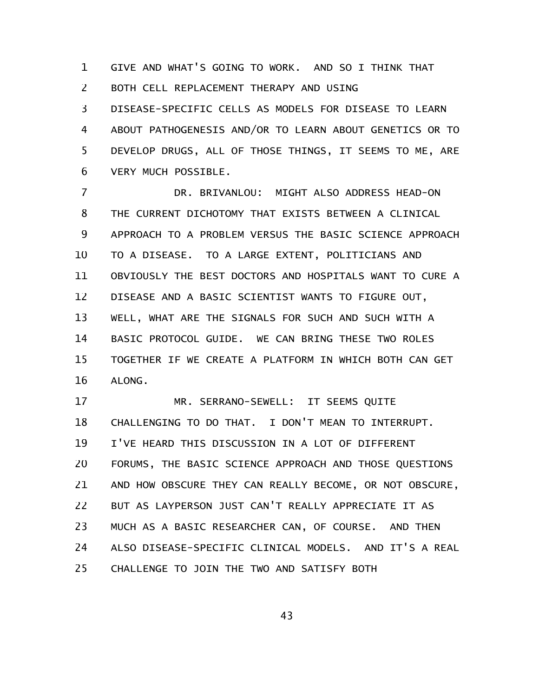GIVE AND WHAT'S GOING TO WORK. AND SO I THINK THAT 1

BOTH CELL REPLACEMENT THERAPY AND USING 2

DISEASE-SPECIFIC CELLS AS MODELS FOR DISEASE TO LEARN ABOUT PATHOGENESIS AND/OR TO LEARN ABOUT GENETICS OR TO DEVELOP DRUGS, ALL OF THOSE THINGS, IT SEEMS TO ME, ARE VERY MUCH POSSIBLE. 3 4 5 6

DR. BRIVANLOU: MIGHT ALSO ADDRESS HEAD-ON THE CURRENT DICHOTOMY THAT EXISTS BETWEEN A CLINICAL APPROACH TO A PROBLEM VERSUS THE BASIC SCIENCE APPROACH TO A DISEASE. TO A LARGE EXTENT, POLITICIANS AND OBVIOUSLY THE BEST DOCTORS AND HOSPITALS WANT TO CURE A DISEASE AND A BASIC SCIENTIST WANTS TO FIGURE OUT, WELL, WHAT ARE THE SIGNALS FOR SUCH AND SUCH WITH A BASIC PROTOCOL GUIDE. WE CAN BRING THESE TWO ROLES TOGETHER IF WE CREATE A PLATFORM IN WHICH BOTH CAN GET ALONG. 7 8 9 10 11 12 13 14 15 16

MR. SERRANO-SEWELL: IT SEEMS QUITE CHALLENGING TO DO THAT. I DON'T MEAN TO INTERRUPT. I'VE HEARD THIS DISCUSSION IN A LOT OF DIFFERENT FORUMS, THE BASIC SCIENCE APPROACH AND THOSE QUESTIONS AND HOW OBSCURE THEY CAN REALLY BECOME, OR NOT OBSCURE, BUT AS LAYPERSON JUST CAN'T REALLY APPRECIATE IT AS MUCH AS A BASIC RESEARCHER CAN, OF COURSE. AND THEN ALSO DISEASE-SPECIFIC CLINICAL MODELS. AND IT'S A REAL CHALLENGE TO JOIN THE TWO AND SATISFY BOTH 17 18 19 20 21 22 23 24 25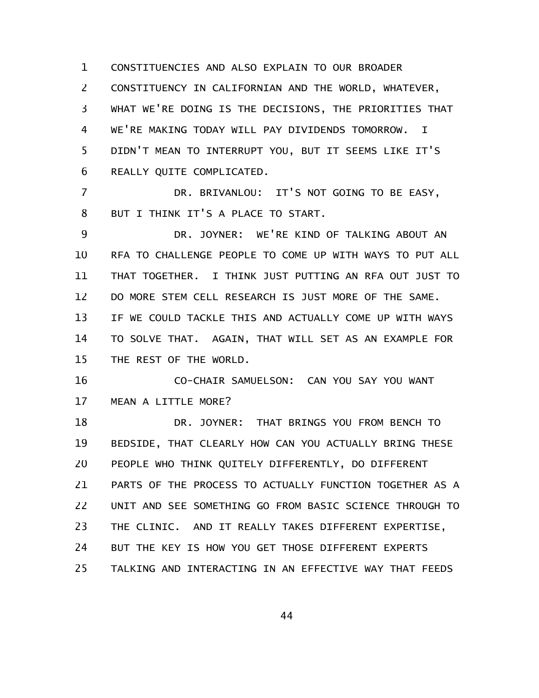CONSTITUENCIES AND ALSO EXPLAIN TO OUR BROADER CONSTITUENCY IN CALIFORNIAN AND THE WORLD, WHATEVER, WHAT WE'RE DOING IS THE DECISIONS, THE PRIORITIES THAT WE'RE MAKING TODAY WILL PAY DIVIDENDS TOMORROW. I DIDN'T MEAN TO INTERRUPT YOU, BUT IT SEEMS LIKE IT'S REALLY QUITE COMPLICATED. DR. BRIVANLOU: IT'S NOT GOING TO BE EASY, BUT I THINK IT'S A PLACE TO START. DR. JOYNER: WE'RE KIND OF TALKING ABOUT AN RFA TO CHALLENGE PEOPLE TO COME UP WITH WAYS TO PUT ALL THAT TOGETHER. I THINK JUST PUTTING AN RFA OUT JUST TO DO MORE STEM CELL RESEARCH IS JUST MORE OF THE SAME. IF WE COULD TACKLE THIS AND ACTUALLY COME UP WITH WAYS TO SOLVE THAT. AGAIN, THAT WILL SET AS AN EXAMPLE FOR THE REST OF THE WORLD. CO-CHAIR SAMUELSON: CAN YOU SAY YOU WANT MEAN A LITTLE MORE? DR. JOYNER: THAT BRINGS YOU FROM BENCH TO 1 2 3 4 5 6 7 8 9 10 11 12 13 14 15 16 17 18

BEDSIDE, THAT CLEARLY HOW CAN YOU ACTUALLY BRING THESE PEOPLE WHO THINK QUITELY DIFFERENTLY, DO DIFFERENT PARTS OF THE PROCESS TO ACTUALLY FUNCTION TOGETHER AS A UNIT AND SEE SOMETHING GO FROM BASIC SCIENCE THROUGH TO THE CLINIC. AND IT REALLY TAKES DIFFERENT EXPERTISE, BUT THE KEY IS HOW YOU GET THOSE DIFFERENT EXPERTS TALKING AND INTERACTING IN AN EFFECTIVE WAY THAT FEEDS 19 20 21 22 23 24 25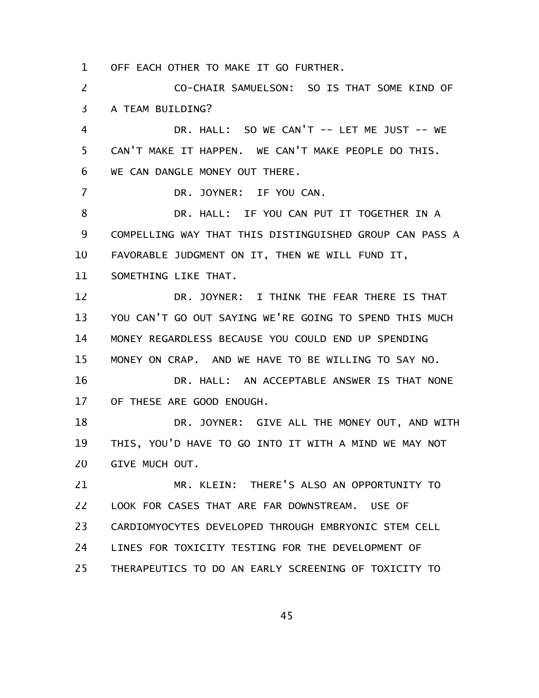OFF EACH OTHER TO MAKE IT GO FURTHER. 1

CO-CHAIR SAMUELSON: SO IS THAT SOME KIND OF A TEAM BUILDING? 2 3

DR. HALL: SO WE CAN'T -- LET ME JUST -- WE CAN'T MAKE IT HAPPEN. WE CAN'T MAKE PEOPLE DO THIS. WE CAN DANGLE MONEY OUT THERE. 4 5 6

DR. JOYNER: IF YOU CAN.

DR. HALL: IF YOU CAN PUT IT TOGETHER IN A COMPELLING WAY THAT THIS DISTINGUISHED GROUP CAN PASS A FAVORABLE JUDGMENT ON IT, THEN WE WILL FUND IT, 8 9 10

SOMETHING LIKE THAT. 11

7

DR. JOYNER: I THINK THE FEAR THERE IS THAT YOU CAN'T GO OUT SAYING WE'RE GOING TO SPEND THIS MUCH MONEY REGARDLESS BECAUSE YOU COULD END UP SPENDING MONEY ON CRAP. AND WE HAVE TO BE WILLING TO SAY NO. 12 13 14 15

DR. HALL: AN ACCEPTABLE ANSWER IS THAT NONE OF THESE ARE GOOD ENOUGH. 16 17

DR. JOYNER: GIVE ALL THE MONEY OUT, AND WITH THIS, YOU'D HAVE TO GO INTO IT WITH A MIND WE MAY NOT GIVE MUCH OUT. 18 19 20

MR. KLEIN: THERE'S ALSO AN OPPORTUNITY TO LOOK FOR CASES THAT ARE FAR DOWNSTREAM. USE OF CARDIOMYOCYTES DEVELOPED THROUGH EMBRYONIC STEM CELL LINES FOR TOXICITY TESTING FOR THE DEVELOPMENT OF THERAPEUTICS TO DO AN EARLY SCREENING OF TOXICITY TO 21 22 23 24 25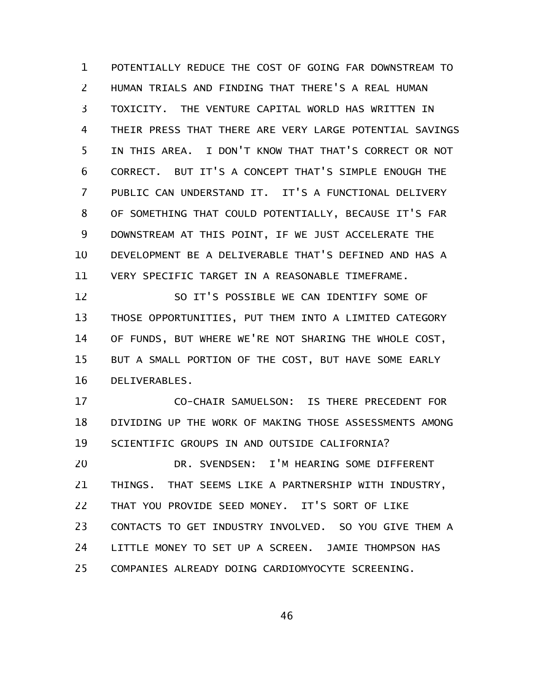POTENTIALLY REDUCE THE COST OF GOING FAR DOWNSTREAM TO HUMAN TRIALS AND FINDING THAT THERE'S A REAL HUMAN TOXICITY. THE VENTURE CAPITAL WORLD HAS WRITTEN IN THEIR PRESS THAT THERE ARE VERY LARGE POTENTIAL SAVINGS IN THIS AREA. I DON'T KNOW THAT THAT'S CORRECT OR NOT CORRECT. BUT IT'S A CONCEPT THAT'S SIMPLE ENOUGH THE PUBLIC CAN UNDERSTAND IT. IT'S A FUNCTIONAL DELIVERY OF SOMETHING THAT COULD POTENTIALLY, BECAUSE IT'S FAR DOWNSTREAM AT THIS POINT, IF WE JUST ACCELERATE THE DEVELOPMENT BE A DELIVERABLE THAT'S DEFINED AND HAS A VERY SPECIFIC TARGET IN A REASONABLE TIMEFRAME. 1 2 3 4 5 6 7 8 9 10 11

SO IT'S POSSIBLE WE CAN IDENTIFY SOME OF THOSE OPPORTUNITIES, PUT THEM INTO A LIMITED CATEGORY OF FUNDS, BUT WHERE WE'RE NOT SHARING THE WHOLE COST, BUT A SMALL PORTION OF THE COST, BUT HAVE SOME EARLY DELIVERABLES. 12 13 14 15 16

CO-CHAIR SAMUELSON: IS THERE PRECEDENT FOR DIVIDING UP THE WORK OF MAKING THOSE ASSESSMENTS AMONG SCIENTIFIC GROUPS IN AND OUTSIDE CALIFORNIA? DR. SVENDSEN: I'M HEARING SOME DIFFERENT 17 18 19 20

THINGS. THAT SEEMS LIKE A PARTNERSHIP WITH INDUSTRY, THAT YOU PROVIDE SEED MONEY. IT'S SORT OF LIKE CONTACTS TO GET INDUSTRY INVOLVED. SO YOU GIVE THEM A LITTLE MONEY TO SET UP A SCREEN. JAMIE THOMPSON HAS COMPANIES ALREADY DOING CARDIOMYOCYTE SCREENING. 21 22 23 24 25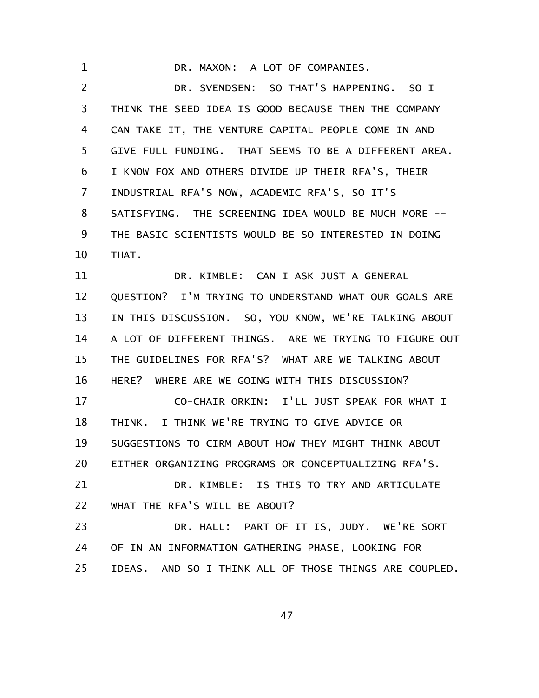DR. MAXON: A LOT OF COMPANIES. DR. SVENDSEN: SO THAT'S HAPPENING. SO I THINK THE SEED IDEA IS GOOD BECAUSE THEN THE COMPANY CAN TAKE IT, THE VENTURE CAPITAL PEOPLE COME IN AND GIVE FULL FUNDING. THAT SEEMS TO BE A DIFFERENT AREA. I KNOW FOX AND OTHERS DIVIDE UP THEIR RFA'S, THEIR INDUSTRIAL RFA'S NOW, ACADEMIC RFA'S, SO IT'S SATISFYING. THE SCREENING IDEA WOULD BE MUCH MORE -- THE BASIC SCIENTISTS WOULD BE SO INTERESTED IN DOING THAT. DR. KIMBLE: CAN I ASK JUST A GENERAL QUESTION? I'M TRYING TO UNDERSTAND WHAT OUR GOALS ARE IN THIS DISCUSSION. SO, YOU KNOW, WE'RE TALKING ABOUT 1 2 3 4 5 6 7 8 9 10 11 12 13

A LOT OF DIFFERENT THINGS. ARE WE TRYING TO FIGURE OUT THE GUIDELINES FOR RFA'S? WHAT ARE WE TALKING ABOUT HERE? WHERE ARE WE GOING WITH THIS DISCUSSION? 14 15 16

CO-CHAIR ORKIN: I'LL JUST SPEAK FOR WHAT I THINK. I THINK WE'RE TRYING TO GIVE ADVICE OR SUGGESTIONS TO CIRM ABOUT HOW THEY MIGHT THINK ABOUT EITHER ORGANIZING PROGRAMS OR CONCEPTUALIZING RFA'S. DR. KIMBLE: IS THIS TO TRY AND ARTICULATE WHAT THE RFA'S WILL BE ABOUT? 17 18 19 20 21 22

DR. HALL: PART OF IT IS, JUDY. WE'RE SORT OF IN AN INFORMATION GATHERING PHASE, LOOKING FOR IDEAS. AND SO I THINK ALL OF THOSE THINGS ARE COUPLED. 23 24 25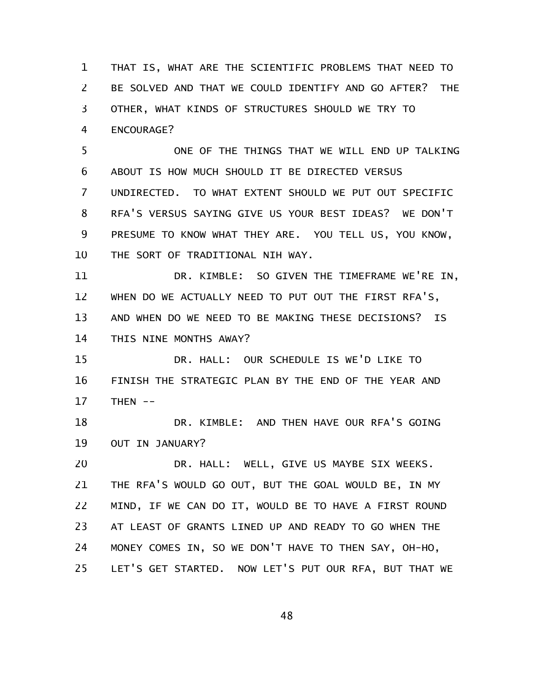THAT IS, WHAT ARE THE SCIENTIFIC PROBLEMS THAT NEED TO BE SOLVED AND THAT WE COULD IDENTIFY AND GO AFTER? THE OTHER, WHAT KINDS OF STRUCTURES SHOULD WE TRY TO ENCOURAGE? 1 2 3 4

ONE OF THE THINGS THAT WE WILL END UP TALKING ABOUT IS HOW MUCH SHOULD IT BE DIRECTED VERSUS UNDIRECTED. TO WHAT EXTENT SHOULD WE PUT OUT SPECIFIC RFA'S VERSUS SAYING GIVE US YOUR BEST IDEAS? WE DON'T PRESUME TO KNOW WHAT THEY ARE. YOU TELL US, YOU KNOW, THE SORT OF TRADITIONAL NIH WAY. 5 6 7 8 9 10

DR. KIMBLE: SO GIVEN THE TIMEFRAME WE'RE IN, WHEN DO WE ACTUALLY NEED TO PUT OUT THE FIRST RFA'S, AND WHEN DO WE NEED TO BE MAKING THESE DECISIONS? IS THIS NINE MONTHS AWAY? 11 12 13 14

DR. HALL: OUR SCHEDULE IS WE'D LIKE TO FINISH THE STRATEGIC PLAN BY THE END OF THE YEAR AND  $THEN$  --15 16 17

DR. KIMBLE: AND THEN HAVE OUR RFA'S GOING OUT IN JANUARY? 18 19

DR. HALL: WELL, GIVE US MAYBE SIX WEEKS. THE RFA'S WOULD GO OUT, BUT THE GOAL WOULD BE, IN MY MIND, IF WE CAN DO IT, WOULD BE TO HAVE A FIRST ROUND AT LEAST OF GRANTS LINED UP AND READY TO GO WHEN THE MONEY COMES IN, SO WE DON'T HAVE TO THEN SAY, OH-HO, LET'S GET STARTED. NOW LET'S PUT OUR RFA, BUT THAT WE 20 21 22 23 24 25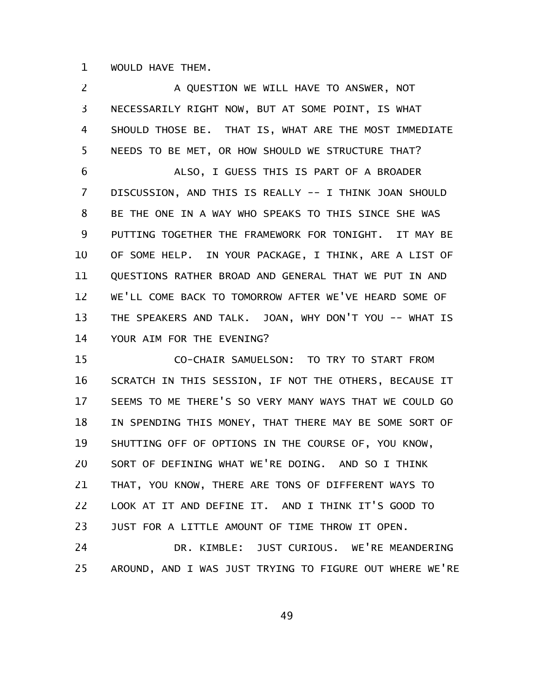WOULD HAVE THEM. 1

A QUESTION WE WILL HAVE TO ANSWER, NOT NECESSARILY RIGHT NOW, BUT AT SOME POINT, IS WHAT SHOULD THOSE BE. THAT IS, WHAT ARE THE MOST IMMEDIATE NEEDS TO BE MET, OR HOW SHOULD WE STRUCTURE THAT? ALSO, I GUESS THIS IS PART OF A BROADER DISCUSSION, AND THIS IS REALLY -- I THINK JOAN SHOULD BE THE ONE IN A WAY WHO SPEAKS TO THIS SINCE SHE WAS PUTTING TOGETHER THE FRAMEWORK FOR TONIGHT. IT MAY BE OF SOME HELP. IN YOUR PACKAGE, I THINK, ARE A LIST OF QUESTIONS RATHER BROAD AND GENERAL THAT WE PUT IN AND WE'LL COME BACK TO TOMORROW AFTER WE'VE HEARD SOME OF THE SPEAKERS AND TALK. JOAN, WHY DON'T YOU -- WHAT IS YOUR AIM FOR THE EVENING? CO-CHAIR SAMUELSON: TO TRY TO START FROM 2 3 4 5 6 7 8 9 10 11 12 13 14 15

SCRATCH IN THIS SESSION, IF NOT THE OTHERS, BECAUSE IT SEEMS TO ME THERE'S SO VERY MANY WAYS THAT WE COULD GO IN SPENDING THIS MONEY, THAT THERE MAY BE SOME SORT OF SHUTTING OFF OF OPTIONS IN THE COURSE OF, YOU KNOW, SORT OF DEFINING WHAT WE'RE DOING. AND SO I THINK THAT, YOU KNOW, THERE ARE TONS OF DIFFERENT WAYS TO LOOK AT IT AND DEFINE IT. AND I THINK IT'S GOOD TO JUST FOR A LITTLE AMOUNT OF TIME THROW IT OPEN. 16 17 18 19 20 21 22 23

DR. KIMBLE: JUST CURIOUS. WE'RE MEANDERING AROUND, AND I WAS JUST TRYING TO FIGURE OUT WHERE WE'RE 24 25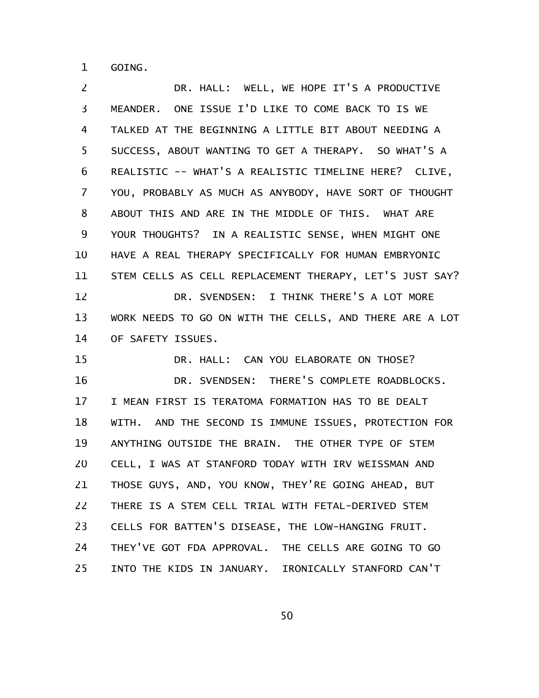GOING. 1

DR. HALL: WELL, WE HOPE IT'S A PRODUCTIVE MEANDER. ONE ISSUE I'D LIKE TO COME BACK TO IS WE TALKED AT THE BEGINNING A LITTLE BIT ABOUT NEEDING A SUCCESS, ABOUT WANTING TO GET A THERAPY. SO WHAT'S A REALISTIC -- WHAT'S A REALISTIC TIMELINE HERE? CLIVE, YOU, PROBABLY AS MUCH AS ANYBODY, HAVE SORT OF THOUGHT ABOUT THIS AND ARE IN THE MIDDLE OF THIS. WHAT ARE YOUR THOUGHTS? IN A REALISTIC SENSE, WHEN MIGHT ONE HAVE A REAL THERAPY SPECIFICALLY FOR HUMAN EMBRYONIC STEM CELLS AS CELL REPLACEMENT THERAPY, LET'S JUST SAY? DR. SVENDSEN: I THINK THERE'S A LOT MORE WORK NEEDS TO GO ON WITH THE CELLS, AND THERE ARE A LOT OF SAFETY ISSUES. DR. HALL: CAN YOU ELABORATE ON THOSE? DR. SVENDSEN: THERE'S COMPLETE ROADBLOCKS. I MEAN FIRST IS TERATOMA FORMATION HAS TO BE DEALT WITH. AND THE SECOND IS IMMUNE ISSUES, PROTECTION FOR ANYTHING OUTSIDE THE BRAIN. THE OTHER TYPE OF STEM CELL, I WAS AT STANFORD TODAY WITH IRV WEISSMAN AND THOSE GUYS, AND, YOU KNOW, THEY'RE GOING AHEAD, BUT THERE IS A STEM CELL TRIAL WITH FETAL-DERIVED STEM CELLS FOR BATTEN'S DISEASE, THE LOW-HANGING FRUIT. THEY'VE GOT FDA APPROVAL. THE CELLS ARE GOING TO GO INTO THE KIDS IN JANUARY. IRONICALLY STANFORD CAN'T 2 3 4 5 6 7 8 9 10 11 12 13 14 15 16 17 18 19 20 21 22 23 24 25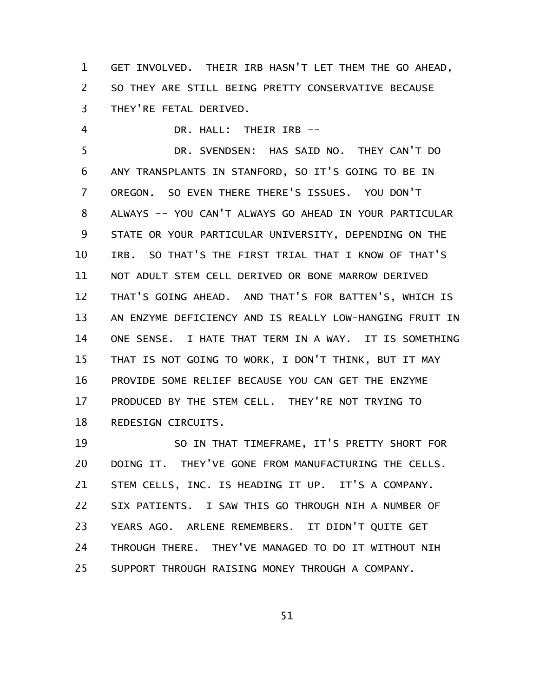GET INVOLVED. THEIR IRB HASN'T LET THEM THE GO AHEAD, SO THEY ARE STILL BEING PRETTY CONSERVATIVE BECAUSE THEY'RE FETAL DERIVED. 1 2 3

DR. HALL: THEIR IRB -- 4

DR. SVENDSEN: HAS SAID NO. THEY CAN'T DO ANY TRANSPLANTS IN STANFORD, SO IT'S GOING TO BE IN OREGON. SO EVEN THERE THERE'S ISSUES. YOU DON'T ALWAYS -- YOU CAN'T ALWAYS GO AHEAD IN YOUR PARTICULAR STATE OR YOUR PARTICULAR UNIVERSITY, DEPENDING ON THE IRB. SO THAT'S THE FIRST TRIAL THAT I KNOW OF THAT'S NOT ADULT STEM CELL DERIVED OR BONE MARROW DERIVED THAT'S GOING AHEAD. AND THAT'S FOR BATTEN'S, WHICH IS AN ENZYME DEFICIENCY AND IS REALLY LOW-HANGING FRUIT IN ONE SENSE. I HATE THAT TERM IN A WAY. IT IS SOMETHING THAT IS NOT GOING TO WORK, I DON'T THINK, BUT IT MAY PROVIDE SOME RELIEF BECAUSE YOU CAN GET THE ENZYME PRODUCED BY THE STEM CELL. THEY'RE NOT TRYING TO REDESIGN CIRCUITS. 5 6 7 8 9 10 11 12 13 14 15 16 17 18

SO IN THAT TIMEFRAME, IT'S PRETTY SHORT FOR DOING IT. THEY'VE GONE FROM MANUFACTURING THE CELLS. STEM CELLS, INC. IS HEADING IT UP. IT'S A COMPANY. SIX PATIENTS. I SAW THIS GO THROUGH NIH A NUMBER OF YEARS AGO. ARLENE REMEMBERS. IT DIDN'T QUITE GET THROUGH THERE. THEY'VE MANAGED TO DO IT WITHOUT NIH SUPPORT THROUGH RAISING MONEY THROUGH A COMPANY. 19 20 21 22 23 24 25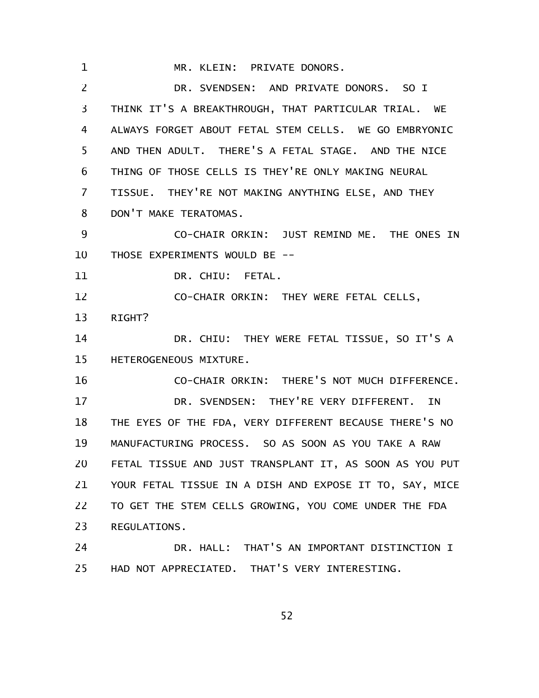MR. KLEIN: PRIVATE DONORS. DR. SVENDSEN: AND PRIVATE DONORS. SO I THINK IT'S A BREAKTHROUGH, THAT PARTICULAR TRIAL. WE ALWAYS FORGET ABOUT FETAL STEM CELLS. WE GO EMBRYONIC AND THEN ADULT. THERE'S A FETAL STAGE. AND THE NICE THING OF THOSE CELLS IS THEY'RE ONLY MAKING NEURAL TISSUE. THEY'RE NOT MAKING ANYTHING ELSE, AND THEY DON'T MAKE TERATOMAS. CO-CHAIR ORKIN: JUST REMIND ME. THE ONES IN THOSE EXPERIMENTS WOULD BE -- DR. CHIU: FETAL. CO-CHAIR ORKIN: THEY WERE FETAL CELLS, RIGHT? DR. CHIU: THEY WERE FETAL TISSUE, SO IT'S A HETEROGENEOUS MIXTURE. CO-CHAIR ORKIN: THERE'S NOT MUCH DIFFERENCE. DR. SVENDSEN: THEY'RE VERY DIFFERENT. IN THE EYES OF THE FDA, VERY DIFFERENT BECAUSE THERE'S NO MANUFACTURING PROCESS. SO AS SOON AS YOU TAKE A RAW FETAL TISSUE AND JUST TRANSPLANT IT, AS SOON AS YOU PUT YOUR FETAL TISSUE IN A DISH AND EXPOSE IT TO, SAY, MICE TO GET THE STEM CELLS GROWING, YOU COME UNDER THE FDA REGULATIONS. DR. HALL: THAT'S AN IMPORTANT DISTINCTION I HAD NOT APPRECIATED. THAT'S VERY INTERESTING. 1 2 3 4 5 6 7 8 9 10 11 12 13 14 15 16 17 18 19 20 21 22 23 24 25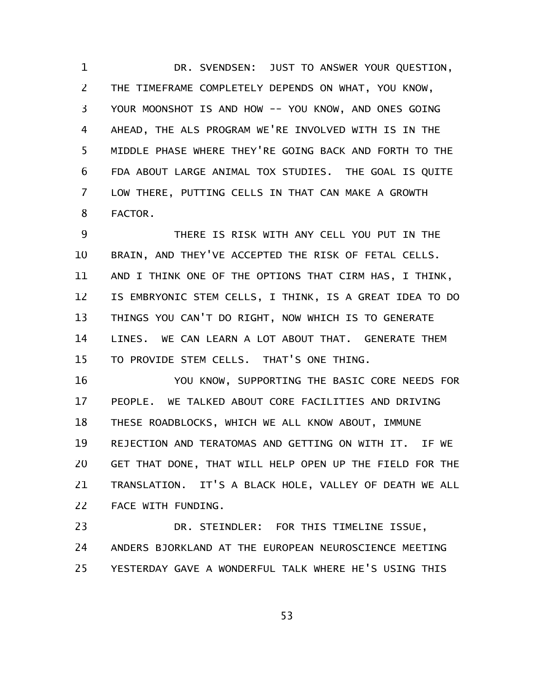DR. SVENDSEN: JUST TO ANSWER YOUR QUESTION, THE TIMEFRAME COMPLETELY DEPENDS ON WHAT, YOU KNOW, YOUR MOONSHOT IS AND HOW -- YOU KNOW, AND ONES GOING AHEAD, THE ALS PROGRAM WE'RE INVOLVED WITH IS IN THE MIDDLE PHASE WHERE THEY'RE GOING BACK AND FORTH TO THE FDA ABOUT LARGE ANIMAL TOX STUDIES. THE GOAL IS QUITE LOW THERE, PUTTING CELLS IN THAT CAN MAKE A GROWTH FACTOR. 1 2 3 4 5 6 7 8

THERE IS RISK WITH ANY CELL YOU PUT IN THE BRAIN, AND THEY'VE ACCEPTED THE RISK OF FETAL CELLS. AND I THINK ONE OF THE OPTIONS THAT CIRM HAS, I THINK, IS EMBRYONIC STEM CELLS, I THINK, IS A GREAT IDEA TO DO THINGS YOU CAN'T DO RIGHT, NOW WHICH IS TO GENERATE LINES. WE CAN LEARN A LOT ABOUT THAT. GENERATE THEM TO PROVIDE STEM CELLS. THAT'S ONE THING. 9 10 11 12 13 14 15

YOU KNOW, SUPPORTING THE BASIC CORE NEEDS FOR PEOPLE. WE TALKED ABOUT CORE FACILITIES AND DRIVING THESE ROADBLOCKS, WHICH WE ALL KNOW ABOUT, IMMUNE REJECTION AND TERATOMAS AND GETTING ON WITH IT. IF WE GET THAT DONE, THAT WILL HELP OPEN UP THE FIELD FOR THE TRANSLATION. IT'S A BLACK HOLE, VALLEY OF DEATH WE ALL FACE WITH FUNDING. 16 17 18 19 20 21 22

DR. STEINDLER: FOR THIS TIMELINE ISSUE, ANDERS BJORKLAND AT THE EUROPEAN NEUROSCIENCE MEETING YESTERDAY GAVE A WONDERFUL TALK WHERE HE'S USING THIS 23 24 25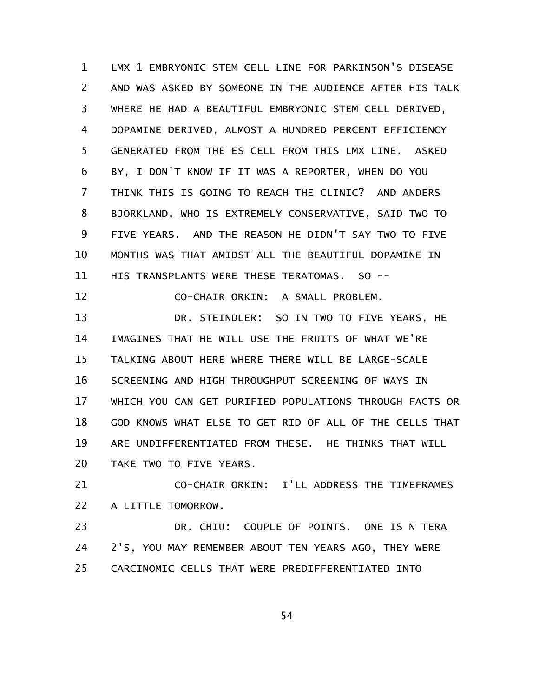LMX 1 EMBRYONIC STEM CELL LINE FOR PARKINSON'S DISEASE AND WAS ASKED BY SOMEONE IN THE AUDIENCE AFTER HIS TALK WHERE HE HAD A BEAUTIFUL EMBRYONIC STEM CELL DERIVED, DOPAMINE DERIVED, ALMOST A HUNDRED PERCENT EFFICIENCY GENERATED FROM THE ES CELL FROM THIS LMX LINE. ASKED BY, I DON'T KNOW IF IT WAS A REPORTER, WHEN DO YOU THINK THIS IS GOING TO REACH THE CLINIC? AND ANDERS BJORKLAND, WHO IS EXTREMELY CONSERVATIVE, SAID TWO TO FIVE YEARS. AND THE REASON HE DIDN'T SAY TWO TO FIVE MONTHS WAS THAT AMIDST ALL THE BEAUTIFUL DOPAMINE IN HIS TRANSPLANTS WERE THESE TERATOMAS. SO --CO-CHAIR ORKIN: A SMALL PROBLEM. DR. STEINDLER: SO IN TWO TO FIVE YEARS, HE IMAGINES THAT HE WILL USE THE FRUITS OF WHAT WE'RE TALKING ABOUT HERE WHERE THERE WILL BE LARGE-SCALE SCREENING AND HIGH THROUGHPUT SCREENING OF WAYS IN WHICH YOU CAN GET PURIFIED POPULATIONS THROUGH FACTS OR GOD KNOWS WHAT ELSE TO GET RID OF ALL OF THE CELLS THAT ARE UNDIFFERENTIATED FROM THESE. HE THINKS THAT WILL TAKE TWO TO FIVE YEARS. CO-CHAIR ORKIN: I'LL ADDRESS THE TIMEFRAMES 1 2 3 4 5 6 7 8 9 10 11 12 13 14 15 16 17 18 19 20 21

A LITTLE TOMORROW. 22

DR. CHIU: COUPLE OF POINTS. ONE IS N TERA 2'S, YOU MAY REMEMBER ABOUT TEN YEARS AGO, THEY WERE CARCINOMIC CELLS THAT WERE PREDIFFERENTIATED INTO 23 24 25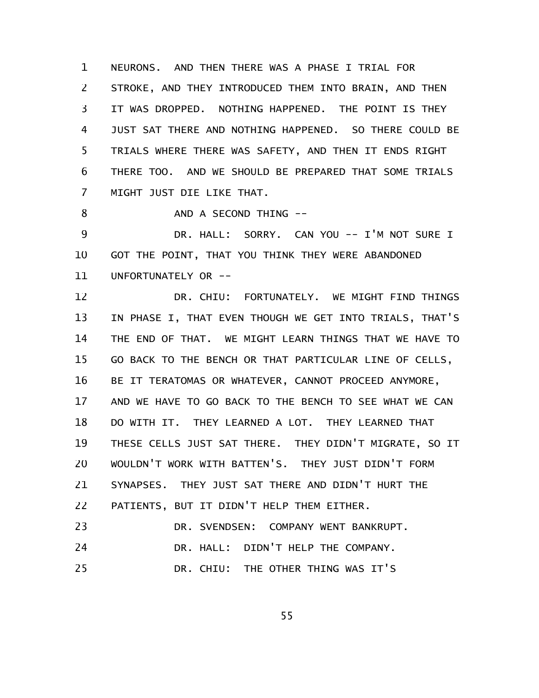NEURONS. AND THEN THERE WAS A PHASE I TRIAL FOR STROKE, AND THEY INTRODUCED THEM INTO BRAIN, AND THEN IT WAS DROPPED. NOTHING HAPPENED. THE POINT IS THEY JUST SAT THERE AND NOTHING HAPPENED. SO THERE COULD BE TRIALS WHERE THERE WAS SAFETY, AND THEN IT ENDS RIGHT THERE TOO. AND WE SHOULD BE PREPARED THAT SOME TRIALS MIGHT JUST DIE LIKE THAT. 1 2 3 4 5 6 7

AND A SECOND THING -- 8

DR. HALL: SORRY. CAN YOU -- I'M NOT SURE I GOT THE POINT, THAT YOU THINK THEY WERE ABANDONED UNFORTUNATELY OR -- 9 10 11

DR. CHIU: FORTUNATELY. WE MIGHT FIND THINGS IN PHASE I, THAT EVEN THOUGH WE GET INTO TRIALS, THAT'S THE END OF THAT. WE MIGHT LEARN THINGS THAT WE HAVE TO GO BACK TO THE BENCH OR THAT PARTICULAR LINE OF CELLS, BE IT TERATOMAS OR WHATEVER, CANNOT PROCEED ANYMORE, AND WE HAVE TO GO BACK TO THE BENCH TO SEE WHAT WE CAN DO WITH IT. THEY LEARNED A LOT. THEY LEARNED THAT THESE CELLS JUST SAT THERE. THEY DIDN'T MIGRATE, SO IT WOULDN'T WORK WITH BATTEN'S. THEY JUST DIDN'T FORM SYNAPSES. THEY JUST SAT THERE AND DIDN'T HURT THE PATIENTS, BUT IT DIDN'T HELP THEM EITHER. DR. SVENDSEN: COMPANY WENT BANKRUPT. DR. HALL: DIDN'T HELP THE COMPANY. 12 13 14 15 16 17 18 19 20 21 22 23 24

DR. CHIU: THE OTHER THING WAS IT'S 25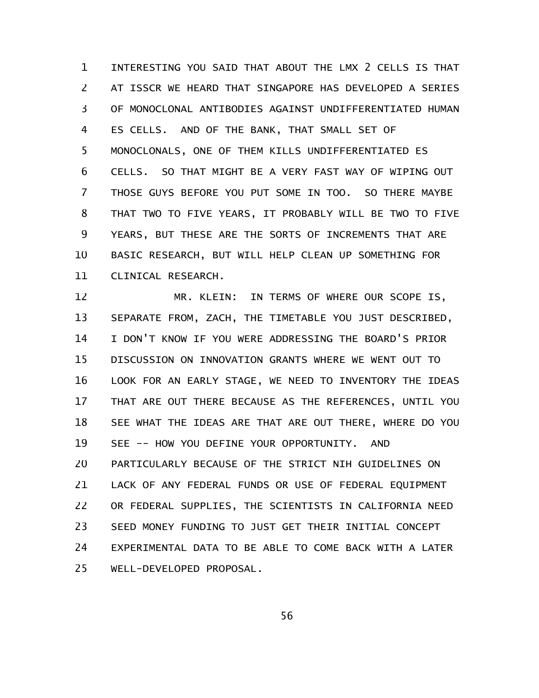INTERESTING YOU SAID THAT ABOUT THE LMX 2 CELLS IS THAT AT ISSCR WE HEARD THAT SINGAPORE HAS DEVELOPED A SERIES OF MONOCLONAL ANTIBODIES AGAINST UNDIFFERENTIATED HUMAN ES CELLS. AND OF THE BANK, THAT SMALL SET OF MONOCLONALS, ONE OF THEM KILLS UNDIFFERENTIATED ES CELLS. SO THAT MIGHT BE A VERY FAST WAY OF WIPING OUT THOSE GUYS BEFORE YOU PUT SOME IN TOO. SO THERE MAYBE THAT TWO TO FIVE YEARS, IT PROBABLY WILL BE TWO TO FIVE YEARS, BUT THESE ARE THE SORTS OF INCREMENTS THAT ARE BASIC RESEARCH, BUT WILL HELP CLEAN UP SOMETHING FOR CLINICAL RESEARCH. 1 2 3 4 5 6 7 8 9 10 11

MR. KLEIN: IN TERMS OF WHERE OUR SCOPE IS, SEPARATE FROM, ZACH, THE TIMETABLE YOU JUST DESCRIBED, I DON'T KNOW IF YOU WERE ADDRESSING THE BOARD'S PRIOR DISCUSSION ON INNOVATION GRANTS WHERE WE WENT OUT TO LOOK FOR AN EARLY STAGE, WE NEED TO INVENTORY THE IDEAS THAT ARE OUT THERE BECAUSE AS THE REFERENCES, UNTIL YOU SEE WHAT THE IDEAS ARE THAT ARE OUT THERE, WHERE DO YOU SEE -- HOW YOU DEFINE YOUR OPPORTUNITY. AND PARTICULARLY BECAUSE OF THE STRICT NIH GUIDELINES ON LACK OF ANY FEDERAL FUNDS OR USE OF FEDERAL EQUIPMENT OR FEDERAL SUPPLIES, THE SCIENTISTS IN CALIFORNIA NEED SEED MONEY FUNDING TO JUST GET THEIR INITIAL CONCEPT EXPERIMENTAL DATA TO BE ABLE TO COME BACK WITH A LATER WELL-DEVELOPED PROPOSAL. 12 13 14 15 16 17 18 19 20 21 22 23 24 25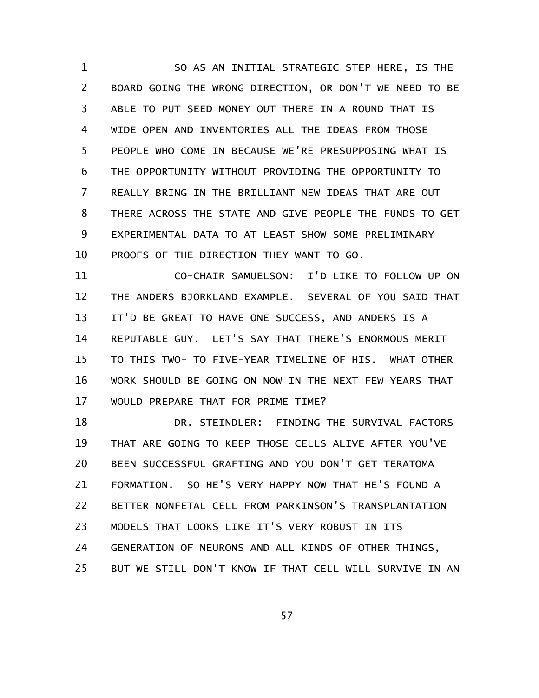SO AS AN INITIAL STRATEGIC STEP HERE, IS THE BOARD GOING THE WRONG DIRECTION, OR DON'T WE NEED TO BE ABLE TO PUT SEED MONEY OUT THERE IN A ROUND THAT IS WIDE OPEN AND INVENTORIES ALL THE IDEAS FROM THOSE PEOPLE WHO COME IN BECAUSE WE'RE PRESUPPOSING WHAT IS THE OPPORTUNITY WITHOUT PROVIDING THE OPPORTUNITY TO REALLY BRING IN THE BRILLIANT NEW IDEAS THAT ARE OUT THERE ACROSS THE STATE AND GIVE PEOPLE THE FUNDS TO GET EXPERIMENTAL DATA TO AT LEAST SHOW SOME PRELIMINARY PROOFS OF THE DIRECTION THEY WANT TO GO. 1 2 3 4 5 6 7 8 9 10

CO-CHAIR SAMUELSON: I'D LIKE TO FOLLOW UP ON THE ANDERS BJORKLAND EXAMPLE. SEVERAL OF YOU SAID THAT IT'D BE GREAT TO HAVE ONE SUCCESS, AND ANDERS IS A REPUTABLE GUY. LET'S SAY THAT THERE'S ENORMOUS MERIT TO THIS TWO- TO FIVE-YEAR TIMELINE OF HIS. WHAT OTHER WORK SHOULD BE GOING ON NOW IN THE NEXT FEW YEARS THAT WOULD PREPARE THAT FOR PRIME TIME? 11 12 13 14 15 16 17

DR. STEINDLER: FINDING THE SURVIVAL FACTORS THAT ARE GOING TO KEEP THOSE CELLS ALIVE AFTER YOU'VE BEEN SUCCESSFUL GRAFTING AND YOU DON'T GET TERATOMA FORMATION. SO HE'S VERY HAPPY NOW THAT HE'S FOUND A BETTER NONFETAL CELL FROM PARKINSON'S TRANSPLANTATION MODELS THAT LOOKS LIKE IT'S VERY ROBUST IN ITS GENERATION OF NEURONS AND ALL KINDS OF OTHER THINGS, BUT WE STILL DON'T KNOW IF THAT CELL WILL SURVIVE IN AN 18 19 20 21 22 23 24 25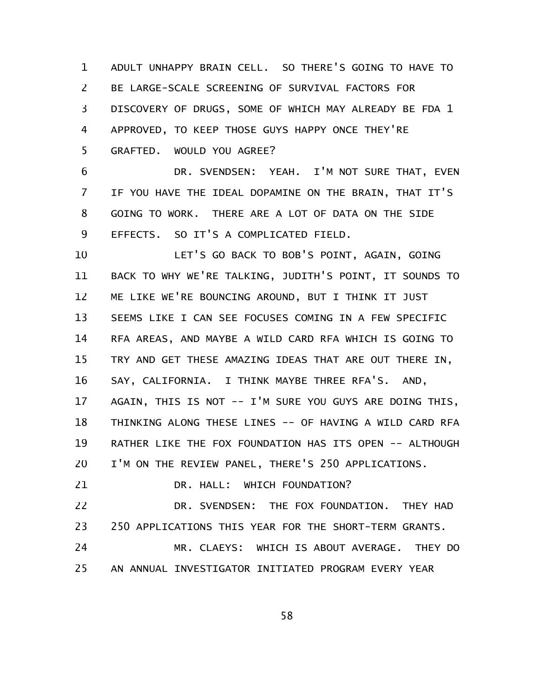ADULT UNHAPPY BRAIN CELL. SO THERE'S GOING TO HAVE TO BE LARGE-SCALE SCREENING OF SURVIVAL FACTORS FOR DISCOVERY OF DRUGS, SOME OF WHICH MAY ALREADY BE FDA 1 APPROVED, TO KEEP THOSE GUYS HAPPY ONCE THEY'RE GRAFTED. WOULD YOU AGREE? 1 2 3 4 5

DR. SVENDSEN: YEAH. I'M NOT SURE THAT, EVEN IF YOU HAVE THE IDEAL DOPAMINE ON THE BRAIN, THAT IT'S GOING TO WORK. THERE ARE A LOT OF DATA ON THE SIDE EFFECTS. SO IT'S A COMPLICATED FIELD. 6 7 8 9

LET'S GO BACK TO BOB'S POINT, AGAIN, GOING BACK TO WHY WE'RE TALKING, JUDITH'S POINT, IT SOUNDS TO ME LIKE WE'RE BOUNCING AROUND, BUT I THINK IT JUST SEEMS LIKE I CAN SEE FOCUSES COMING IN A FEW SPECIFIC RFA AREAS, AND MAYBE A WILD CARD RFA WHICH IS GOING TO TRY AND GET THESE AMAZING IDEAS THAT ARE OUT THERE IN, SAY, CALIFORNIA. I THINK MAYBE THREE RFA'S. AND, AGAIN, THIS IS NOT -- I'M SURE YOU GUYS ARE DOING THIS, THINKING ALONG THESE LINES -- OF HAVING A WILD CARD RFA RATHER LIKE THE FOX FOUNDATION HAS ITS OPEN -- ALTHOUGH I'M ON THE REVIEW PANEL, THERE'S 250 APPLICATIONS. 10 11 12 13 14 15 16 17 18 19 20

DR. HALL: WHICH FOUNDATION? 21

DR. SVENDSEN: THE FOX FOUNDATION. THEY HAD 250 APPLICATIONS THIS YEAR FOR THE SHORT-TERM GRANTS. 22 23

MR. CLAEYS: WHICH IS ABOUT AVERAGE. THEY DO AN ANNUAL INVESTIGATOR INITIATED PROGRAM EVERY YEAR 24 25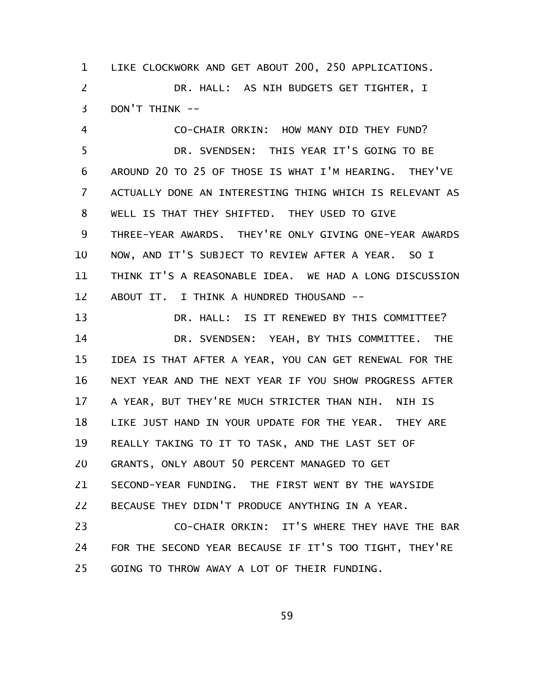LIKE CLOCKWORK AND GET ABOUT 200, 250 APPLICATIONS. DR. HALL: AS NIH BUDGETS GET TIGHTER, I DON'T THINK -- 1 2 3

CO-CHAIR ORKIN: HOW MANY DID THEY FUND? DR. SVENDSEN: THIS YEAR IT'S GOING TO BE AROUND 20 TO 25 OF THOSE IS WHAT I'M HEARING. THEY'VE ACTUALLY DONE AN INTERESTING THING WHICH IS RELEVANT AS WELL IS THAT THEY SHIFTED. THEY USED TO GIVE THREE-YEAR AWARDS. THEY'RE ONLY GIVING ONE-YEAR AWARDS NOW, AND IT'S SUBJECT TO REVIEW AFTER A YEAR. SO I THINK IT'S A REASONABLE IDEA. WE HAD A LONG DISCUSSION ABOUT IT. I THINK A HUNDRED THOUSAND -- 4 5 6 7 8 9 10 11 12

DR. HALL: IS IT RENEWED BY THIS COMMITTEE? DR. SVENDSEN: YEAH, BY THIS COMMITTEE. THE IDEA IS THAT AFTER A YEAR, YOU CAN GET RENEWAL FOR THE NEXT YEAR AND THE NEXT YEAR IF YOU SHOW PROGRESS AFTER A YEAR, BUT THEY'RE MUCH STRICTER THAN NIH. NIH IS LIKE JUST HAND IN YOUR UPDATE FOR THE YEAR. THEY ARE REALLY TAKING TO IT TO TASK, AND THE LAST SET OF GRANTS, ONLY ABOUT 50 PERCENT MANAGED TO GET SECOND-YEAR FUNDING. THE FIRST WENT BY THE WAYSIDE BECAUSE THEY DIDN'T PRODUCE ANYTHING IN A YEAR. CO-CHAIR ORKIN: IT'S WHERE THEY HAVE THE BAR 13 14 15 16 17 18 19 20 21 22 23

FOR THE SECOND YEAR BECAUSE IF IT'S TOO TIGHT, THEY'RE GOING TO THROW AWAY A LOT OF THEIR FUNDING. 24 25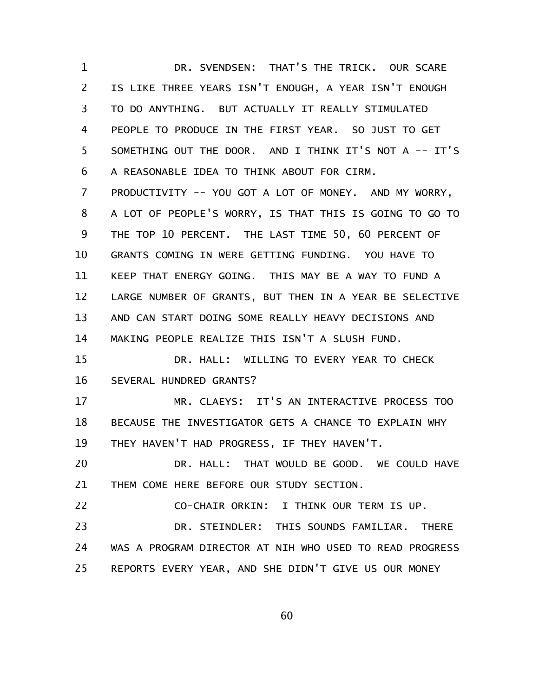DR. SVENDSEN: THAT'S THE TRICK. OUR SCARE IS LIKE THREE YEARS ISN'T ENOUGH, A YEAR ISN'T ENOUGH TO DO ANYTHING. BUT ACTUALLY IT REALLY STIMULATED PEOPLE TO PRODUCE IN THE FIRST YEAR. SO JUST TO GET SOMETHING OUT THE DOOR. AND I THINK IT'S NOT A -- IT'S A REASONABLE IDEA TO THINK ABOUT FOR CIRM. PRODUCTIVITY -- YOU GOT A LOT OF MONEY. AND MY WORRY, A LOT OF PEOPLE'S WORRY, IS THAT THIS IS GOING TO GO TO THE TOP 10 PERCENT. THE LAST TIME 50, 60 PERCENT OF GRANTS COMING IN WERE GETTING FUNDING. YOU HAVE TO KEEP THAT ENERGY GOING. THIS MAY BE A WAY TO FUND A LARGE NUMBER OF GRANTS, BUT THEN IN A YEAR BE SELECTIVE AND CAN START DOING SOME REALLY HEAVY DECISIONS AND MAKING PEOPLE REALIZE THIS ISN'T A SLUSH FUND. DR. HALL: WILLING TO EVERY YEAR TO CHECK SEVERAL HUNDRED GRANTS? MR. CLAEYS: IT'S AN INTERACTIVE PROCESS TOO BECAUSE THE INVESTIGATOR GETS A CHANCE TO EXPLAIN WHY THEY HAVEN'T HAD PROGRESS, IF THEY HAVEN'T. DR. HALL: THAT WOULD BE GOOD. WE COULD HAVE THEM COME HERE BEFORE OUR STUDY SECTION. CO-CHAIR ORKIN: I THINK OUR TERM IS UP. DR. STEINDLER: THIS SOUNDS FAMILIAR. THERE WAS A PROGRAM DIRECTOR AT NIH WHO USED TO READ PROGRESS REPORTS EVERY YEAR, AND SHE DIDN'T GIVE US OUR MONEY 1 2 3 4 5 6 7 8 9 10 11 12 13 14 15 16 17 18 19 20 21 22 23 24 25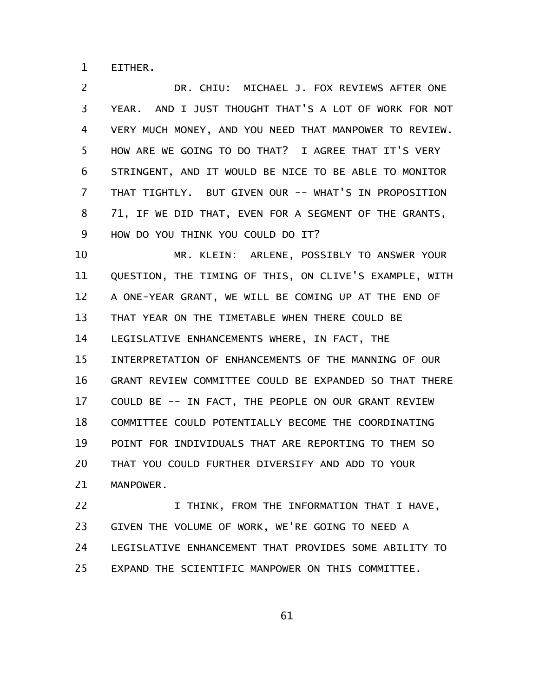EITHER. 1

DR. CHIU: MICHAEL J. FOX REVIEWS AFTER ONE YEAR. AND I JUST THOUGHT THAT'S A LOT OF WORK FOR NOT VERY MUCH MONEY, AND YOU NEED THAT MANPOWER TO REVIEW. HOW ARE WE GOING TO DO THAT? I AGREE THAT IT'S VERY STRINGENT, AND IT WOULD BE NICE TO BE ABLE TO MONITOR THAT TIGHTLY. BUT GIVEN OUR -- WHAT'S IN PROPOSITION 71, IF WE DID THAT, EVEN FOR A SEGMENT OF THE GRANTS, HOW DO YOU THINK YOU COULD DO IT? 2 3 4 5 6 7 8 9

MR. KLEIN: ARLENE, POSSIBLY TO ANSWER YOUR QUESTION, THE TIMING OF THIS, ON CLIVE'S EXAMPLE, WITH A ONE-YEAR GRANT, WE WILL BE COMING UP AT THE END OF THAT YEAR ON THE TIMETABLE WHEN THERE COULD BE LEGISLATIVE ENHANCEMENTS WHERE, IN FACT, THE INTERPRETATION OF ENHANCEMENTS OF THE MANNING OF OUR GRANT REVIEW COMMITTEE COULD BE EXPANDED SO THAT THERE COULD BE -- IN FACT, THE PEOPLE ON OUR GRANT REVIEW COMMITTEE COULD POTENTIALLY BECOME THE COORDINATING POINT FOR INDIVIDUALS THAT ARE REPORTING TO THEM SO THAT YOU COULD FURTHER DIVERSIFY AND ADD TO YOUR MANPOWER. 10 11 12 13 14 15 16 17 18 19 20 21

I THINK, FROM THE INFORMATION THAT I HAVE, GIVEN THE VOLUME OF WORK, WE'RE GOING TO NEED A LEGISLATIVE ENHANCEMENT THAT PROVIDES SOME ABILITY TO EXPAND THE SCIENTIFIC MANPOWER ON THIS COMMITTEE. 22 23 24 25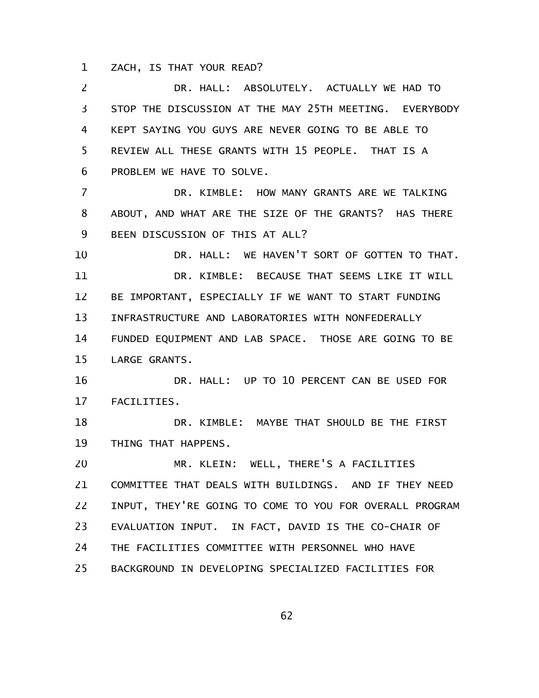ZACH, IS THAT YOUR READ? 1

DR. HALL: ABSOLUTELY. ACTUALLY WE HAD TO STOP THE DISCUSSION AT THE MAY 25TH MEETING. EVERYBODY KEPT SAYING YOU GUYS ARE NEVER GOING TO BE ABLE TO REVIEW ALL THESE GRANTS WITH 15 PEOPLE. THAT IS A PROBLEM WE HAVE TO SOLVE. DR. KIMBLE: HOW MANY GRANTS ARE WE TALKING ABOUT, AND WHAT ARE THE SIZE OF THE GRANTS? HAS THERE BEEN DISCUSSION OF THIS AT ALL? DR. HALL: WE HAVEN'T SORT OF GOTTEN TO THAT. DR. KIMBLE: BECAUSE THAT SEEMS LIKE IT WILL BE IMPORTANT, ESPECIALLY IF WE WANT TO START FUNDING INFRASTRUCTURE AND LABORATORIES WITH NONFEDERALLY FUNDED EQUIPMENT AND LAB SPACE. THOSE ARE GOING TO BE LARGE GRANTS. DR. HALL: UP TO 10 PERCENT CAN BE USED FOR FACILITIES. DR. KIMBLE: MAYBE THAT SHOULD BE THE FIRST THING THAT HAPPENS. MR. KLEIN: WELL, THERE'S A FACILITIES COMMITTEE THAT DEALS WITH BUILDINGS. AND IF THEY NEED INPUT, THEY'RE GOING TO COME TO YOU FOR OVERALL PROGRAM EVALUATION INPUT. IN FACT, DAVID IS THE CO-CHAIR OF THE FACILITIES COMMITTEE WITH PERSONNEL WHO HAVE BACKGROUND IN DEVELOPING SPECIALIZED FACILITIES FOR 2 3 4 5 6 7 8 9 10 11 12 13 14 15 16 17 18 19 20 21 22 23 24 25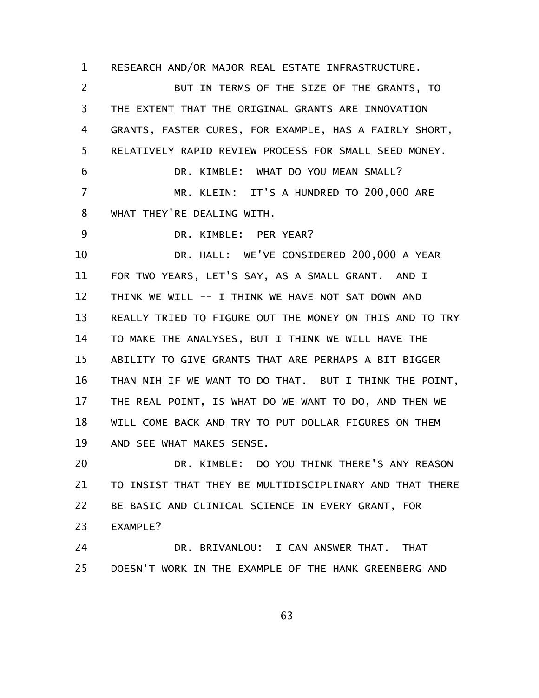RESEARCH AND/OR MAJOR REAL ESTATE INFRASTRUCTURE. 1

BUT IN TERMS OF THE SIZE OF THE GRANTS, TO THE EXTENT THAT THE ORIGINAL GRANTS ARE INNOVATION GRANTS, FASTER CURES, FOR EXAMPLE, HAS A FAIRLY SHORT, RELATIVELY RAPID REVIEW PROCESS FOR SMALL SEED MONEY. DR. KIMBLE: WHAT DO YOU MEAN SMALL? MR. KLEIN: IT'S A HUNDRED TO 200,000 ARE WHAT THEY'RE DEALING WITH. DR. KIMBLE: PER YEAR? DR. HALL: WE'VE CONSIDERED 200,000 A YEAR FOR TWO YEARS, LET'S SAY, AS A SMALL GRANT. AND I THINK WE WILL -- I THINK WE HAVE NOT SAT DOWN AND REALLY TRIED TO FIGURE OUT THE MONEY ON THIS AND TO TRY TO MAKE THE ANALYSES, BUT I THINK WE WILL HAVE THE ABILITY TO GIVE GRANTS THAT ARE PERHAPS A BIT BIGGER THAN NIH IF WE WANT TO DO THAT. BUT I THINK THE POINT, THE REAL POINT, IS WHAT DO WE WANT TO DO, AND THEN WE WILL COME BACK AND TRY TO PUT DOLLAR FIGURES ON THEM AND SEE WHAT MAKES SENSE. DR. KIMBLE: DO YOU THINK THERE'S ANY REASON TO INSIST THAT THEY BE MULTIDISCIPLINARY AND THAT THERE BE BASIC AND CLINICAL SCIENCE IN EVERY GRANT, FOR EXAMPLE? 2 3 4 5 6 7 8 9 10 11 12 13 14 15 16 17 18 19 20 21 22 23

DR. BRIVANLOU: I CAN ANSWER THAT. THAT DOESN'T WORK IN THE EXAMPLE OF THE HANK GREENBERG AND 24 25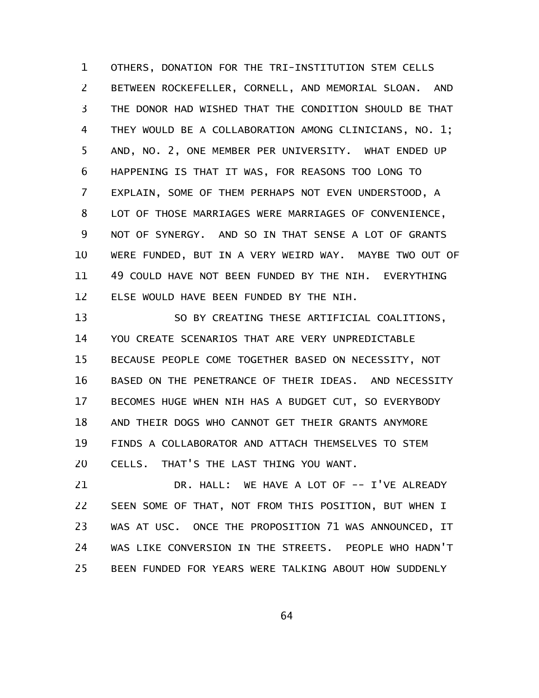OTHERS, DONATION FOR THE TRI-INSTITUTION STEM CELLS BETWEEN ROCKEFELLER, CORNELL, AND MEMORIAL SLOAN. AND THE DONOR HAD WISHED THAT THE CONDITION SHOULD BE THAT THEY WOULD BE A COLLABORATION AMONG CLINICIANS, NO. 1; AND, NO. 2, ONE MEMBER PER UNIVERSITY. WHAT ENDED UP HAPPENING IS THAT IT WAS, FOR REASONS TOO LONG TO EXPLAIN, SOME OF THEM PERHAPS NOT EVEN UNDERSTOOD, A LOT OF THOSE MARRIAGES WERE MARRIAGES OF CONVENIENCE, NOT OF SYNERGY. AND SO IN THAT SENSE A LOT OF GRANTS WERE FUNDED, BUT IN A VERY WEIRD WAY. MAYBE TWO OUT OF 49 COULD HAVE NOT BEEN FUNDED BY THE NIH. EVERYTHING ELSE WOULD HAVE BEEN FUNDED BY THE NIH. 1 2 3 4 5 6 7 8 9 10 11 12

SO BY CREATING THESE ARTIFICIAL COALITIONS, YOU CREATE SCENARIOS THAT ARE VERY UNPREDICTABLE BECAUSE PEOPLE COME TOGETHER BASED ON NECESSITY, NOT BASED ON THE PENETRANCE OF THEIR IDEAS. AND NECESSITY BECOMES HUGE WHEN NIH HAS A BUDGET CUT, SO EVERYBODY AND THEIR DOGS WHO CANNOT GET THEIR GRANTS ANYMORE FINDS A COLLABORATOR AND ATTACH THEMSELVES TO STEM CELLS. THAT'S THE LAST THING YOU WANT. 13 14 15 16 17 18 19 20

DR. HALL: WE HAVE A LOT OF -- I'VE ALREADY SEEN SOME OF THAT, NOT FROM THIS POSITION, BUT WHEN I WAS AT USC. ONCE THE PROPOSITION 71 WAS ANNOUNCED, IT WAS LIKE CONVERSION IN THE STREETS. PEOPLE WHO HADN'T BEEN FUNDED FOR YEARS WERE TALKING ABOUT HOW SUDDENLY 21 22 23 24 25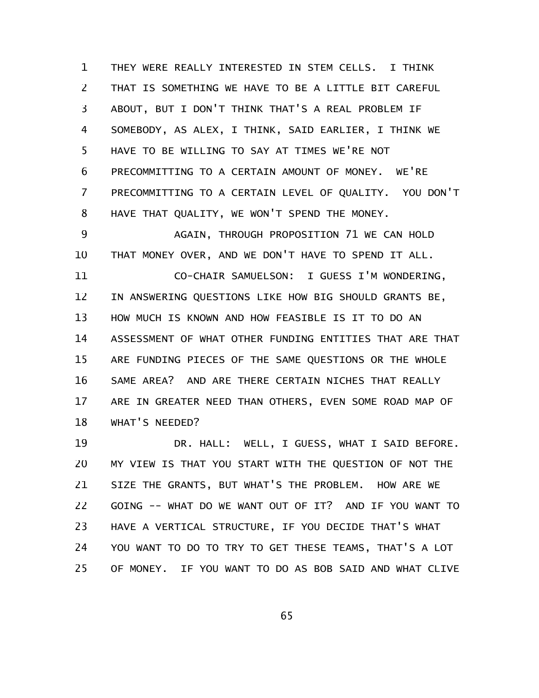THEY WERE REALLY INTERESTED IN STEM CELLS. I THINK THAT IS SOMETHING WE HAVE TO BE A LITTLE BIT CAREFUL ABOUT, BUT I DON'T THINK THAT'S A REAL PROBLEM IF SOMEBODY, AS ALEX, I THINK, SAID EARLIER, I THINK WE HAVE TO BE WILLING TO SAY AT TIMES WE'RE NOT PRECOMMITTING TO A CERTAIN AMOUNT OF MONEY. WE'RE PRECOMMITTING TO A CERTAIN LEVEL OF QUALITY. YOU DON'T HAVE THAT QUALITY, WE WON'T SPEND THE MONEY. 1 2 3 4 5 6 7 8

AGAIN, THROUGH PROPOSITION 71 WE CAN HOLD THAT MONEY OVER, AND WE DON'T HAVE TO SPEND IT ALL. 9 10

CO-CHAIR SAMUELSON: I GUESS I'M WONDERING, IN ANSWERING QUESTIONS LIKE HOW BIG SHOULD GRANTS BE, HOW MUCH IS KNOWN AND HOW FEASIBLE IS IT TO DO AN ASSESSMENT OF WHAT OTHER FUNDING ENTITIES THAT ARE THAT ARE FUNDING PIECES OF THE SAME QUESTIONS OR THE WHOLE SAME AREA? AND ARE THERE CERTAIN NICHES THAT REALLY ARE IN GREATER NEED THAN OTHERS, EVEN SOME ROAD MAP OF WHAT'S NEEDED? 11 12 13 14 15 16 17 18

DR. HALL: WELL, I GUESS, WHAT I SAID BEFORE. MY VIEW IS THAT YOU START WITH THE QUESTION OF NOT THE SIZE THE GRANTS, BUT WHAT'S THE PROBLEM. HOW ARE WE GOING -- WHAT DO WE WANT OUT OF IT? AND IF YOU WANT TO HAVE A VERTICAL STRUCTURE, IF YOU DECIDE THAT'S WHAT YOU WANT TO DO TO TRY TO GET THESE TEAMS, THAT'S A LOT OF MONEY. IF YOU WANT TO DO AS BOB SAID AND WHAT CLIVE 19 20 21 22 23 24 25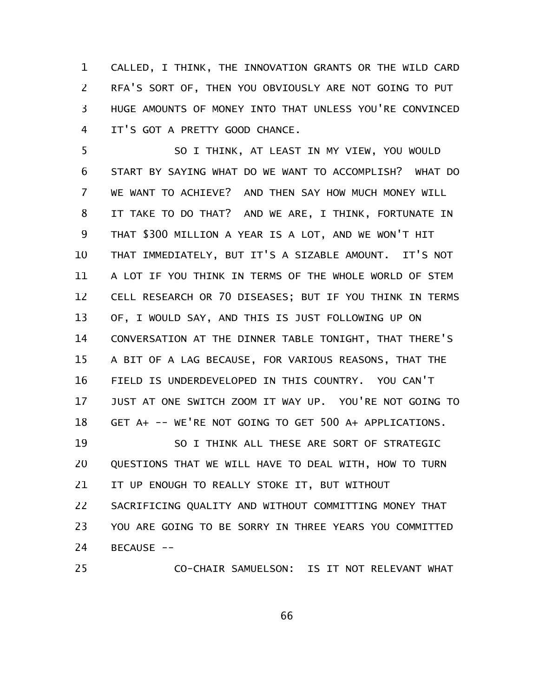CALLED, I THINK, THE INNOVATION GRANTS OR THE WILD CARD RFA'S SORT OF, THEN YOU OBVIOUSLY ARE NOT GOING TO PUT HUGE AMOUNTS OF MONEY INTO THAT UNLESS YOU'RE CONVINCED IT'S GOT A PRETTY GOOD CHANCE. 1 2 3 4

SO I THINK, AT LEAST IN MY VIEW, YOU WOULD START BY SAYING WHAT DO WE WANT TO ACCOMPLISH? WHAT DO WE WANT TO ACHIEVE? AND THEN SAY HOW MUCH MONEY WILL IT TAKE TO DO THAT? AND WE ARE, I THINK, FORTUNATE IN THAT \$300 MILLION A YEAR IS A LOT, AND WE WON'T HIT THAT IMMEDIATELY, BUT IT'S A SIZABLE AMOUNT. IT'S NOT A LOT IF YOU THINK IN TERMS OF THE WHOLE WORLD OF STEM CELL RESEARCH OR 70 DISEASES; BUT IF YOU THINK IN TERMS OF, I WOULD SAY, AND THIS IS JUST FOLLOWING UP ON CONVERSATION AT THE DINNER TABLE TONIGHT, THAT THERE'S A BIT OF A LAG BECAUSE, FOR VARIOUS REASONS, THAT THE FIELD IS UNDERDEVELOPED IN THIS COUNTRY. YOU CAN'T JUST AT ONE SWITCH ZOOM IT WAY UP. YOU'RE NOT GOING TO GET A+ -- WE'RE NOT GOING TO GET 500 A+ APPLICATIONS. SO I THINK ALL THESE ARE SORT OF STRATEGIC 5 6 7 8 9 10 11 12 13 14 15 16 17 18 19

QUESTIONS THAT WE WILL HAVE TO DEAL WITH, HOW TO TURN IT UP ENOUGH TO REALLY STOKE IT, BUT WITHOUT SACRIFICING QUALITY AND WITHOUT COMMITTING MONEY THAT YOU ARE GOING TO BE SORRY IN THREE YEARS YOU COMMITTED BECAUSE --20 21 22 23 24

CO-CHAIR SAMUELSON: IS IT NOT RELEVANT WHAT 25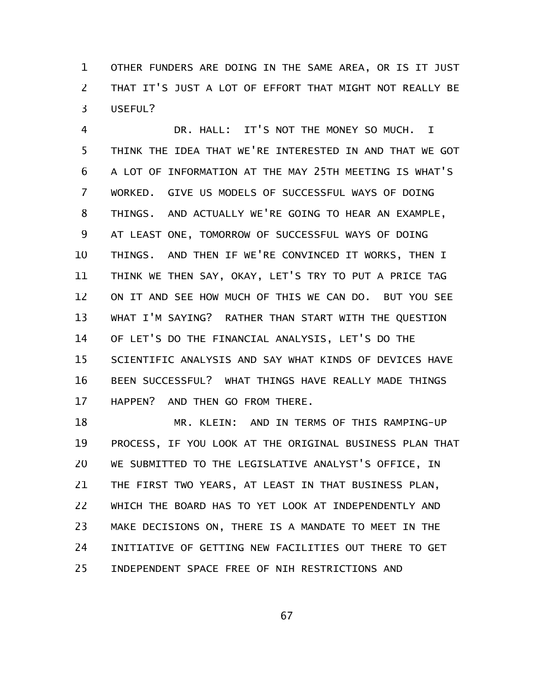OTHER FUNDERS ARE DOING IN THE SAME AREA, OR IS IT JUST THAT IT'S JUST A LOT OF EFFORT THAT MIGHT NOT REALLY BE USEFUL? 1 2 3

DR. HALL: IT'S NOT THE MONEY SO MUCH. I THINK THE IDEA THAT WE'RE INTERESTED IN AND THAT WE GOT A LOT OF INFORMATION AT THE MAY 25TH MEETING IS WHAT'S WORKED. GIVE US MODELS OF SUCCESSFUL WAYS OF DOING THINGS. AND ACTUALLY WE'RE GOING TO HEAR AN EXAMPLE, AT LEAST ONE, TOMORROW OF SUCCESSFUL WAYS OF DOING THINGS. AND THEN IF WE'RE CONVINCED IT WORKS, THEN I THINK WE THEN SAY, OKAY, LET'S TRY TO PUT A PRICE TAG ON IT AND SEE HOW MUCH OF THIS WE CAN DO. BUT YOU SEE WHAT I'M SAYING? RATHER THAN START WITH THE QUESTION OF LET'S DO THE FINANCIAL ANALYSIS, LET'S DO THE SCIENTIFIC ANALYSIS AND SAY WHAT KINDS OF DEVICES HAVE BEEN SUCCESSFUL? WHAT THINGS HAVE REALLY MADE THINGS HAPPEN? AND THEN GO FROM THERE. 4 5 6 7 8 9 10 11 12 13 14 15 16 17

MR. KLEIN: AND IN TERMS OF THIS RAMPING-UP PROCESS, IF YOU LOOK AT THE ORIGINAL BUSINESS PLAN THAT WE SUBMITTED TO THE LEGISLATIVE ANALYST'S OFFICE, IN THE FIRST TWO YEARS, AT LEAST IN THAT BUSINESS PLAN, WHICH THE BOARD HAS TO YET LOOK AT INDEPENDENTLY AND MAKE DECISIONS ON, THERE IS A MANDATE TO MEET IN THE INITIATIVE OF GETTING NEW FACILITIES OUT THERE TO GET INDEPENDENT SPACE FREE OF NIH RESTRICTIONS AND 18 19 20 21 22 23 24 25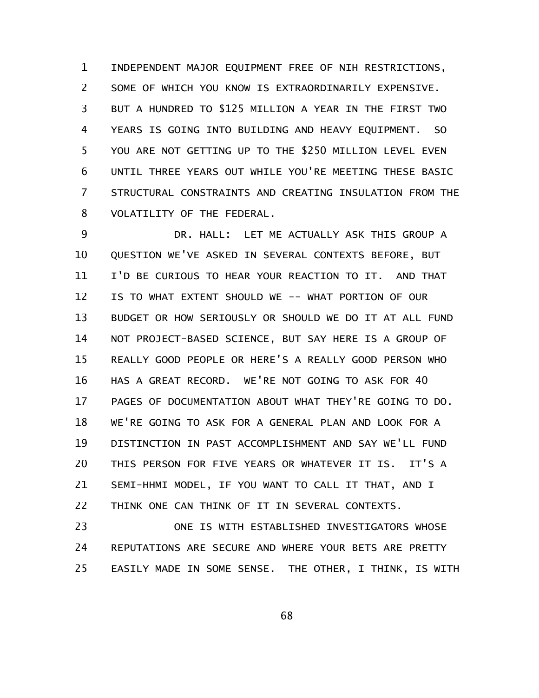INDEPENDENT MAJOR EQUIPMENT FREE OF NIH RESTRICTIONS, SOME OF WHICH YOU KNOW IS EXTRAORDINARILY EXPENSIVE. BUT A HUNDRED TO \$125 MILLION A YEAR IN THE FIRST TWO YEARS IS GOING INTO BUILDING AND HEAVY EQUIPMENT. SO YOU ARE NOT GETTING UP TO THE \$250 MILLION LEVEL EVEN UNTIL THREE YEARS OUT WHILE YOU'RE MEETING THESE BASIC STRUCTURAL CONSTRAINTS AND CREATING INSULATION FROM THE VOLATILITY OF THE FEDERAL. 1 2 3 4 5 6 7 8

DR. HALL: LET ME ACTUALLY ASK THIS GROUP A QUESTION WE'VE ASKED IN SEVERAL CONTEXTS BEFORE, BUT I'D BE CURIOUS TO HEAR YOUR REACTION TO IT. AND THAT IS TO WHAT EXTENT SHOULD WE -- WHAT PORTION OF OUR BUDGET OR HOW SERIOUSLY OR SHOULD WE DO IT AT ALL FUND NOT PROJECT-BASED SCIENCE, BUT SAY HERE IS A GROUP OF REALLY GOOD PEOPLE OR HERE'S A REALLY GOOD PERSON WHO HAS A GREAT RECORD. WE'RE NOT GOING TO ASK FOR 40 PAGES OF DOCUMENTATION ABOUT WHAT THEY'RE GOING TO DO. WE'RE GOING TO ASK FOR A GENERAL PLAN AND LOOK FOR A DISTINCTION IN PAST ACCOMPLISHMENT AND SAY WE'LL FUND THIS PERSON FOR FIVE YEARS OR WHATEVER IT IS. IT'S A SEMI-HHMI MODEL, IF YOU WANT TO CALL IT THAT, AND I THINK ONE CAN THINK OF IT IN SEVERAL CONTEXTS. 9 10 11 12 13 14 15 16 17 18 19 20 21 22

ONE IS WITH ESTABLISHED INVESTIGATORS WHOSE REPUTATIONS ARE SECURE AND WHERE YOUR BETS ARE PRETTY EASILY MADE IN SOME SENSE. THE OTHER, I THINK, IS WITH 23 24 25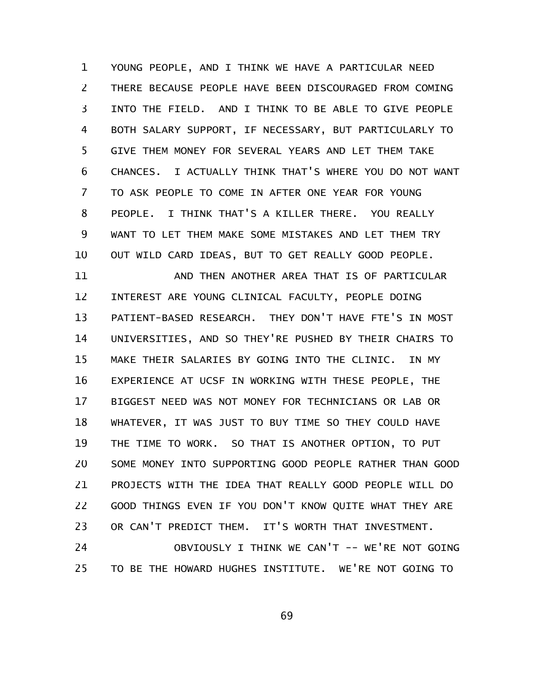YOUNG PEOPLE, AND I THINK WE HAVE A PARTICULAR NEED THERE BECAUSE PEOPLE HAVE BEEN DISCOURAGED FROM COMING INTO THE FIELD. AND I THINK TO BE ABLE TO GIVE PEOPLE BOTH SALARY SUPPORT, IF NECESSARY, BUT PARTICULARLY TO GIVE THEM MONEY FOR SEVERAL YEARS AND LET THEM TAKE CHANCES. I ACTUALLY THINK THAT'S WHERE YOU DO NOT WANT TO ASK PEOPLE TO COME IN AFTER ONE YEAR FOR YOUNG PEOPLE. I THINK THAT'S A KILLER THERE. YOU REALLY WANT TO LET THEM MAKE SOME MISTAKES AND LET THEM TRY OUT WILD CARD IDEAS, BUT TO GET REALLY GOOD PEOPLE. 1 2 3 4 5 6 7 8 9 10

AND THEN ANOTHER AREA THAT IS OF PARTICULAR INTEREST ARE YOUNG CLINICAL FACULTY, PEOPLE DOING PATIENT-BASED RESEARCH. THEY DON'T HAVE FTE'S IN MOST UNIVERSITIES, AND SO THEY'RE PUSHED BY THEIR CHAIRS TO MAKE THEIR SALARIES BY GOING INTO THE CLINIC. IN MY EXPERIENCE AT UCSF IN WORKING WITH THESE PEOPLE, THE BIGGEST NEED WAS NOT MONEY FOR TECHNICIANS OR LAB OR WHATEVER, IT WAS JUST TO BUY TIME SO THEY COULD HAVE THE TIME TO WORK. SO THAT IS ANOTHER OPTION, TO PUT SOME MONEY INTO SUPPORTING GOOD PEOPLE RATHER THAN GOOD PROJECTS WITH THE IDEA THAT REALLY GOOD PEOPLE WILL DO GOOD THINGS EVEN IF YOU DON'T KNOW QUITE WHAT THEY ARE OR CAN'T PREDICT THEM. IT'S WORTH THAT INVESTMENT. 11 12 13 14 15 16 17 18 19 20 21 22 23

OBVIOUSLY I THINK WE CAN'T -- WE'RE NOT GOING TO BE THE HOWARD HUGHES INSTITUTE. WE'RE NOT GOING TO 24 25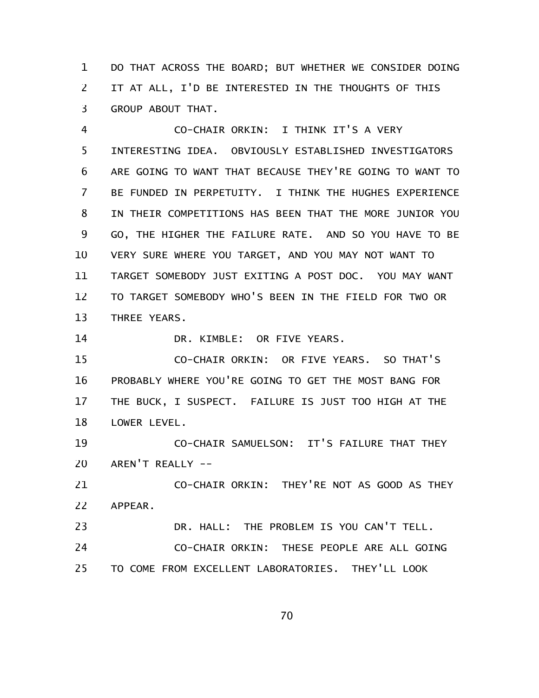DO THAT ACROSS THE BOARD; BUT WHETHER WE CONSIDER DOING IT AT ALL, I'D BE INTERESTED IN THE THOUGHTS OF THIS GROUP ABOUT THAT. 1 2 3

CO-CHAIR ORKIN: I THINK IT'S A VERY INTERESTING IDEA. OBVIOUSLY ESTABLISHED INVESTIGATORS ARE GOING TO WANT THAT BECAUSE THEY'RE GOING TO WANT TO BE FUNDED IN PERPETUITY. I THINK THE HUGHES EXPERIENCE IN THEIR COMPETITIONS HAS BEEN THAT THE MORE JUNIOR YOU GO, THE HIGHER THE FAILURE RATE. AND SO YOU HAVE TO BE VERY SURE WHERE YOU TARGET, AND YOU MAY NOT WANT TO TARGET SOMEBODY JUST EXITING A POST DOC. YOU MAY WANT TO TARGET SOMEBODY WHO'S BEEN IN THE FIELD FOR TWO OR THREE YEARS. 4 5 6 7 8 9 10 11 12 13

DR. KIMBLE: OR FIVE YEARS. 14

CO-CHAIR ORKIN: OR FIVE YEARS. SO THAT'S PROBABLY WHERE YOU'RE GOING TO GET THE MOST BANG FOR THE BUCK, I SUSPECT. FAILURE IS JUST TOO HIGH AT THE LOWER LEVEL. 15 16 17 18

CO-CHAIR SAMUELSON: IT'S FAILURE THAT THEY AREN'T REALLY -- 19 20

CO-CHAIR ORKIN: THEY'RE NOT AS GOOD AS THEY APPEAR. 21 22

DR. HALL: THE PROBLEM IS YOU CAN'T TELL. CO-CHAIR ORKIN: THESE PEOPLE ARE ALL GOING TO COME FROM EXCELLENT LABORATORIES. THEY'LL LOOK 23 24 25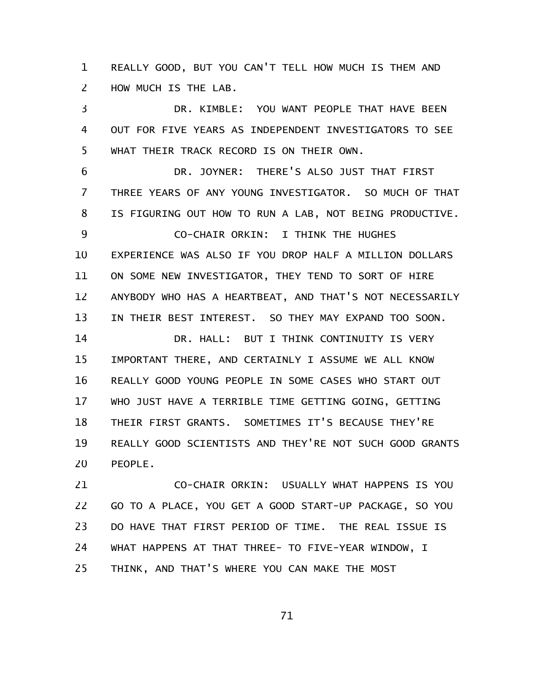REALLY GOOD, BUT YOU CAN'T TELL HOW MUCH IS THEM AND HOW MUCH IS THE LAB. 1 2

DR. KIMBLE: YOU WANT PEOPLE THAT HAVE BEEN OUT FOR FIVE YEARS AS INDEPENDENT INVESTIGATORS TO SEE WHAT THEIR TRACK RECORD IS ON THEIR OWN. 3 4 5

DR. JOYNER: THERE'S ALSO JUST THAT FIRST THREE YEARS OF ANY YOUNG INVESTIGATOR. SO MUCH OF THAT IS FIGURING OUT HOW TO RUN A LAB, NOT BEING PRODUCTIVE. CO-CHAIR ORKIN: I THINK THE HUGHES EXPERIENCE WAS ALSO IF YOU DROP HALF A MILLION DOLLARS ON SOME NEW INVESTIGATOR, THEY TEND TO SORT OF HIRE ANYBODY WHO HAS A HEARTBEAT, AND THAT'S NOT NECESSARILY IN THEIR BEST INTEREST. SO THEY MAY EXPAND TOO SOON. DR. HALL: BUT I THINK CONTINUITY IS VERY IMPORTANT THERE, AND CERTAINLY I ASSUME WE ALL KNOW REALLY GOOD YOUNG PEOPLE IN SOME CASES WHO START OUT WHO JUST HAVE A TERRIBLE TIME GETTING GOING, GETTING THEIR FIRST GRANTS. SOMETIMES IT'S BECAUSE THEY'RE REALLY GOOD SCIENTISTS AND THEY'RE NOT SUCH GOOD GRANTS PEOPLE. 6 7 8 9 10 11 12 13 14 15 16 17 18 19 20

CO-CHAIR ORKIN: USUALLY WHAT HAPPENS IS YOU GO TO A PLACE, YOU GET A GOOD START-UP PACKAGE, SO YOU DO HAVE THAT FIRST PERIOD OF TIME. THE REAL ISSUE IS WHAT HAPPENS AT THAT THREE- TO FIVE-YEAR WINDOW, I THINK, AND THAT'S WHERE YOU CAN MAKE THE MOST 21 22 23 24 25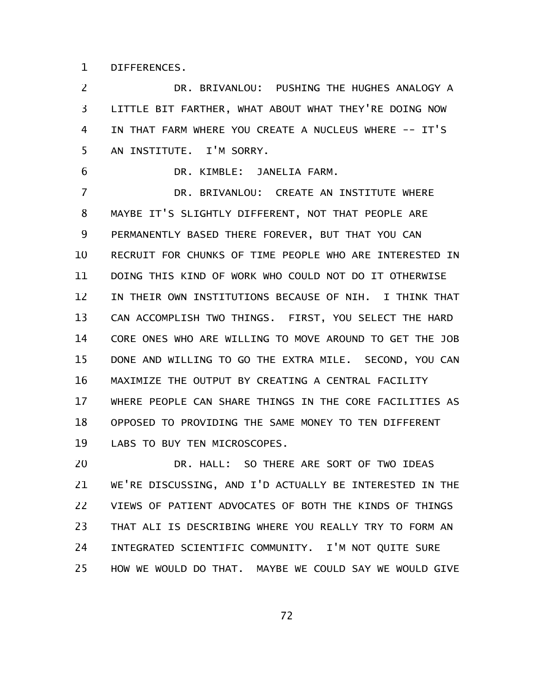DIFFERENCES. 1

DR. BRIVANLOU: PUSHING THE HUGHES ANALOGY A LITTLE BIT FARTHER, WHAT ABOUT WHAT THEY'RE DOING NOW IN THAT FARM WHERE YOU CREATE A NUCLEUS WHERE -- IT'S AN INSTITUTE. I'M SORRY. 2 3 4 5

DR. KIMBLE: JANELIA FARM. 6

DR. BRIVANLOU: CREATE AN INSTITUTE WHERE MAYBE IT'S SLIGHTLY DIFFERENT, NOT THAT PEOPLE ARE PERMANENTLY BASED THERE FOREVER, BUT THAT YOU CAN RECRUIT FOR CHUNKS OF TIME PEOPLE WHO ARE INTERESTED IN DOING THIS KIND OF WORK WHO COULD NOT DO IT OTHERWISE IN THEIR OWN INSTITUTIONS BECAUSE OF NIH. I THINK THAT CAN ACCOMPLISH TWO THINGS. FIRST, YOU SELECT THE HARD CORE ONES WHO ARE WILLING TO MOVE AROUND TO GET THE JOB DONE AND WILLING TO GO THE EXTRA MILE. SECOND, YOU CAN MAXIMIZE THE OUTPUT BY CREATING A CENTRAL FACILITY WHERE PEOPLE CAN SHARE THINGS IN THE CORE FACILITIES AS OPPOSED TO PROVIDING THE SAME MONEY TO TEN DIFFERENT LABS TO BUY TEN MICROSCOPES. 7 8 9 10 11 12 13 14 15 16 17 18 19

DR. HALL: SO THERE ARE SORT OF TWO IDEAS WE'RE DISCUSSING, AND I'D ACTUALLY BE INTERESTED IN THE VIEWS OF PATIENT ADVOCATES OF BOTH THE KINDS OF THINGS THAT ALI IS DESCRIBING WHERE YOU REALLY TRY TO FORM AN INTEGRATED SCIENTIFIC COMMUNITY. I'M NOT QUITE SURE HOW WE WOULD DO THAT. MAYBE WE COULD SAY WE WOULD GIVE 20 21 22 23 24 25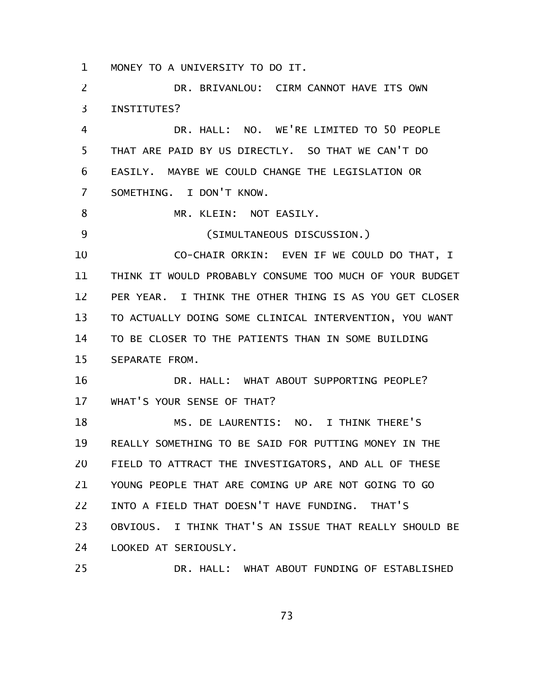MONEY TO A UNIVERSITY TO DO IT. 1

DR. BRIVANLOU: CIRM CANNOT HAVE ITS OWN INSTITUTES? DR. HALL: NO. WE'RE LIMITED TO 50 PEOPLE 2 3 4

THAT ARE PAID BY US DIRECTLY. SO THAT WE CAN'T DO EASILY. MAYBE WE COULD CHANGE THE LEGISLATION OR SOMETHING. I DON'T KNOW. 5 6 7

MR. KLEIN: NOT EASILY. 8

25

(SIMULTANEOUS DISCUSSION.) 9

CO-CHAIR ORKIN: EVEN IF WE COULD DO THAT, I THINK IT WOULD PROBABLY CONSUME TOO MUCH OF YOUR BUDGET PER YEAR. I THINK THE OTHER THING IS AS YOU GET CLOSER TO ACTUALLY DOING SOME CLINICAL INTERVENTION, YOU WANT TO BE CLOSER TO THE PATIENTS THAN IN SOME BUILDING SEPARATE FROM. 10 11 12 13 14 15

DR. HALL: WHAT ABOUT SUPPORTING PEOPLE? WHAT'S YOUR SENSE OF THAT? 16 17

MS. DE LAURENTIS: NO. I THINK THERE'S REALLY SOMETHING TO BE SAID FOR PUTTING MONEY IN THE FIELD TO ATTRACT THE INVESTIGATORS, AND ALL OF THESE YOUNG PEOPLE THAT ARE COMING UP ARE NOT GOING TO GO INTO A FIELD THAT DOESN'T HAVE FUNDING. THAT'S OBVIOUS. I THINK THAT'S AN ISSUE THAT REALLY SHOULD BE LOOKED AT SERIOUSLY. 18 19 20 21 22 23 24

DR. HALL: WHAT ABOUT FUNDING OF ESTABLISHED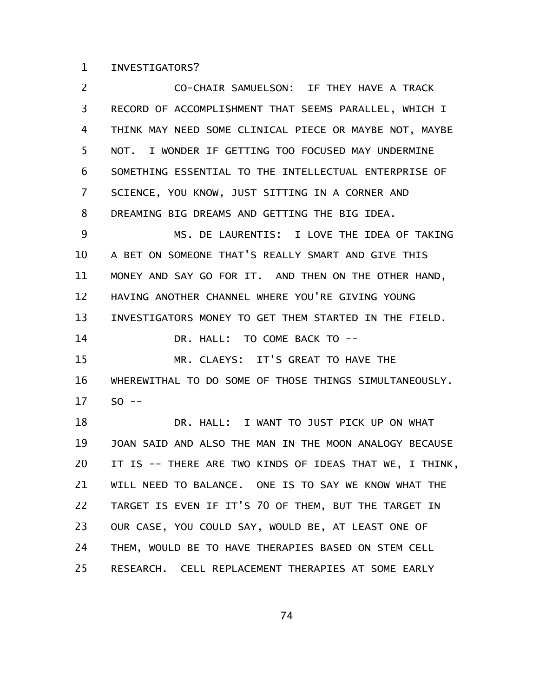## INVESTIGATORS? 1

CO-CHAIR SAMUELSON: IF THEY HAVE A TRACK RECORD OF ACCOMPLISHMENT THAT SEEMS PARALLEL, WHICH I THINK MAY NEED SOME CLINICAL PIECE OR MAYBE NOT, MAYBE NOT. I WONDER IF GETTING TOO FOCUSED MAY UNDERMINE SOMETHING ESSENTIAL TO THE INTELLECTUAL ENTERPRISE OF SCIENCE, YOU KNOW, JUST SITTING IN A CORNER AND DREAMING BIG DREAMS AND GETTING THE BIG IDEA. MS. DE LAURENTIS: I LOVE THE IDEA OF TAKING A BET ON SOMEONE THAT'S REALLY SMART AND GIVE THIS MONEY AND SAY GO FOR IT. AND THEN ON THE OTHER HAND, HAVING ANOTHER CHANNEL WHERE YOU'RE GIVING YOUNG INVESTIGATORS MONEY TO GET THEM STARTED IN THE FIELD. DR. HALL: TO COME BACK TO -- MR. CLAEYS: IT'S GREAT TO HAVE THE WHEREWITHAL TO DO SOME OF THOSE THINGS SIMULTANEOUSLY.  $SO$  --DR. HALL: I WANT TO JUST PICK UP ON WHAT JOAN SAID AND ALSO THE MAN IN THE MOON ANALOGY BECAUSE IT IS -- THERE ARE TWO KINDS OF IDEAS THAT WE, I THINK, WILL NEED TO BALANCE. ONE IS TO SAY WE KNOW WHAT THE TARGET IS EVEN IF IT'S 70 OF THEM, BUT THE TARGET IN OUR CASE, YOU COULD SAY, WOULD BE, AT LEAST ONE OF THEM, WOULD BE TO HAVE THERAPIES BASED ON STEM CELL RESEARCH. CELL REPLACEMENT THERAPIES AT SOME EARLY 2 3 4 5 6 7 8 9 10 11 12 13 14 15 16 17 18 19 20 21 22 23 24 25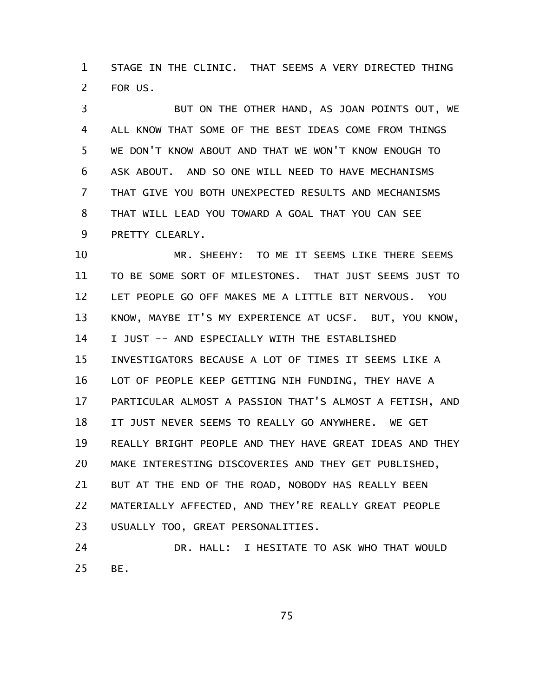STAGE IN THE CLINIC. THAT SEEMS A VERY DIRECTED THING FOR US. 1 2

BUT ON THE OTHER HAND, AS JOAN POINTS OUT, WE ALL KNOW THAT SOME OF THE BEST IDEAS COME FROM THINGS WE DON'T KNOW ABOUT AND THAT WE WON'T KNOW ENOUGH TO ASK ABOUT. AND SO ONE WILL NEED TO HAVE MECHANISMS THAT GIVE YOU BOTH UNEXPECTED RESULTS AND MECHANISMS THAT WILL LEAD YOU TOWARD A GOAL THAT YOU CAN SEE PRETTY CLEARLY. 3 4 5 6 7 8 9

MR. SHEEHY: TO ME IT SEEMS LIKE THERE SEEMS TO BE SOME SORT OF MILESTONES. THAT JUST SEEMS JUST TO LET PEOPLE GO OFF MAKES ME A LITTLE BIT NERVOUS. YOU KNOW, MAYBE IT'S MY EXPERIENCE AT UCSF. BUT, YOU KNOW, I JUST -- AND ESPECIALLY WITH THE ESTABLISHED INVESTIGATORS BECAUSE A LOT OF TIMES IT SEEMS LIKE A LOT OF PEOPLE KEEP GETTING NIH FUNDING, THEY HAVE A PARTICULAR ALMOST A PASSION THAT'S ALMOST A FETISH, AND IT JUST NEVER SEEMS TO REALLY GO ANYWHERE. WE GET REALLY BRIGHT PEOPLE AND THEY HAVE GREAT IDEAS AND THEY MAKE INTERESTING DISCOVERIES AND THEY GET PUBLISHED, BUT AT THE END OF THE ROAD, NOBODY HAS REALLY BEEN MATERIALLY AFFECTED, AND THEY'RE REALLY GREAT PEOPLE USUALLY TOO, GREAT PERSONALITIES. 10 11 12 13 14 15 16 17 18 19 20 21 22 23

DR. HALL: I HESITATE TO ASK WHO THAT WOULD BE. 24 25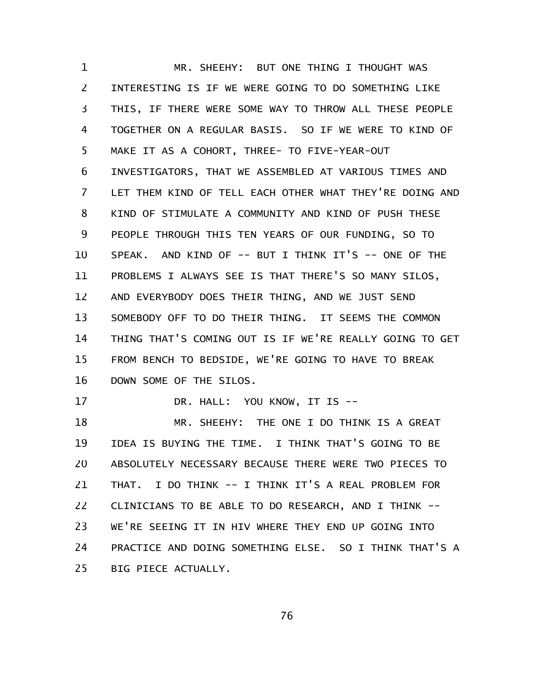MR. SHEEHY: BUT ONE THING I THOUGHT WAS INTERESTING IS IF WE WERE GOING TO DO SOMETHING LIKE THIS, IF THERE WERE SOME WAY TO THROW ALL THESE PEOPLE TOGETHER ON A REGULAR BASIS. SO IF WE WERE TO KIND OF MAKE IT AS A COHORT, THREE- TO FIVE-YEAR-OUT INVESTIGATORS, THAT WE ASSEMBLED AT VARIOUS TIMES AND LET THEM KIND OF TELL EACH OTHER WHAT THEY'RE DOING AND KIND OF STIMULATE A COMMUNITY AND KIND OF PUSH THESE PEOPLE THROUGH THIS TEN YEARS OF OUR FUNDING, SO TO SPEAK. AND KIND OF -- BUT I THINK IT'S -- ONE OF THE PROBLEMS I ALWAYS SEE IS THAT THERE'S SO MANY SILOS, AND EVERYBODY DOES THEIR THING, AND WE JUST SEND SOMEBODY OFF TO DO THEIR THING. IT SEEMS THE COMMON THING THAT'S COMING OUT IS IF WE'RE REALLY GOING TO GET FROM BENCH TO BEDSIDE, WE'RE GOING TO HAVE TO BREAK DOWN SOME OF THE SILOS. 1 2 3 4 5 6 7 8 9 10 11 12 13 14 15 16

DR. HALL: YOU KNOW, IT IS --

17

MR. SHEEHY: THE ONE I DO THINK IS A GREAT IDEA IS BUYING THE TIME. I THINK THAT'S GOING TO BE ABSOLUTELY NECESSARY BECAUSE THERE WERE TWO PIECES TO THAT. I DO THINK -- I THINK IT'S A REAL PROBLEM FOR CLINICIANS TO BE ABLE TO DO RESEARCH, AND I THINK -- WE'RE SEEING IT IN HIV WHERE THEY END UP GOING INTO PRACTICE AND DOING SOMETHING ELSE. SO I THINK THAT'S A BIG PIECE ACTUALLY. 18 19 20 21 22 23 24 25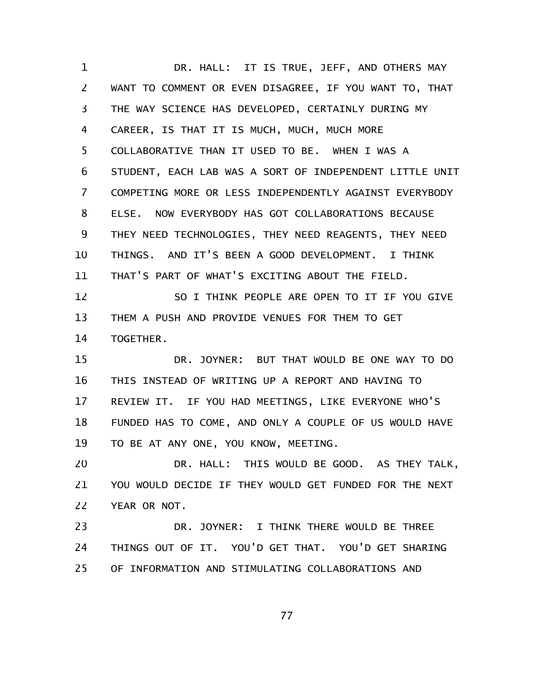DR. HALL: IT IS TRUE, JEFF, AND OTHERS MAY WANT TO COMMENT OR EVEN DISAGREE, IF YOU WANT TO, THAT THE WAY SCIENCE HAS DEVELOPED, CERTAINLY DURING MY CAREER, IS THAT IT IS MUCH, MUCH, MUCH MORE COLLABORATIVE THAN IT USED TO BE. WHEN I WAS A STUDENT, EACH LAB WAS A SORT OF INDEPENDENT LITTLE UNIT COMPETING MORE OR LESS INDEPENDENTLY AGAINST EVERYBODY ELSE. NOW EVERYBODY HAS GOT COLLABORATIONS BECAUSE THEY NEED TECHNOLOGIES, THEY NEED REAGENTS, THEY NEED THINGS. AND IT'S BEEN A GOOD DEVELOPMENT. I THINK THAT'S PART OF WHAT'S EXCITING ABOUT THE FIELD. SO I THINK PEOPLE ARE OPEN TO IT IF YOU GIVE THEM A PUSH AND PROVIDE VENUES FOR THEM TO GET TOGETHER. DR. JOYNER: BUT THAT WOULD BE ONE WAY TO DO THIS INSTEAD OF WRITING UP A REPORT AND HAVING TO REVIEW IT. IF YOU HAD MEETINGS, LIKE EVERYONE WHO'S FUNDED HAS TO COME, AND ONLY A COUPLE OF US WOULD HAVE TO BE AT ANY ONE, YOU KNOW, MEETING. DR. HALL: THIS WOULD BE GOOD. AS THEY TALK, YOU WOULD DECIDE IF THEY WOULD GET FUNDED FOR THE NEXT YEAR OR NOT. DR. JOYNER: I THINK THERE WOULD BE THREE THINGS OUT OF IT. YOU'D GET THAT. YOU'D GET SHARING OF INFORMATION AND STIMULATING COLLABORATIONS AND 1 2 3 4 5 6 7 8 9 10 11 12 13 14 15 16 17 18 19 20 21 22 23 24 25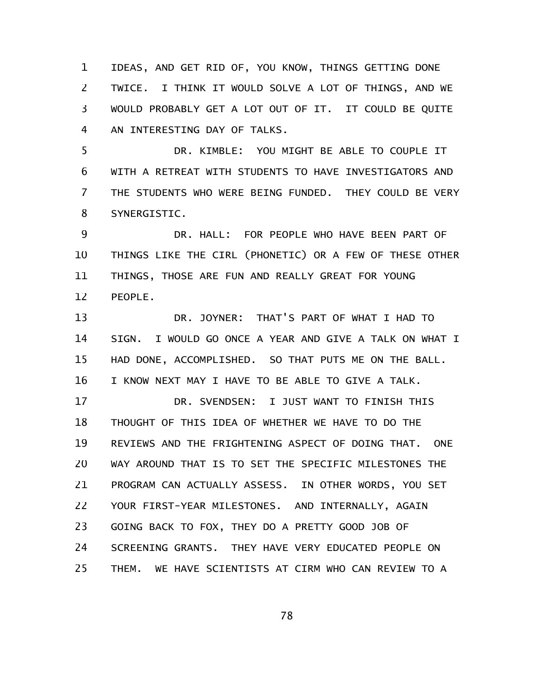IDEAS, AND GET RID OF, YOU KNOW, THINGS GETTING DONE TWICE. I THINK IT WOULD SOLVE A LOT OF THINGS, AND WE WOULD PROBABLY GET A LOT OUT OF IT. IT COULD BE QUITE AN INTERESTING DAY OF TALKS. 1 2 3 4

DR. KIMBLE: YOU MIGHT BE ABLE TO COUPLE IT WITH A RETREAT WITH STUDENTS TO HAVE INVESTIGATORS AND THE STUDENTS WHO WERE BEING FUNDED. THEY COULD BE VERY SYNERGISTIC. 5 6 7 8

DR. HALL: FOR PEOPLE WHO HAVE BEEN PART OF THINGS LIKE THE CIRL (PHONETIC) OR A FEW OF THESE OTHER THINGS, THOSE ARE FUN AND REALLY GREAT FOR YOUNG PEOPLE. 9 10 11 12

DR. JOYNER: THAT'S PART OF WHAT I HAD TO SIGN. I WOULD GO ONCE A YEAR AND GIVE A TALK ON WHAT I HAD DONE, ACCOMPLISHED. SO THAT PUTS ME ON THE BALL. I KNOW NEXT MAY I HAVE TO BE ABLE TO GIVE A TALK. 13 14 15 16

DR. SVENDSEN: I JUST WANT TO FINISH THIS THOUGHT OF THIS IDEA OF WHETHER WE HAVE TO DO THE REVIEWS AND THE FRIGHTENING ASPECT OF DOING THAT. ONE WAY AROUND THAT IS TO SET THE SPECIFIC MILESTONES THE PROGRAM CAN ACTUALLY ASSESS. IN OTHER WORDS, YOU SET YOUR FIRST-YEAR MILESTONES. AND INTERNALLY, AGAIN GOING BACK TO FOX, THEY DO A PRETTY GOOD JOB OF SCREENING GRANTS. THEY HAVE VERY EDUCATED PEOPLE ON THEM. WE HAVE SCIENTISTS AT CIRM WHO CAN REVIEW TO A 17 18 19 20 21 22 23 24 25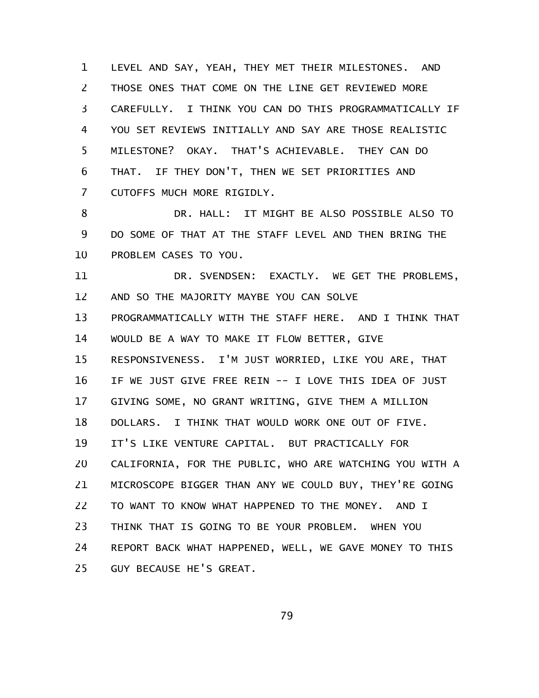LEVEL AND SAY, YEAH, THEY MET THEIR MILESTONES. AND THOSE ONES THAT COME ON THE LINE GET REVIEWED MORE CAREFULLY. I THINK YOU CAN DO THIS PROGRAMMATICALLY IF YOU SET REVIEWS INITIALLY AND SAY ARE THOSE REALISTIC MILESTONE? OKAY. THAT'S ACHIEVABLE. THEY CAN DO THAT. IF THEY DON'T, THEN WE SET PRIORITIES AND CUTOFFS MUCH MORE RIGIDLY. 1 2 3 4 5 6 7

DR. HALL: IT MIGHT BE ALSO POSSIBLE ALSO TO DO SOME OF THAT AT THE STAFF LEVEL AND THEN BRING THE PROBLEM CASES TO YOU. 8 9 10

DR. SVENDSEN: EXACTLY. WE GET THE PROBLEMS, AND SO THE MAJORITY MAYBE YOU CAN SOLVE PROGRAMMATICALLY WITH THE STAFF HERE. AND I THINK THAT WOULD BE A WAY TO MAKE IT FLOW BETTER, GIVE RESPONSIVENESS. I'M JUST WORRIED, LIKE YOU ARE, THAT IF WE JUST GIVE FREE REIN -- I LOVE THIS IDEA OF JUST GIVING SOME, NO GRANT WRITING, GIVE THEM A MILLION DOLLARS. I THINK THAT WOULD WORK ONE OUT OF FIVE. IT'S LIKE VENTURE CAPITAL. BUT PRACTICALLY FOR CALIFORNIA, FOR THE PUBLIC, WHO ARE WATCHING YOU WITH A MICROSCOPE BIGGER THAN ANY WE COULD BUY, THEY'RE GOING TO WANT TO KNOW WHAT HAPPENED TO THE MONEY. AND I THINK THAT IS GOING TO BE YOUR PROBLEM. WHEN YOU REPORT BACK WHAT HAPPENED, WELL, WE GAVE MONEY TO THIS GUY BECAUSE HE'S GREAT. 11 12 13 14 15 16 17 18 19 20 21 22 23 24 25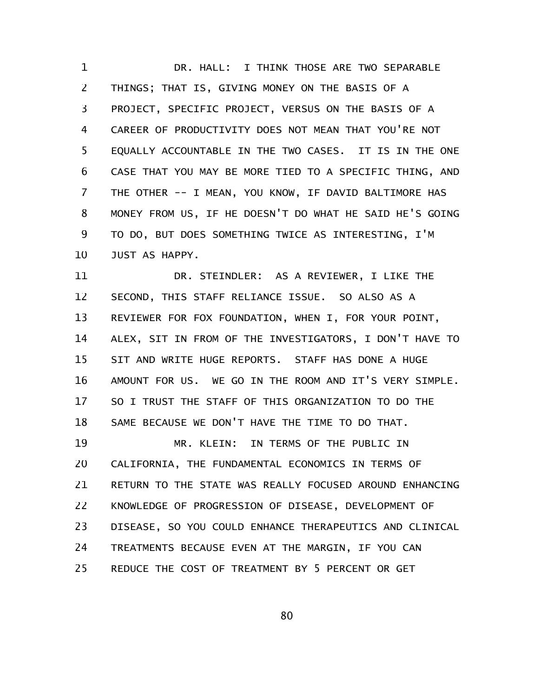DR. HALL: I THINK THOSE ARE TWO SEPARABLE THINGS; THAT IS, GIVING MONEY ON THE BASIS OF A PROJECT, SPECIFIC PROJECT, VERSUS ON THE BASIS OF A CAREER OF PRODUCTIVITY DOES NOT MEAN THAT YOU'RE NOT EQUALLY ACCOUNTABLE IN THE TWO CASES. IT IS IN THE ONE CASE THAT YOU MAY BE MORE TIED TO A SPECIFIC THING, AND THE OTHER -- I MEAN, YOU KNOW, IF DAVID BALTIMORE HAS MONEY FROM US, IF HE DOESN'T DO WHAT HE SAID HE'S GOING TO DO, BUT DOES SOMETHING TWICE AS INTERESTING, I'M JUST AS HAPPY. 1 2 3 4 5 6 7 8 9 10

DR. STEINDLER: AS A REVIEWER, I LIKE THE SECOND, THIS STAFF RELIANCE ISSUE. SO ALSO AS A REVIEWER FOR FOX FOUNDATION, WHEN I, FOR YOUR POINT, ALEX, SIT IN FROM OF THE INVESTIGATORS, I DON'T HAVE TO SIT AND WRITE HUGE REPORTS. STAFF HAS DONE A HUGE AMOUNT FOR US. WE GO IN THE ROOM AND IT'S VERY SIMPLE. SO I TRUST THE STAFF OF THIS ORGANIZATION TO DO THE SAME BECAUSE WE DON'T HAVE THE TIME TO DO THAT. MR. KLEIN: IN TERMS OF THE PUBLIC IN CALIFORNIA, THE FUNDAMENTAL ECONOMICS IN TERMS OF RETURN TO THE STATE WAS REALLY FOCUSED AROUND ENHANCING KNOWLEDGE OF PROGRESSION OF DISEASE, DEVELOPMENT OF DISEASE, SO YOU COULD ENHANCE THERAPEUTICS AND CLINICAL TREATMENTS BECAUSE EVEN AT THE MARGIN, IF YOU CAN REDUCE THE COST OF TREATMENT BY 5 PERCENT OR GET 11 12 13 14 15 16 17 18 19 20 21 22 23 24 25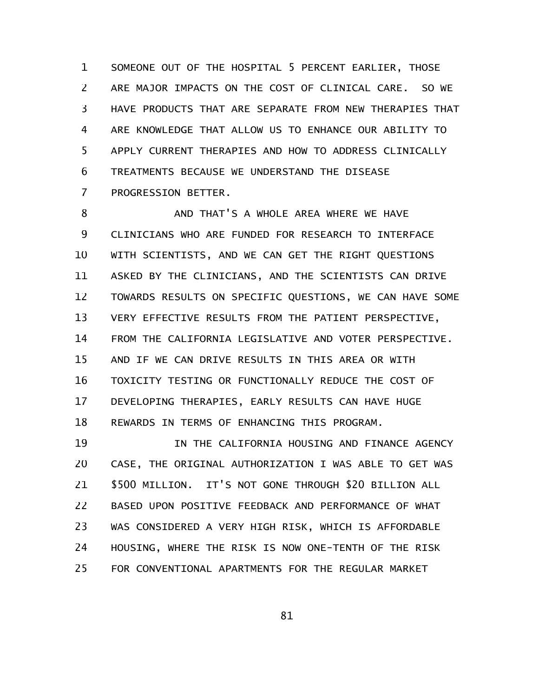SOMEONE OUT OF THE HOSPITAL 5 PERCENT EARLIER, THOSE ARE MAJOR IMPACTS ON THE COST OF CLINICAL CARE. SO WE HAVE PRODUCTS THAT ARE SEPARATE FROM NEW THERAPIES THAT ARE KNOWLEDGE THAT ALLOW US TO ENHANCE OUR ABILITY TO APPLY CURRENT THERAPIES AND HOW TO ADDRESS CLINICALLY TREATMENTS BECAUSE WE UNDERSTAND THE DISEASE PROGRESSION BETTER. 1 2 3 4 5 6 7

AND THAT'S A WHOLE AREA WHERE WE HAVE CLINICIANS WHO ARE FUNDED FOR RESEARCH TO INTERFACE WITH SCIENTISTS, AND WE CAN GET THE RIGHT QUESTIONS ASKED BY THE CLINICIANS, AND THE SCIENTISTS CAN DRIVE TOWARDS RESULTS ON SPECIFIC QUESTIONS, WE CAN HAVE SOME VERY EFFECTIVE RESULTS FROM THE PATIENT PERSPECTIVE, FROM THE CALIFORNIA LEGISLATIVE AND VOTER PERSPECTIVE. AND IF WE CAN DRIVE RESULTS IN THIS AREA OR WITH TOXICITY TESTING OR FUNCTIONALLY REDUCE THE COST OF DEVELOPING THERAPIES, EARLY RESULTS CAN HAVE HUGE REWARDS IN TERMS OF ENHANCING THIS PROGRAM. 8 9 10 11 12 13 14 15 16 17 18

IN THE CALIFORNIA HOUSING AND FINANCE AGENCY CASE, THE ORIGINAL AUTHORIZATION I WAS ABLE TO GET WAS \$500 MILLION. IT'S NOT GONE THROUGH \$20 BILLION ALL BASED UPON POSITIVE FEEDBACK AND PERFORMANCE OF WHAT WAS CONSIDERED A VERY HIGH RISK, WHICH IS AFFORDABLE HOUSING, WHERE THE RISK IS NOW ONE-TENTH OF THE RISK FOR CONVENTIONAL APARTMENTS FOR THE REGULAR MARKET 19 20 21 22 23 24 25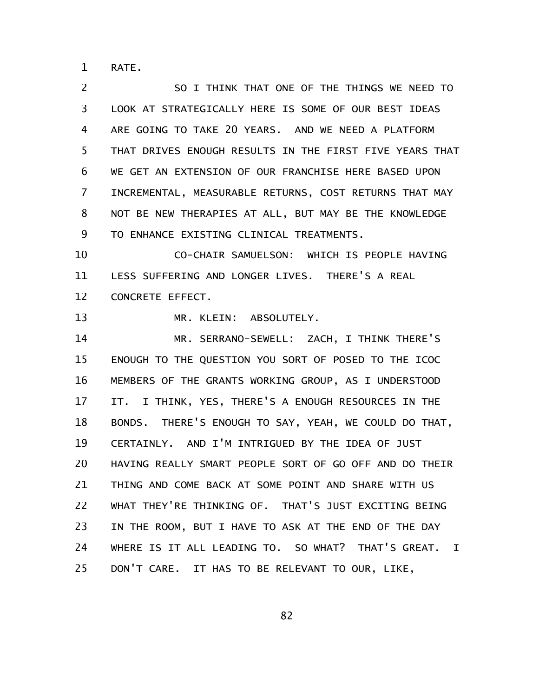RATE. 1

SO I THINK THAT ONE OF THE THINGS WE NEED TO LOOK AT STRATEGICALLY HERE IS SOME OF OUR BEST IDEAS ARE GOING TO TAKE 20 YEARS. AND WE NEED A PLATFORM THAT DRIVES ENOUGH RESULTS IN THE FIRST FIVE YEARS THAT WE GET AN EXTENSION OF OUR FRANCHISE HERE BASED UPON INCREMENTAL, MEASURABLE RETURNS, COST RETURNS THAT MAY NOT BE NEW THERAPIES AT ALL, BUT MAY BE THE KNOWLEDGE TO ENHANCE EXISTING CLINICAL TREATMENTS. 2 3 4 5 6 7 8 9

CO-CHAIR SAMUELSON: WHICH IS PEOPLE HAVING LESS SUFFERING AND LONGER LIVES. THERE'S A REAL CONCRETE EFFECT. 10 11 12

MR. KLEIN: ABSOLUTELY. 13

MR. SERRANO-SEWELL: ZACH, I THINK THERE'S ENOUGH TO THE QUESTION YOU SORT OF POSED TO THE ICOC MEMBERS OF THE GRANTS WORKING GROUP, AS I UNDERSTOOD IT. I THINK, YES, THERE'S A ENOUGH RESOURCES IN THE BONDS. THERE'S ENOUGH TO SAY, YEAH, WE COULD DO THAT, CERTAINLY. AND I'M INTRIGUED BY THE IDEA OF JUST HAVING REALLY SMART PEOPLE SORT OF GO OFF AND DO THEIR THING AND COME BACK AT SOME POINT AND SHARE WITH US WHAT THEY'RE THINKING OF. THAT'S JUST EXCITING BEING IN THE ROOM, BUT I HAVE TO ASK AT THE END OF THE DAY WHERE IS IT ALL LEADING TO. SO WHAT? THAT'S GREAT. I DON'T CARE. IT HAS TO BE RELEVANT TO OUR, LIKE, 14 15 16 17 18 19 20 21 22 23 24 25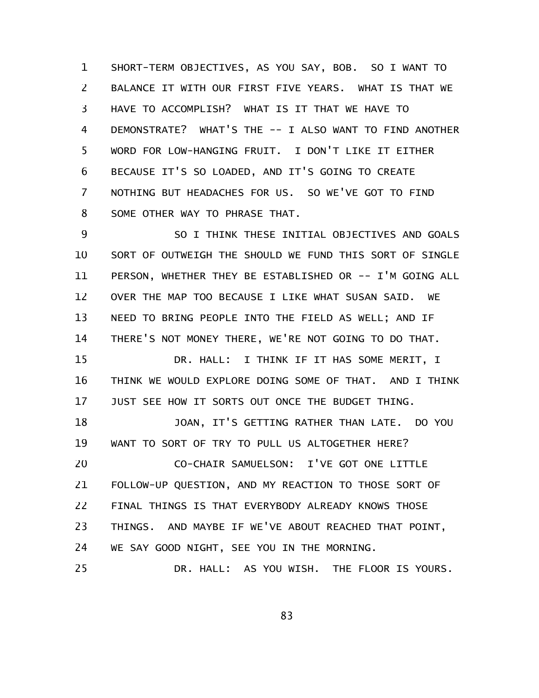SHORT-TERM OBJECTIVES, AS YOU SAY, BOB. SO I WANT TO BALANCE IT WITH OUR FIRST FIVE YEARS. WHAT IS THAT WE HAVE TO ACCOMPLISH? WHAT IS IT THAT WE HAVE TO DEMONSTRATE? WHAT'S THE -- I ALSO WANT TO FIND ANOTHER WORD FOR LOW-HANGING FRUIT. I DON'T LIKE IT EITHER BECAUSE IT'S SO LOADED, AND IT'S GOING TO CREATE NOTHING BUT HEADACHES FOR US. SO WE'VE GOT TO FIND SOME OTHER WAY TO PHRASE THAT. 1 2 3 4 5 6 7 8

SO I THINK THESE INITIAL OBJECTIVES AND GOALS SORT OF OUTWEIGH THE SHOULD WE FUND THIS SORT OF SINGLE PERSON, WHETHER THEY BE ESTABLISHED OR -- I'M GOING ALL OVER THE MAP TOO BECAUSE I LIKE WHAT SUSAN SAID. WE NEED TO BRING PEOPLE INTO THE FIELD AS WELL; AND IF THERE'S NOT MONEY THERE, WE'RE NOT GOING TO DO THAT. 9 10 11 12 13 14

DR. HALL: I THINK IF IT HAS SOME MERIT, I THINK WE WOULD EXPLORE DOING SOME OF THAT. AND I THINK JUST SEE HOW IT SORTS OUT ONCE THE BUDGET THING. 15 16 17

JOAN, IT'S GETTING RATHER THAN LATE. DO YOU WANT TO SORT OF TRY TO PULL US ALTOGETHER HERE? 18 19

CO-CHAIR SAMUELSON: I'VE GOT ONE LITTLE FOLLOW-UP QUESTION, AND MY REACTION TO THOSE SORT OF FINAL THINGS IS THAT EVERYBODY ALREADY KNOWS THOSE THINGS. AND MAYBE IF WE'VE ABOUT REACHED THAT POINT, WE SAY GOOD NIGHT, SEE YOU IN THE MORNING. 20 21 22 23 24

DR. HALL: AS YOU WISH. THE FLOOR IS YOURS. 25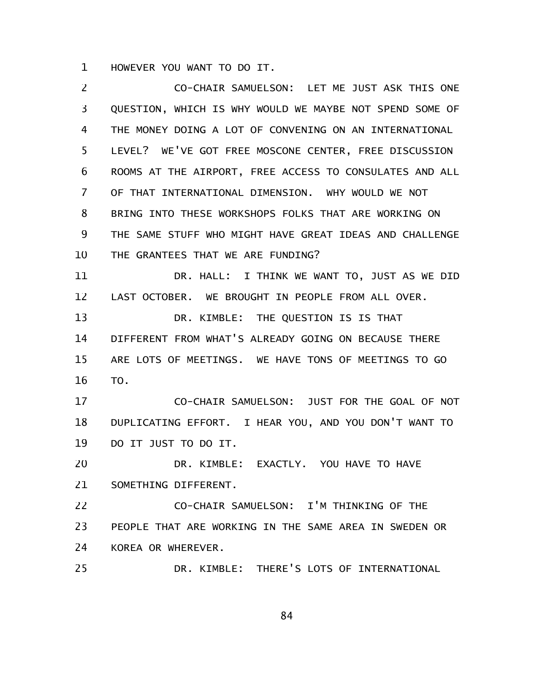HOWEVER YOU WANT TO DO IT. 1

CO-CHAIR SAMUELSON: LET ME JUST ASK THIS ONE QUESTION, WHICH IS WHY WOULD WE MAYBE NOT SPEND SOME OF THE MONEY DOING A LOT OF CONVENING ON AN INTERNATIONAL LEVEL? WE'VE GOT FREE MOSCONE CENTER, FREE DISCUSSION ROOMS AT THE AIRPORT, FREE ACCESS TO CONSULATES AND ALL OF THAT INTERNATIONAL DIMENSION. WHY WOULD WE NOT BRING INTO THESE WORKSHOPS FOLKS THAT ARE WORKING ON THE SAME STUFF WHO MIGHT HAVE GREAT IDEAS AND CHALLENGE THE GRANTEES THAT WE ARE FUNDING? DR. HALL: I THINK WE WANT TO, JUST AS WE DID LAST OCTOBER. WE BROUGHT IN PEOPLE FROM ALL OVER. DR. KIMBLE: THE QUESTION IS IS THAT DIFFERENT FROM WHAT'S ALREADY GOING ON BECAUSE THERE ARE LOTS OF MEETINGS. WE HAVE TONS OF MEETINGS TO GO TO. CO-CHAIR SAMUELSON: JUST FOR THE GOAL OF NOT DUPLICATING EFFORT. I HEAR YOU, AND YOU DON'T WANT TO DO IT JUST TO DO IT. DR. KIMBLE: EXACTLY. YOU HAVE TO HAVE SOMETHING DIFFERENT. CO-CHAIR SAMUELSON: I'M THINKING OF THE PEOPLE THAT ARE WORKING IN THE SAME AREA IN SWEDEN OR KOREA OR WHEREVER. DR. KIMBLE: THERE'S LOTS OF INTERNATIONAL 2 3 4 5 6 7 8 9 10 11 12 13 14 15 16 17 18 19 20 21 22 23 24 25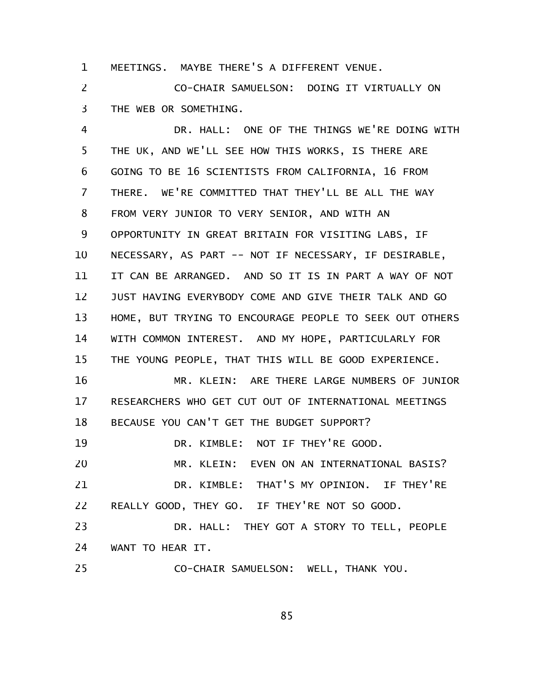MEETINGS. MAYBE THERE'S A DIFFERENT VENUE. 1

CO-CHAIR SAMUELSON: DOING IT VIRTUALLY ON THE WEB OR SOMETHING. 2 3

DR. HALL: ONE OF THE THINGS WE'RE DOING WITH THE UK, AND WE'LL SEE HOW THIS WORKS, IS THERE ARE GOING TO BE 16 SCIENTISTS FROM CALIFORNIA, 16 FROM THERE. WE'RE COMMITTED THAT THEY'LL BE ALL THE WAY FROM VERY JUNIOR TO VERY SENIOR, AND WITH AN OPPORTUNITY IN GREAT BRITAIN FOR VISITING LABS, IF NECESSARY, AS PART -- NOT IF NECESSARY, IF DESIRABLE, IT CAN BE ARRANGED. AND SO IT IS IN PART A WAY OF NOT JUST HAVING EVERYBODY COME AND GIVE THEIR TALK AND GO HOME, BUT TRYING TO ENCOURAGE PEOPLE TO SEEK OUT OTHERS WITH COMMON INTEREST. AND MY HOPE, PARTICULARLY FOR THE YOUNG PEOPLE, THAT THIS WILL BE GOOD EXPERIENCE. MR. KLEIN: ARE THERE LARGE NUMBERS OF JUNIOR RESEARCHERS WHO GET CUT OUT OF INTERNATIONAL MEETINGS BECAUSE YOU CAN'T GET THE BUDGET SUPPORT? DR. KIMBLE: NOT IF THEY'RE GOOD. MR. KLEIN: EVEN ON AN INTERNATIONAL BASIS? DR. KIMBLE: THAT'S MY OPINION. IF THEY'RE REALLY GOOD, THEY GO. IF THEY'RE NOT SO GOOD. DR. HALL: THEY GOT A STORY TO TELL, PEOPLE WANT TO HEAR IT. CO-CHAIR SAMUELSON: WELL, THANK YOU. 4 5 6 7 8 9 10 11 12 13 14 15 16 17 18 19 20 21 22 23 24 25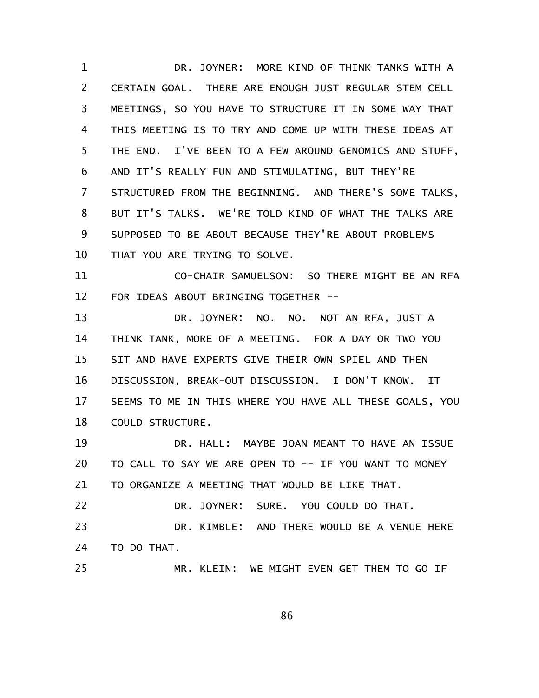DR. JOYNER: MORE KIND OF THINK TANKS WITH A CERTAIN GOAL. THERE ARE ENOUGH JUST REGULAR STEM CELL MEETINGS, SO YOU HAVE TO STRUCTURE IT IN SOME WAY THAT THIS MEETING IS TO TRY AND COME UP WITH THESE IDEAS AT THE END. I'VE BEEN TO A FEW AROUND GENOMICS AND STUFF, AND IT'S REALLY FUN AND STIMULATING, BUT THEY'RE STRUCTURED FROM THE BEGINNING. AND THERE'S SOME TALKS, BUT IT'S TALKS. WE'RE TOLD KIND OF WHAT THE TALKS ARE SUPPOSED TO BE ABOUT BECAUSE THEY'RE ABOUT PROBLEMS THAT YOU ARE TRYING TO SOLVE. 1 2 3 4 5 6 7 8 9 10

CO-CHAIR SAMUELSON: SO THERE MIGHT BE AN RFA FOR IDEAS ABOUT BRINGING TOGETHER -- 11 12

DR. JOYNER: NO. NO. NOT AN RFA, JUST A THINK TANK, MORE OF A MEETING. FOR A DAY OR TWO YOU SIT AND HAVE EXPERTS GIVE THEIR OWN SPIEL AND THEN DISCUSSION, BREAK-OUT DISCUSSION. I DON'T KNOW. IT SEEMS TO ME IN THIS WHERE YOU HAVE ALL THESE GOALS, YOU COULD STRUCTURE. 13 14 15 16 17 18

DR. HALL: MAYBE JOAN MEANT TO HAVE AN ISSUE TO CALL TO SAY WE ARE OPEN TO -- IF YOU WANT TO MONEY TO ORGANIZE A MEETING THAT WOULD BE LIKE THAT. 19 20 21

DR. JOYNER: SURE. YOU COULD DO THAT. DR. KIMBLE: AND THERE WOULD BE A VENUE HERE TO DO THAT. 22 23 24

MR. KLEIN: WE MIGHT EVEN GET THEM TO GO IF 25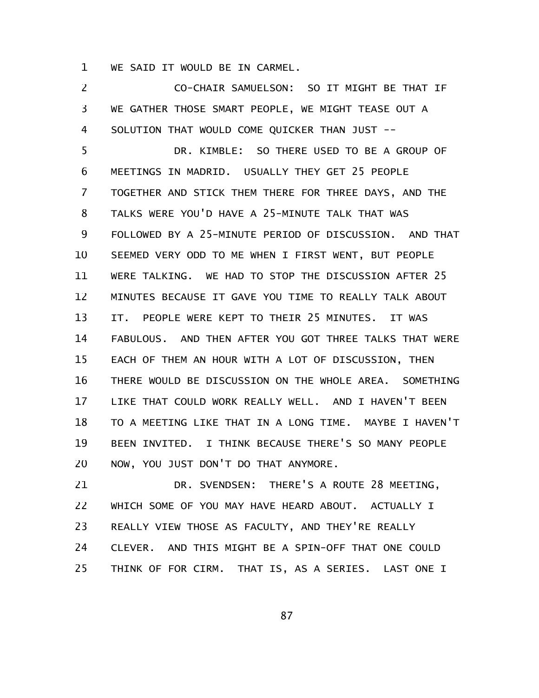WE SAID IT WOULD BE IN CARMEL. 1

CO-CHAIR SAMUELSON: SO IT MIGHT BE THAT IF WE GATHER THOSE SMART PEOPLE, WE MIGHT TEASE OUT A SOLUTION THAT WOULD COME QUICKER THAN JUST -- 2 3 4

DR. KIMBLE: SO THERE USED TO BE A GROUP OF MEETINGS IN MADRID. USUALLY THEY GET 25 PEOPLE TOGETHER AND STICK THEM THERE FOR THREE DAYS, AND THE TALKS WERE YOU'D HAVE A 25-MINUTE TALK THAT WAS FOLLOWED BY A 25-MINUTE PERIOD OF DISCUSSION. AND THAT SEEMED VERY ODD TO ME WHEN I FIRST WENT, BUT PEOPLE WERE TALKING. WE HAD TO STOP THE DISCUSSION AFTER 25 MINUTES BECAUSE IT GAVE YOU TIME TO REALLY TALK ABOUT IT. PEOPLE WERE KEPT TO THEIR 25 MINUTES. IT WAS FABULOUS. AND THEN AFTER YOU GOT THREE TALKS THAT WERE EACH OF THEM AN HOUR WITH A LOT OF DISCUSSION, THEN THERE WOULD BE DISCUSSION ON THE WHOLE AREA. SOMETHING LIKE THAT COULD WORK REALLY WELL. AND I HAVEN'T BEEN TO A MEETING LIKE THAT IN A LONG TIME. MAYBE I HAVEN'T BEEN INVITED. I THINK BECAUSE THERE'S SO MANY PEOPLE NOW, YOU JUST DON'T DO THAT ANYMORE. 5 6 7 8 9 10 11 12 13 14 15 16 17 18 19 20

DR. SVENDSEN: THERE'S A ROUTE 28 MEETING, WHICH SOME OF YOU MAY HAVE HEARD ABOUT. ACTUALLY I REALLY VIEW THOSE AS FACULTY, AND THEY'RE REALLY CLEVER. AND THIS MIGHT BE A SPIN-OFF THAT ONE COULD THINK OF FOR CIRM. THAT IS, AS A SERIES. LAST ONE I 21 22 23 24 25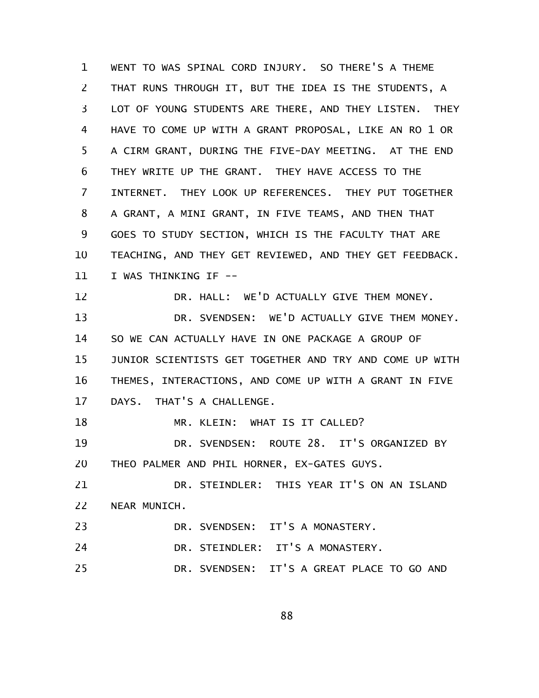WENT TO WAS SPINAL CORD INJURY. SO THERE'S A THEME THAT RUNS THROUGH IT, BUT THE IDEA IS THE STUDENTS, A LOT OF YOUNG STUDENTS ARE THERE, AND THEY LISTEN. THEY HAVE TO COME UP WITH A GRANT PROPOSAL, LIKE AN RO 1 OR A CIRM GRANT, DURING THE FIVE-DAY MEETING. AT THE END THEY WRITE UP THE GRANT. THEY HAVE ACCESS TO THE INTERNET. THEY LOOK UP REFERENCES. THEY PUT TOGETHER A GRANT, A MINI GRANT, IN FIVE TEAMS, AND THEN THAT GOES TO STUDY SECTION, WHICH IS THE FACULTY THAT ARE TEACHING, AND THEY GET REVIEWED, AND THEY GET FEEDBACK. I WAS THINKING IF -- DR. HALL: WE'D ACTUALLY GIVE THEM MONEY. DR. SVENDSEN: WE'D ACTUALLY GIVE THEM MONEY. SO WE CAN ACTUALLY HAVE IN ONE PACKAGE A GROUP OF JUNIOR SCIENTISTS GET TOGETHER AND TRY AND COME UP WITH THEMES, INTERACTIONS, AND COME UP WITH A GRANT IN FIVE DAYS. THAT'S A CHALLENGE. MR. KLEIN: WHAT IS IT CALLED? DR. SVENDSEN: ROUTE 28. IT'S ORGANIZED BY THEO PALMER AND PHIL HORNER, EX-GATES GUYS. DR. STEINDLER: THIS YEAR IT'S ON AN ISLAND NEAR MUNICH. DR. SVENDSEN: IT'S A MONASTERY. DR. STEINDLER: IT'S A MONASTERY. DR. SVENDSEN: IT'S A GREAT PLACE TO GO AND 1 2 3 4 5 6 7 8 9 10 11 12 13 14 15 16 17 18 19 20 21 22 23 24 25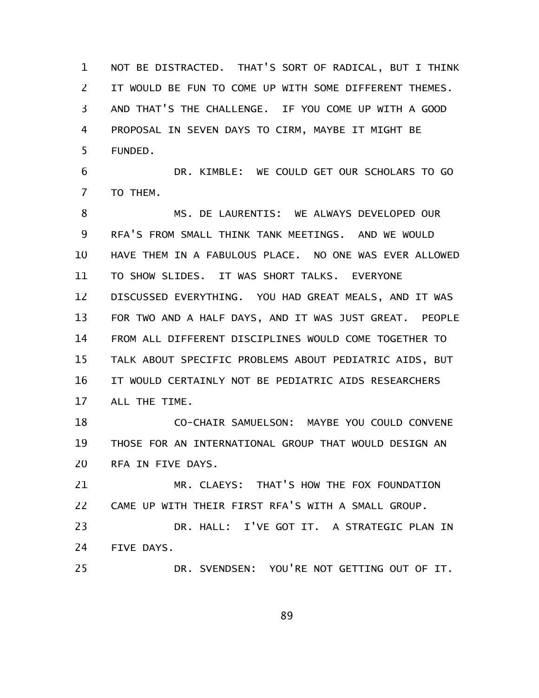NOT BE DISTRACTED. THAT'S SORT OF RADICAL, BUT I THINK IT WOULD BE FUN TO COME UP WITH SOME DIFFERENT THEMES. AND THAT'S THE CHALLENGE. IF YOU COME UP WITH A GOOD PROPOSAL IN SEVEN DAYS TO CIRM, MAYBE IT MIGHT BE FUNDED. 1 2 3 4 5

DR. KIMBLE: WE COULD GET OUR SCHOLARS TO GO TO THEM. 6 7

MS. DE LAURENTIS: WE ALWAYS DEVELOPED OUR RFA'S FROM SMALL THINK TANK MEETINGS. AND WE WOULD HAVE THEM IN A FABULOUS PLACE. NO ONE WAS EVER ALLOWED TO SHOW SLIDES. IT WAS SHORT TALKS. EVERYONE DISCUSSED EVERYTHING. YOU HAD GREAT MEALS, AND IT WAS FOR TWO AND A HALF DAYS, AND IT WAS JUST GREAT. PEOPLE FROM ALL DIFFERENT DISCIPLINES WOULD COME TOGETHER TO TALK ABOUT SPECIFIC PROBLEMS ABOUT PEDIATRIC AIDS, BUT IT WOULD CERTAINLY NOT BE PEDIATRIC AIDS RESEARCHERS ALL THE TIME. 8 9 10 11 12 13 14 15 16 17

CO-CHAIR SAMUELSON: MAYBE YOU COULD CONVENE THOSE FOR AN INTERNATIONAL GROUP THAT WOULD DESIGN AN RFA IN FIVE DAYS. 18 19 20

MR. CLAEYS: THAT'S HOW THE FOX FOUNDATION CAME UP WITH THEIR FIRST RFA'S WITH A SMALL GROUP. 21 22

DR. HALL: I'VE GOT IT. A STRATEGIC PLAN IN FIVE DAYS. 23 24

DR. SVENDSEN: YOU'RE NOT GETTING OUT OF IT. 25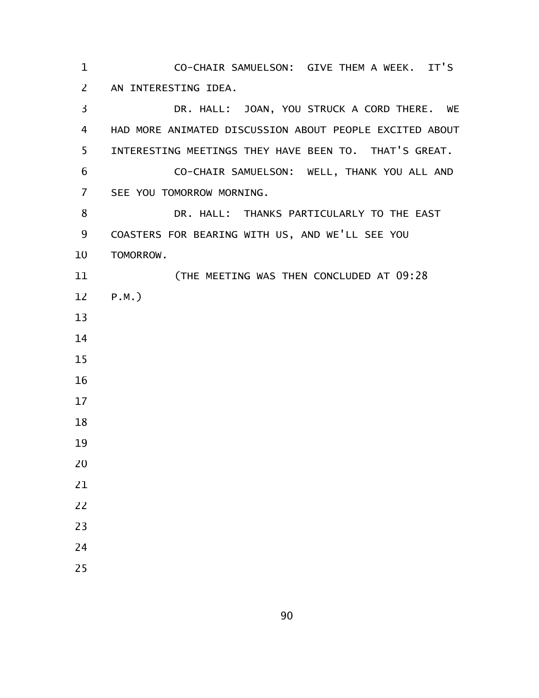CO-CHAIR SAMUELSON: GIVE THEM A WEEK. IT'S AN INTERESTING IDEA. DR. HALL: JOAN, YOU STRUCK A CORD THERE. WE HAD MORE ANIMATED DISCUSSION ABOUT PEOPLE EXCITED ABOUT INTERESTING MEETINGS THEY HAVE BEEN TO. THAT'S GREAT. CO-CHAIR SAMUELSON: WELL, THANK YOU ALL AND SEE YOU TOMORROW MORNING. DR. HALL: THANKS PARTICULARLY TO THE EAST COASTERS FOR BEARING WITH US, AND WE'LL SEE YOU TOMORROW. (THE MEETING WAS THEN CONCLUDED AT 09:28 P.M.)